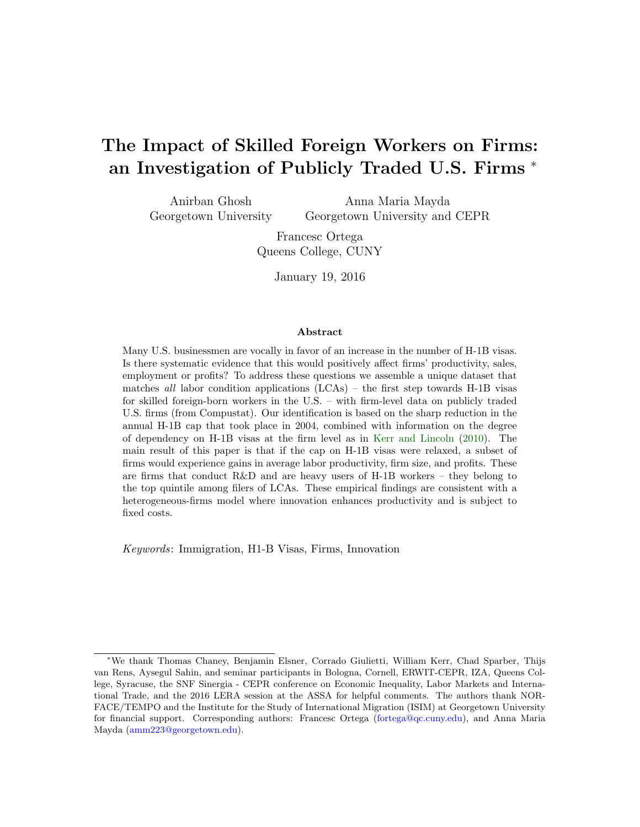# The Impact of Skilled Foreign Workers on Firms: an Investigation of Publicly Traded U.S. Firms <sup>∗</sup>

Anirban Ghosh Georgetown University Anna Maria Mayda Georgetown University and CEPR

> Francesc Ortega Queens College, CUNY

> > January 19, 2016

#### Abstract

Many U.S. businessmen are vocally in favor of an increase in the number of H-1B visas. Is there systematic evidence that this would positively affect firms' productivity, sales, employment or profits? To address these questions we assemble a unique dataset that matches all labor condition applications  $(LCAs)$  – the first step towards H-1B visas for skilled foreign-born workers in the U.S. – with firm-level data on publicly traded U.S. firms (from Compustat). Our identification is based on the sharp reduction in the annual H-1B cap that took place in 2004, combined with information on the degree of dependency on H-1B visas at the firm level as in [Kerr and Lincoln](#page-31-0) [\(2010\)](#page-31-0). The main result of this paper is that if the cap on H-1B visas were relaxed, a subset of firms would experience gains in average labor productivity, firm size, and profits. These are firms that conduct R&D and are heavy users of H-1B workers – they belong to the top quintile among filers of LCAs. These empirical findings are consistent with a heterogeneous-firms model where innovation enhances productivity and is subject to fixed costs.

Keywords: Immigration, H1-B Visas, Firms, Innovation

<sup>∗</sup>We thank Thomas Chaney, Benjamin Elsner, Corrado Giulietti, William Kerr, Chad Sparber, Thijs van Rens, Aysegul Sahin, and seminar participants in Bologna, Cornell, ERWIT-CEPR, IZA, Queens College, Syracuse, the SNF Sinergia - CEPR conference on Economic Inequality, Labor Markets and International Trade, and the 2016 LERA session at the ASSA for helpful comments. The authors thank NOR-FACE/TEMPO and the Institute for the Study of International Migration (ISIM) at Georgetown University for financial support. Corresponding authors: Francesc Ortega [\(fortega@qc.cuny.edu\)](mailto:fortega@qc.cuny.edu), and Anna Maria Mayda [\(amm223@georgetown.edu\)](mailto:amm223@georgetown.edu).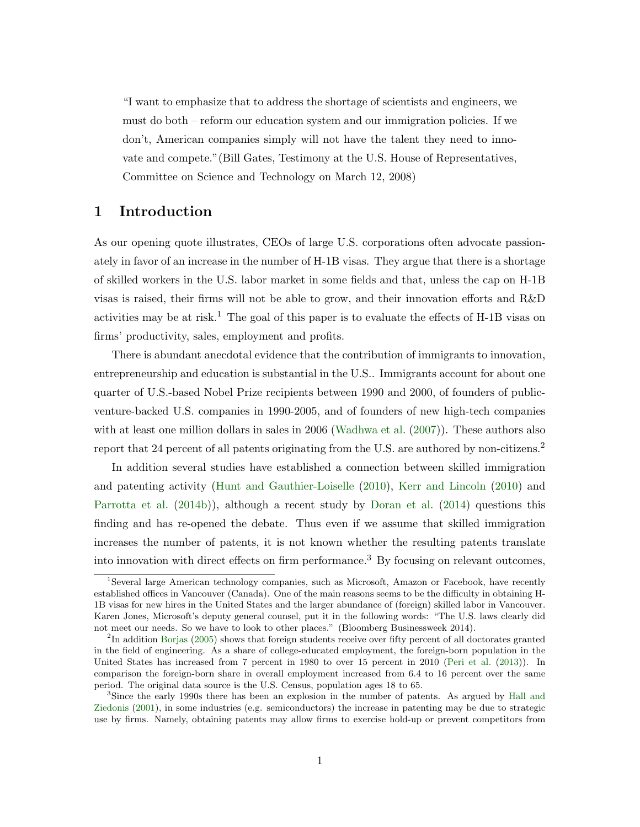"I want to emphasize that to address the shortage of scientists and engineers, we must do both – reform our education system and our immigration policies. If we don't, American companies simply will not have the talent they need to innovate and compete."(Bill Gates, Testimony at the U.S. House of Representatives, Committee on Science and Technology on March 12, 2008)

# 1 Introduction

As our opening quote illustrates, CEOs of large U.S. corporations often advocate passionately in favor of an increase in the number of H-1B visas. They argue that there is a shortage of skilled workers in the U.S. labor market in some fields and that, unless the cap on H-1B visas is raised, their firms will not be able to grow, and their innovation efforts and R&D activities may be at risk.<sup>1</sup> The goal of this paper is to evaluate the effects of H-1B visas on firms' productivity, sales, employment and profits.

There is abundant anecdotal evidence that the contribution of immigrants to innovation, entrepreneurship and education is substantial in the U.S.. Immigrants account for about one quarter of U.S.-based Nobel Prize recipients between 1990 and 2000, of founders of publicventure-backed U.S. companies in 1990-2005, and of founders of new high-tech companies with at least one million dollars in sales in 2006 [\(Wadhwa et al.](#page-32-0)  $(2007)$ ). These authors also report that 24 percent of all patents originating from the U.S. are authored by non-citizens.<sup>2</sup>

In addition several studies have established a connection between skilled immigration and patenting activity [\(Hunt and Gauthier-Loiselle](#page-31-1) [\(2010\)](#page-31-1), [Kerr and Lincoln](#page-31-0) [\(2010\)](#page-31-0) and [Parrotta et al.](#page-31-2) [\(2014b\)](#page-31-2)), although a recent study by [Doran et al.](#page-30-0) [\(2014\)](#page-30-0) questions this finding and has re-opened the debate. Thus even if we assume that skilled immigration increases the number of patents, it is not known whether the resulting patents translate into innovation with direct effects on firm performance.<sup>3</sup> By focusing on relevant outcomes,

<sup>1</sup>Several large American technology companies, such as Microsoft, Amazon or Facebook, have recently established offices in Vancouver (Canada). One of the main reasons seems to be the difficulty in obtaining H-1B visas for new hires in the United States and the larger abundance of (foreign) skilled labor in Vancouver. Karen Jones, Microsoft's deputy general counsel, put it in the following words: "The U.S. laws clearly did not meet our needs. So we have to look to other places." (Bloomberg Businessweek 2014).

<sup>&</sup>lt;sup>2</sup>In addition [Borjas](#page-30-1) [\(2005\)](#page-30-1) shows that foreign students receive over fifty percent of all doctorates granted in the field of engineering. As a share of college-educated employment, the foreign-born population in the United States has increased from 7 percent in 1980 to over 15 percent in 2010 [\(Peri et al.](#page-32-1) [\(2013\)](#page-32-1)). In comparison the foreign-born share in overall employment increased from 6.4 to 16 percent over the same period. The original data source is the U.S. Census, population ages 18 to 65.

<sup>&</sup>lt;sup>3</sup>Since the early 1990s there has been an explosion in the number of patents. As argued by [Hall and](#page-30-2) [Ziedonis](#page-30-2) [\(2001\)](#page-30-2), in some industries (e.g. semiconductors) the increase in patenting may be due to strategic use by firms. Namely, obtaining patents may allow firms to exercise hold-up or prevent competitors from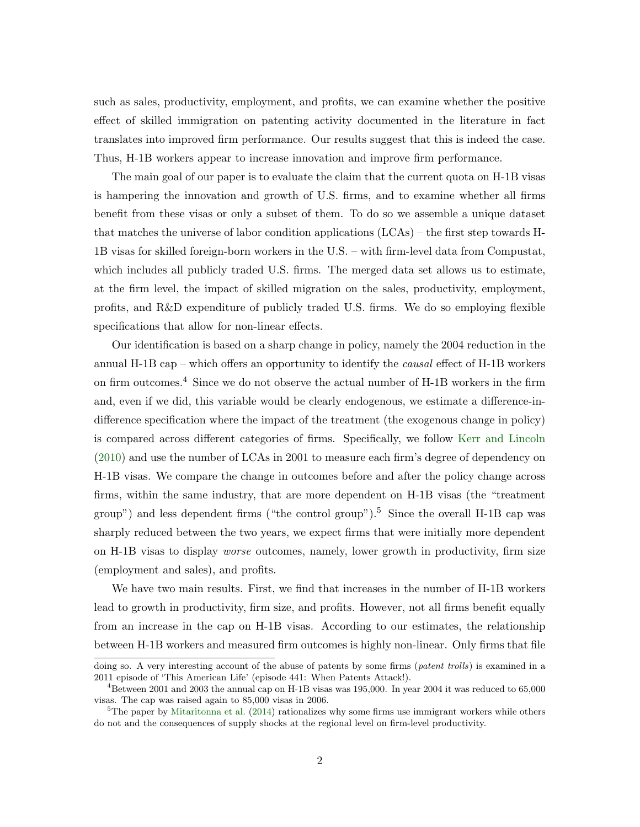such as sales, productivity, employment, and profits, we can examine whether the positive effect of skilled immigration on patenting activity documented in the literature in fact translates into improved firm performance. Our results suggest that this is indeed the case. Thus, H-1B workers appear to increase innovation and improve firm performance.

The main goal of our paper is to evaluate the claim that the current quota on H-1B visas is hampering the innovation and growth of U.S. firms, and to examine whether all firms benefit from these visas or only a subset of them. To do so we assemble a unique dataset that matches the universe of labor condition applications (LCAs) – the first step towards H-1B visas for skilled foreign-born workers in the U.S. – with firm-level data from Compustat, which includes all publicly traded U.S. firms. The merged data set allows us to estimate, at the firm level, the impact of skilled migration on the sales, productivity, employment, profits, and R&D expenditure of publicly traded U.S. firms. We do so employing flexible specifications that allow for non-linear effects.

Our identification is based on a sharp change in policy, namely the 2004 reduction in the annual H-1B cap – which offers an opportunity to identify the *causal* effect of H-1B workers on firm outcomes.<sup>4</sup> Since we do not observe the actual number of H-1B workers in the firm and, even if we did, this variable would be clearly endogenous, we estimate a difference-indifference specification where the impact of the treatment (the exogenous change in policy) is compared across different categories of firms. Specifically, we follow [Kerr and Lincoln](#page-31-0) [\(2010\)](#page-31-0) and use the number of LCAs in 2001 to measure each firm's degree of dependency on H-1B visas. We compare the change in outcomes before and after the policy change across firms, within the same industry, that are more dependent on H-1B visas (the "treatment group") and less dependent firms ("the control group").<sup>5</sup> Since the overall H-1B cap was sharply reduced between the two years, we expect firms that were initially more dependent on H-1B visas to display worse outcomes, namely, lower growth in productivity, firm size (employment and sales), and profits.

We have two main results. First, we find that increases in the number of H-1B workers lead to growth in productivity, firm size, and profits. However, not all firms benefit equally from an increase in the cap on H-1B visas. According to our estimates, the relationship between H-1B workers and measured firm outcomes is highly non-linear. Only firms that file

doing so. A very interesting account of the abuse of patents by some firms (*patent trolls*) is examined in a 2011 episode of 'This American Life' (episode 441: When Patents Attack!).

 $4B$ etween 2001 and 2003 the annual cap on H-1B visas was 195,000. In year 2004 it was reduced to 65,000 visas. The cap was raised again to 85,000 visas in 2006.

<sup>&</sup>lt;sup>5</sup>The paper by [Mitaritonna et al.](#page-31-3) [\(2014\)](#page-31-3) rationalizes why some firms use immigrant workers while others do not and the consequences of supply shocks at the regional level on firm-level productivity.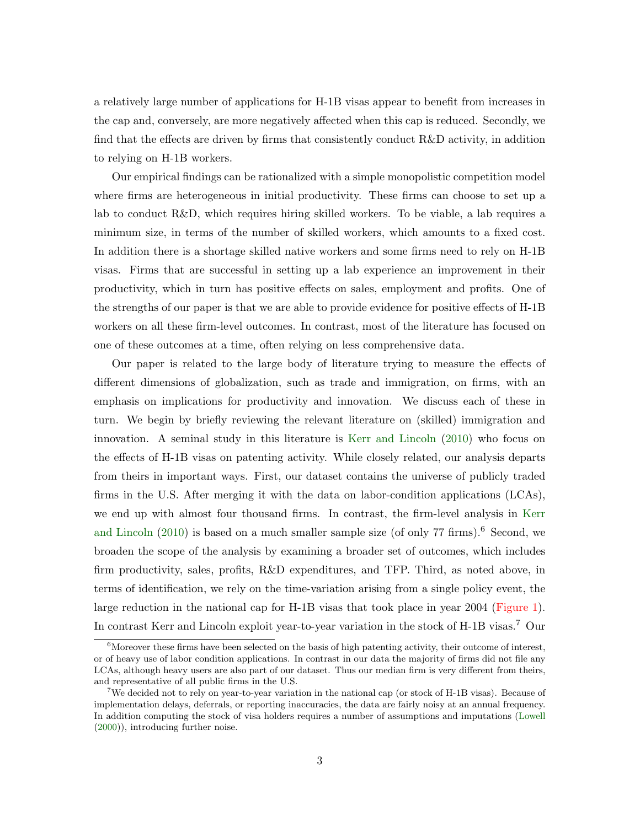a relatively large number of applications for H-1B visas appear to benefit from increases in the cap and, conversely, are more negatively affected when this cap is reduced. Secondly, we find that the effects are driven by firms that consistently conduct R&D activity, in addition to relying on H-1B workers.

Our empirical findings can be rationalized with a simple monopolistic competition model where firms are heterogeneous in initial productivity. These firms can choose to set up a lab to conduct R&D, which requires hiring skilled workers. To be viable, a lab requires a minimum size, in terms of the number of skilled workers, which amounts to a fixed cost. In addition there is a shortage skilled native workers and some firms need to rely on H-1B visas. Firms that are successful in setting up a lab experience an improvement in their productivity, which in turn has positive effects on sales, employment and profits. One of the strengths of our paper is that we are able to provide evidence for positive effects of H-1B workers on all these firm-level outcomes. In contrast, most of the literature has focused on one of these outcomes at a time, often relying on less comprehensive data.

Our paper is related to the large body of literature trying to measure the effects of different dimensions of globalization, such as trade and immigration, on firms, with an emphasis on implications for productivity and innovation. We discuss each of these in turn. We begin by briefly reviewing the relevant literature on (skilled) immigration and innovation. A seminal study in this literature is [Kerr and Lincoln](#page-31-0) [\(2010\)](#page-31-0) who focus on the effects of H-1B visas on patenting activity. While closely related, our analysis departs from theirs in important ways. First, our dataset contains the universe of publicly traded firms in the U.S. After merging it with the data on labor-condition applications (LCAs), we end up with almost four thousand firms. In contrast, the firm-level analysis in [Kerr](#page-31-0) [and Lincoln](#page-31-0)  $(2010)$  is based on a much smaller sample size (of only 77 firms).<sup>6</sup> Second, we broaden the scope of the analysis by examining a broader set of outcomes, which includes firm productivity, sales, profits, R&D expenditures, and TFP. Third, as noted above, in terms of identification, we rely on the time-variation arising from a single policy event, the large reduction in the national cap for H-1B visas that took place in year 2004 [\(Figure 1\)](#page-45-0). In contrast Kerr and Lincoln exploit year-to-year variation in the stock of H-1B visas.<sup>7</sup> Our

 ${}^{6}$ Moreover these firms have been selected on the basis of high patenting activity, their outcome of interest, or of heavy use of labor condition applications. In contrast in our data the majority of firms did not file any LCAs, although heavy users are also part of our dataset. Thus our median firm is very different from theirs, and representative of all public firms in the U.S.

<sup>7</sup>We decided not to rely on year-to-year variation in the national cap (or stock of H-1B visas). Because of implementation delays, deferrals, or reporting inaccuracies, the data are fairly noisy at an annual frequency. In addition computing the stock of visa holders requires a number of assumptions and imputations [\(Lowell](#page-31-4) [\(2000\)](#page-31-4)), introducing further noise.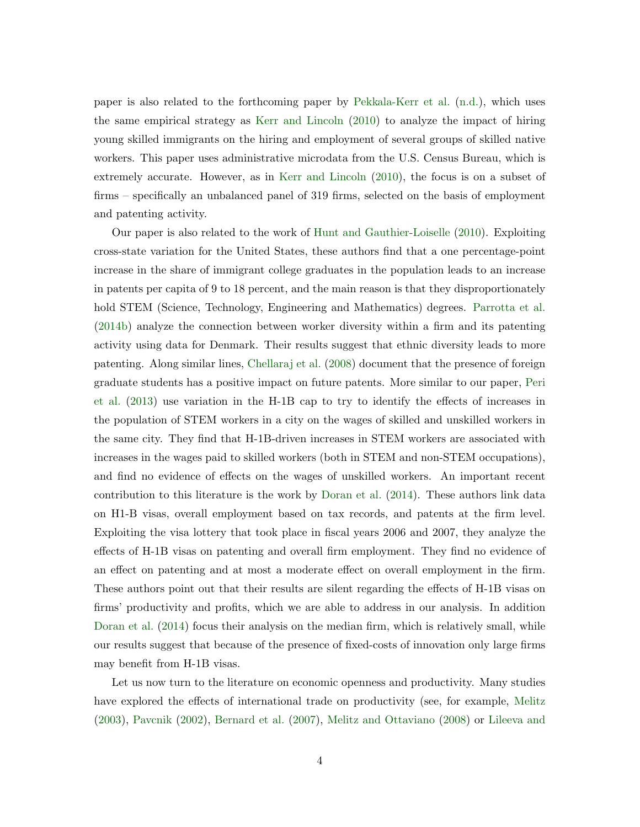paper is also related to the forthcoming paper by [Pekkala-Kerr et al.](#page-31-5) [\(n.d.\)](#page-31-5), which uses the same empirical strategy as [Kerr and Lincoln](#page-31-0) [\(2010\)](#page-31-0) to analyze the impact of hiring young skilled immigrants on the hiring and employment of several groups of skilled native workers. This paper uses administrative microdata from the U.S. Census Bureau, which is extremely accurate. However, as in [Kerr and Lincoln](#page-31-0) [\(2010\)](#page-31-0), the focus is on a subset of firms – specifically an unbalanced panel of 319 firms, selected on the basis of employment and patenting activity.

Our paper is also related to the work of [Hunt and Gauthier-Loiselle](#page-31-1) [\(2010\)](#page-31-1). Exploiting cross-state variation for the United States, these authors find that a one percentage-point increase in the share of immigrant college graduates in the population leads to an increase in patents per capita of 9 to 18 percent, and the main reason is that they disproportionately hold STEM (Science, Technology, Engineering and Mathematics) degrees. [Parrotta et al.](#page-31-2) [\(2014b\)](#page-31-2) analyze the connection between worker diversity within a firm and its patenting activity using data for Denmark. Their results suggest that ethnic diversity leads to more patenting. Along similar lines, [Chellaraj et al.](#page-30-3) [\(2008\)](#page-30-3) document that the presence of foreign graduate students has a positive impact on future patents. More similar to our paper, [Peri](#page-32-1) [et al.](#page-32-1) [\(2013\)](#page-32-1) use variation in the H-1B cap to try to identify the effects of increases in the population of STEM workers in a city on the wages of skilled and unskilled workers in the same city. They find that H-1B-driven increases in STEM workers are associated with increases in the wages paid to skilled workers (both in STEM and non-STEM occupations), and find no evidence of effects on the wages of unskilled workers. An important recent contribution to this literature is the work by [Doran et al.](#page-30-0) [\(2014\)](#page-30-0). These authors link data on H1-B visas, overall employment based on tax records, and patents at the firm level. Exploiting the visa lottery that took place in fiscal years 2006 and 2007, they analyze the effects of H-1B visas on patenting and overall firm employment. They find no evidence of an effect on patenting and at most a moderate effect on overall employment in the firm. These authors point out that their results are silent regarding the effects of H-1B visas on firms' productivity and profits, which we are able to address in our analysis. In addition [Doran et al.](#page-30-0) [\(2014\)](#page-30-0) focus their analysis on the median firm, which is relatively small, while our results suggest that because of the presence of fixed-costs of innovation only large firms may benefit from H-1B visas.

Let us now turn to the literature on economic openness and productivity. Many studies have explored the effects of international trade on productivity (see, for example, [Melitz](#page-31-6) [\(2003\)](#page-31-6), [Pavcnik](#page-31-7) [\(2002\)](#page-31-7), [Bernard et al.](#page-30-4) [\(2007\)](#page-30-4), [Melitz and Ottaviano](#page-31-8) [\(2008\)](#page-31-8) or [Lileeva and](#page-31-9)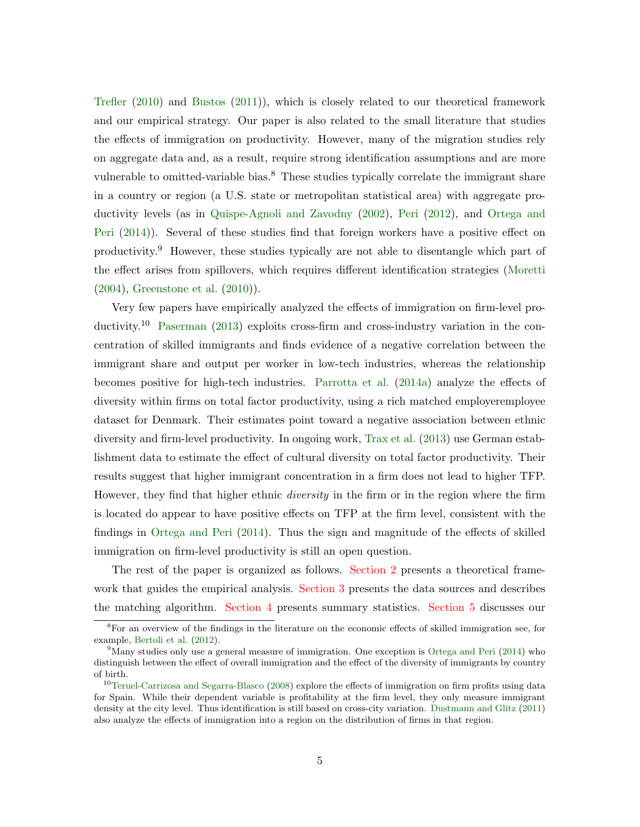[Trefler](#page-31-9) [\(2010\)](#page-31-9) and [Bustos](#page-30-5) [\(2011\)](#page-30-5)), which is closely related to our theoretical framework and our empirical strategy. Our paper is also related to the small literature that studies the effects of immigration on productivity. However, many of the migration studies rely on aggregate data and, as a result, require strong identification assumptions and are more vulnerable to omitted-variable bias.<sup>8</sup> These studies typically correlate the immigrant share in a country or region (a U.S. state or metropolitan statistical area) with aggregate productivity levels (as in [Quispe-Agnoli and Zavodny](#page-32-2) [\(2002\)](#page-32-2), [Peri](#page-31-10) [\(2012\)](#page-31-10), and [Ortega and](#page-31-11) [Peri](#page-31-11) [\(2014\)](#page-31-11)). Several of these studies find that foreign workers have a positive effect on productivity.<sup>9</sup> However, these studies typically are not able to disentangle which part of the effect arises from spillovers, which requires different identification strategies [\(Moretti](#page-31-12) [\(2004\)](#page-31-12), [Greenstone et al.](#page-30-6) [\(2010\)](#page-30-6)).

Very few papers have empirically analyzed the effects of immigration on firm-level pro-ductivity.<sup>10</sup> [Paserman](#page-31-13) [\(2013\)](#page-31-13) exploits cross-firm and cross-industry variation in the concentration of skilled immigrants and finds evidence of a negative correlation between the immigrant share and output per worker in low-tech industries, whereas the relationship becomes positive for high-tech industries. [Parrotta et al.](#page-31-14) [\(2014a\)](#page-31-14) analyze the effects of diversity within firms on total factor productivity, using a rich matched employeremployee dataset for Denmark. Their estimates point toward a negative association between ethnic diversity and firm-level productivity. In ongoing work, [Trax et al.](#page-32-3) [\(2013\)](#page-32-3) use German establishment data to estimate the effect of cultural diversity on total factor productivity. Their results suggest that higher immigrant concentration in a firm does not lead to higher TFP. However, they find that higher ethnic *diversity* in the firm or in the region where the firm is located do appear to have positive effects on TFP at the firm level, consistent with the findings in [Ortega and Peri](#page-31-11) [\(2014\)](#page-31-11). Thus the sign and magnitude of the effects of skilled immigration on firm-level productivity is still an open question.

The rest of the paper is organized as follows. [Section 2](#page-6-0) presents a theoretical frame-work that guides the empirical analysis. [Section 3](#page-8-0) presents the data sources and describes the matching algorithm. [Section 4](#page-13-0) presents summary statistics. [Section 5](#page-15-0) discusses our

<sup>8</sup>For an overview of the findings in the literature on the economic effects of skilled immigration see, for example, [Bertoli et al.](#page-30-7) [\(2012\)](#page-30-7).

<sup>&</sup>lt;sup>9</sup>Many studies only use a general measure of immigration. One exception is [Ortega and Peri](#page-31-11)  $(2014)$  who distinguish between the effect of overall immigration and the effect of the diversity of immigrants by country of birth.

<sup>&</sup>lt;sup>10</sup>[Teruel-Carrizosa and Segarra-Blasco](#page-32-4) [\(2008\)](#page-32-4) explore the effects of immigration on firm profits using data for Spain. While their dependent variable is profitability at the firm level, they only measure immigrant density at the city level. Thus identification is still based on cross-city variation. [Dustmann and Glitz](#page-30-8) [\(2011\)](#page-30-8) also analyze the effects of immigration into a region on the distribution of firms in that region.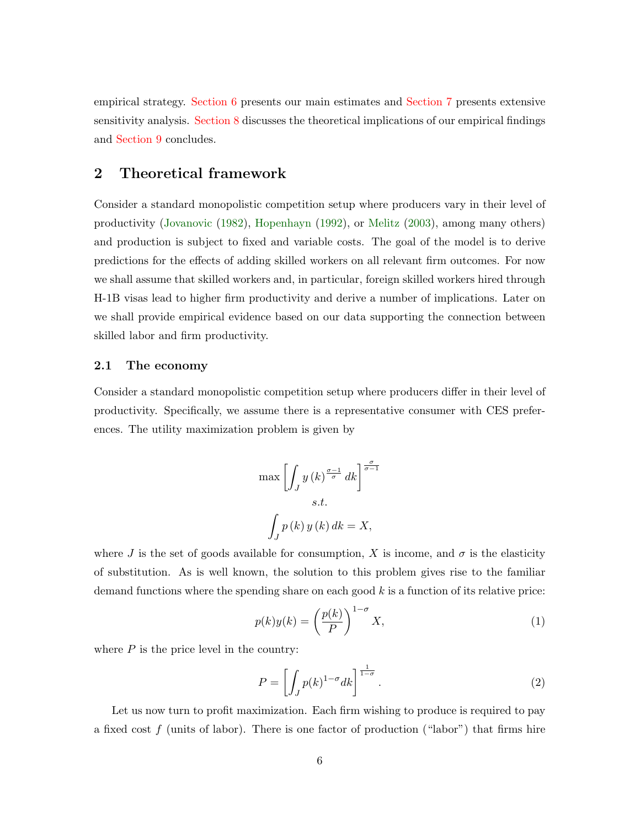empirical strategy. [Section 6](#page-19-0) presents our main estimates and [Section 7](#page-24-0) presents extensive sensitivity analysis. [Section 8](#page-27-0) discusses the theoretical implications of our empirical findings and [Section 9](#page-29-0) concludes.

# <span id="page-6-0"></span>2 Theoretical framework

Consider a standard monopolistic competition setup where producers vary in their level of productivity [\(Jovanovic](#page-31-15) [\(1982\)](#page-31-15), [Hopenhayn](#page-30-9) [\(1992\)](#page-30-9), or [Melitz](#page-31-6) [\(2003\)](#page-31-6), among many others) and production is subject to fixed and variable costs. The goal of the model is to derive predictions for the effects of adding skilled workers on all relevant firm outcomes. For now we shall assume that skilled workers and, in particular, foreign skilled workers hired through H-1B visas lead to higher firm productivity and derive a number of implications. Later on we shall provide empirical evidence based on our data supporting the connection between skilled labor and firm productivity.

#### 2.1 The economy

Consider a standard monopolistic competition setup where producers differ in their level of productivity. Specifically, we assume there is a representative consumer with CES preferences. The utility maximization problem is given by

$$
\max \left[ \int_J y(k)^{\frac{\sigma - 1}{\sigma}} dk \right]^{\frac{\sigma}{\sigma - 1}}
$$
  
s.t.  

$$
\int_J p(k) y(k) dk = X,
$$

where J is the set of goods available for consumption, X is income, and  $\sigma$  is the elasticity of substitution. As is well known, the solution to this problem gives rise to the familiar demand functions where the spending share on each good  $k$  is a function of its relative price:

$$
p(k)y(k) = \left(\frac{p(k)}{P}\right)^{1-\sigma} X,\tag{1}
$$

where  $P$  is the price level in the country:

$$
P = \left[ \int_{J} p(k)^{1-\sigma} dk \right]^{\frac{1}{1-\sigma}}.
$$
\n(2)

Let us now turn to profit maximization. Each firm wishing to produce is required to pay a fixed cost  $f$  (units of labor). There is one factor of production ("labor") that firms hire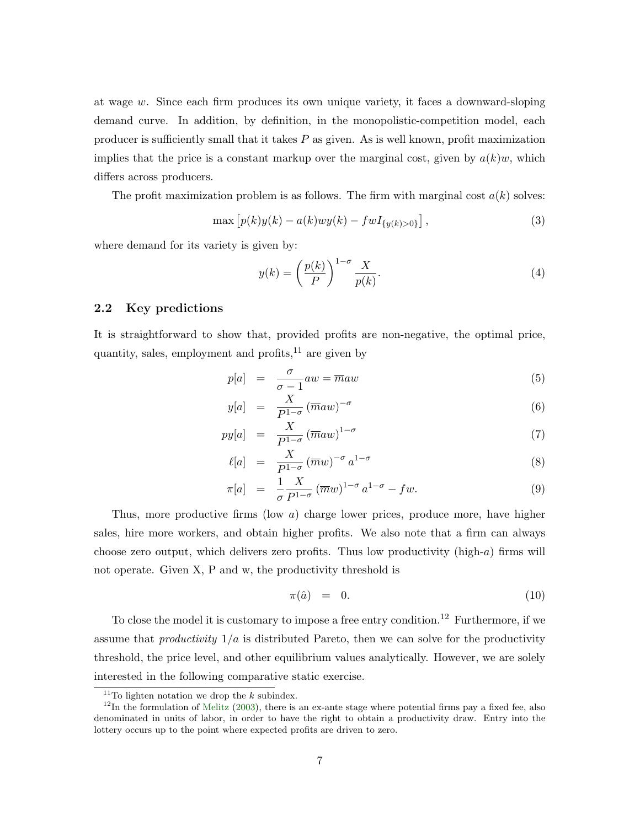at wage  $w$ . Since each firm produces its own unique variety, it faces a downward-sloping demand curve. In addition, by definition, in the monopolistic-competition model, each producer is sufficiently small that it takes  $P$  as given. As is well known, profit maximization implies that the price is a constant markup over the marginal cost, given by  $a(k)w$ , which differs across producers.

The profit maximization problem is as follows. The firm with marginal cost  $a(k)$  solves:

$$
\max [p(k)y(k) - a(k)wy(k) - fwI_{\{y(k) > 0\}}],
$$
\n(3)

where demand for its variety is given by:

$$
y(k) = \left(\frac{p(k)}{P}\right)^{1-\sigma} \frac{X}{p(k)}.\tag{4}
$$

#### 2.2 Key predictions

It is straightforward to show that, provided profits are non-negative, the optimal price, quantity, sales, employment and profits,  $^{11}$  are given by

<span id="page-7-0"></span>
$$
p[a] = \frac{\sigma}{\sigma - 1} aw = \overline{m} aw \tag{5}
$$

$$
y[a] = \frac{X}{P^{1-\sigma}} (\overline{m}aw)^{-\sigma} \tag{6}
$$

$$
py[a] = \frac{X}{P^{1-\sigma}} (\overline{m}aw)^{1-\sigma} \tag{7}
$$

$$
\ell[a] = \frac{X}{P^{1-\sigma}} (\overline{m}w)^{-\sigma} a^{1-\sigma} \tag{8}
$$

$$
\pi[a] = \frac{1}{\sigma} \frac{X}{P^{1-\sigma}} (\overline{m}w)^{1-\sigma} a^{1-\sigma} - fw. \tag{9}
$$

Thus, more productive firms (low a) charge lower prices, produce more, have higher sales, hire more workers, and obtain higher profits. We also note that a firm can always choose zero output, which delivers zero profits. Thus low productivity (high- $a$ ) firms will not operate. Given X, P and w, the productivity threshold is

$$
\pi(\hat{a}) = 0. \tag{10}
$$

To close the model it is customary to impose a free entry condition.<sup>12</sup> Furthermore, if we assume that *productivity*  $1/a$  is distributed Pareto, then we can solve for the productivity threshold, the price level, and other equilibrium values analytically. However, we are solely interested in the following comparative static exercise.

<sup>&</sup>lt;sup>11</sup>To lighten notation we drop the  $k$  subindex.

 $12$ In the formulation of [Melitz](#page-31-6) [\(2003\)](#page-31-6), there is an ex-ante stage where potential firms pay a fixed fee, also denominated in units of labor, in order to have the right to obtain a productivity draw. Entry into the lottery occurs up to the point where expected profits are driven to zero.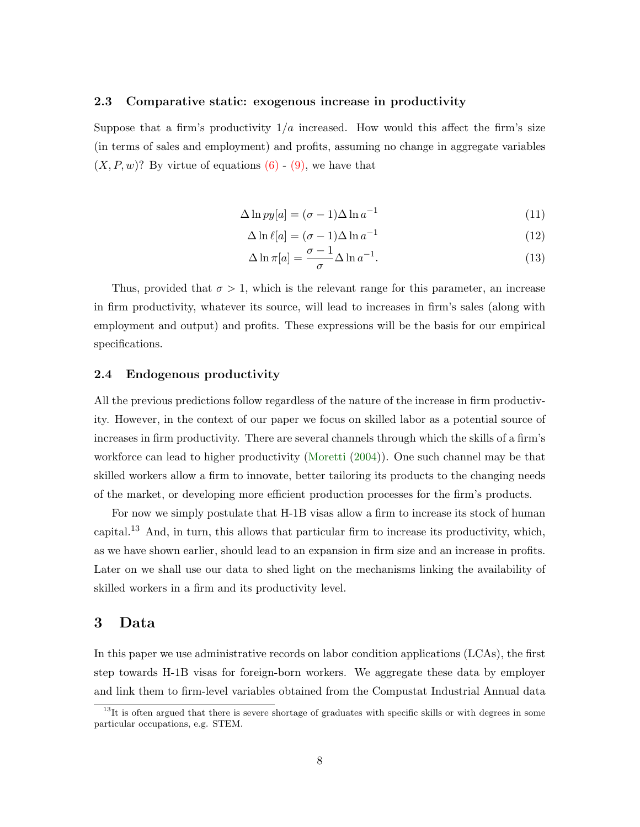#### 2.3 Comparative static: exogenous increase in productivity

Suppose that a firm's productivity  $1/a$  increased. How would this affect the firm's size (in terms of sales and employment) and profits, assuming no change in aggregate variables  $(X, P, w)$ ? By virtue of equations  $(6)$  -  $(9)$ , we have that

$$
\Delta \ln py[a] = (\sigma - 1)\Delta \ln a^{-1} \tag{11}
$$

$$
\Delta \ln \ell[a] = (\sigma - 1)\Delta \ln a^{-1} \tag{12}
$$

$$
\Delta \ln \pi[a] = \frac{\sigma - 1}{\sigma} \Delta \ln a^{-1}.
$$
\n(13)

Thus, provided that  $\sigma > 1$ , which is the relevant range for this parameter, an increase in firm productivity, whatever its source, will lead to increases in firm's sales (along with employment and output) and profits. These expressions will be the basis for our empirical specifications.

#### 2.4 Endogenous productivity

All the previous predictions follow regardless of the nature of the increase in firm productivity. However, in the context of our paper we focus on skilled labor as a potential source of increases in firm productivity. There are several channels through which the skills of a firm's workforce can lead to higher productivity [\(Moretti](#page-31-12) [\(2004\)](#page-31-12)). One such channel may be that skilled workers allow a firm to innovate, better tailoring its products to the changing needs of the market, or developing more efficient production processes for the firm's products.

For now we simply postulate that H-1B visas allow a firm to increase its stock of human capital.<sup>13</sup> And, in turn, this allows that particular firm to increase its productivity, which, as we have shown earlier, should lead to an expansion in firm size and an increase in profits. Later on we shall use our data to shed light on the mechanisms linking the availability of skilled workers in a firm and its productivity level.

# <span id="page-8-0"></span>3 Data

In this paper we use administrative records on labor condition applications (LCAs), the first step towards H-1B visas for foreign-born workers. We aggregate these data by employer and link them to firm-level variables obtained from the Compustat Industrial Annual data

 $13$ It is often argued that there is severe shortage of graduates with specific skills or with degrees in some particular occupations, e.g. STEM.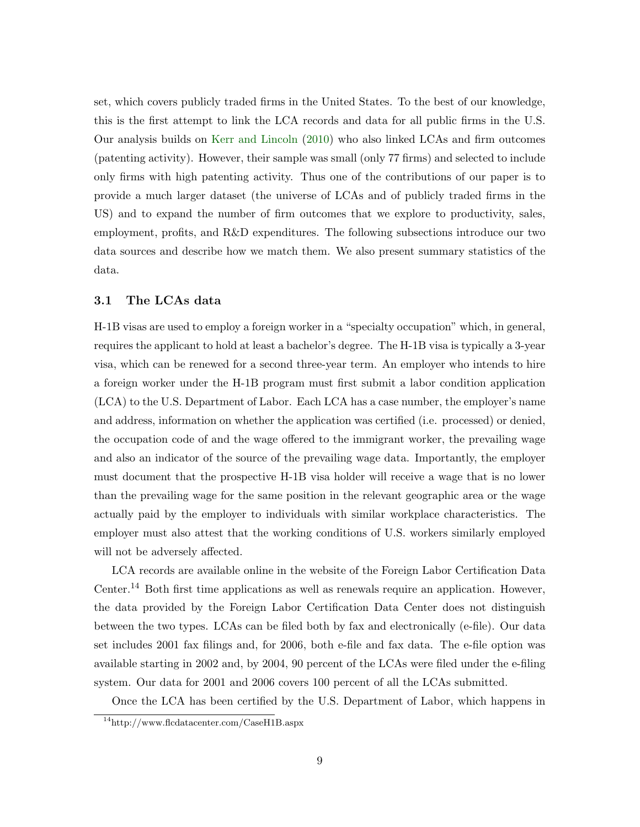set, which covers publicly traded firms in the United States. To the best of our knowledge, this is the first attempt to link the LCA records and data for all public firms in the U.S. Our analysis builds on [Kerr and Lincoln](#page-31-0) [\(2010\)](#page-31-0) who also linked LCAs and firm outcomes (patenting activity). However, their sample was small (only 77 firms) and selected to include only firms with high patenting activity. Thus one of the contributions of our paper is to provide a much larger dataset (the universe of LCAs and of publicly traded firms in the US) and to expand the number of firm outcomes that we explore to productivity, sales, employment, profits, and R&D expenditures. The following subsections introduce our two data sources and describe how we match them. We also present summary statistics of the data.

#### 3.1 The LCAs data

H-1B visas are used to employ a foreign worker in a "specialty occupation" which, in general, requires the applicant to hold at least a bachelor's degree. The H-1B visa is typically a 3-year visa, which can be renewed for a second three-year term. An employer who intends to hire a foreign worker under the H-1B program must first submit a labor condition application (LCA) to the U.S. Department of Labor. Each LCA has a case number, the employer's name and address, information on whether the application was certified (i.e. processed) or denied, the occupation code of and the wage offered to the immigrant worker, the prevailing wage and also an indicator of the source of the prevailing wage data. Importantly, the employer must document that the prospective H-1B visa holder will receive a wage that is no lower than the prevailing wage for the same position in the relevant geographic area or the wage actually paid by the employer to individuals with similar workplace characteristics. The employer must also attest that the working conditions of U.S. workers similarly employed will not be adversely affected.

LCA records are available online in the website of the Foreign Labor Certification Data Center.<sup>14</sup> Both first time applications as well as renewals require an application. However, the data provided by the Foreign Labor Certification Data Center does not distinguish between the two types. LCAs can be filed both by fax and electronically (e-file). Our data set includes 2001 fax filings and, for 2006, both e-file and fax data. The e-file option was available starting in 2002 and, by 2004, 90 percent of the LCAs were filed under the e-filing system. Our data for 2001 and 2006 covers 100 percent of all the LCAs submitted.

Once the LCA has been certified by the U.S. Department of Labor, which happens in

<sup>14</sup>http://www.flcdatacenter.com/CaseH1B.aspx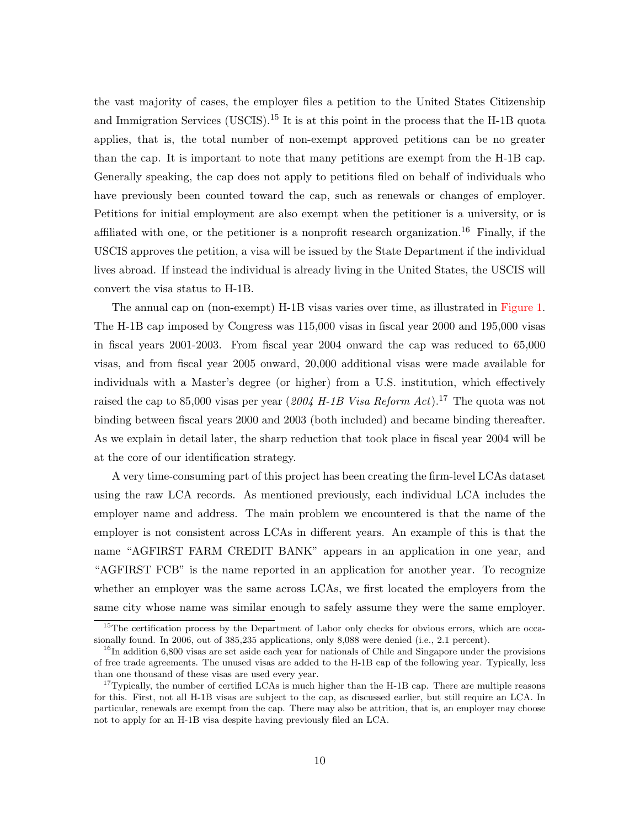the vast majority of cases, the employer files a petition to the United States Citizenship and Immigration Services (USCIS).<sup>15</sup> It is at this point in the process that the H-1B quota applies, that is, the total number of non-exempt approved petitions can be no greater than the cap. It is important to note that many petitions are exempt from the H-1B cap. Generally speaking, the cap does not apply to petitions filed on behalf of individuals who have previously been counted toward the cap, such as renewals or changes of employer. Petitions for initial employment are also exempt when the petitioner is a university, or is affiliated with one, or the petitioner is a nonprofit research organization.<sup>16</sup> Finally, if the USCIS approves the petition, a visa will be issued by the State Department if the individual lives abroad. If instead the individual is already living in the United States, the USCIS will convert the visa status to H-1B.

The annual cap on (non-exempt) H-1B visas varies over time, as illustrated in [Figure 1.](#page-45-0) The H-1B cap imposed by Congress was 115,000 visas in fiscal year 2000 and 195,000 visas in fiscal years 2001-2003. From fiscal year 2004 onward the cap was reduced to 65,000 visas, and from fiscal year 2005 onward, 20,000 additional visas were made available for individuals with a Master's degree (or higher) from a U.S. institution, which effectively raised the cap to 85,000 visas per year (2004 H-1B Visa Reform Act).<sup>17</sup> The quota was not binding between fiscal years 2000 and 2003 (both included) and became binding thereafter. As we explain in detail later, the sharp reduction that took place in fiscal year 2004 will be at the core of our identification strategy.

A very time-consuming part of this project has been creating the firm-level LCAs dataset using the raw LCA records. As mentioned previously, each individual LCA includes the employer name and address. The main problem we encountered is that the name of the employer is not consistent across LCAs in different years. An example of this is that the name "AGFIRST FARM CREDIT BANK" appears in an application in one year, and "AGFIRST FCB" is the name reported in an application for another year. To recognize whether an employer was the same across LCAs, we first located the employers from the same city whose name was similar enough to safely assume they were the same employer.

<sup>&</sup>lt;sup>15</sup>The certification process by the Department of Labor only checks for obvious errors, which are occasionally found. In 2006, out of 385,235 applications, only 8,088 were denied (i.e., 2.1 percent).

<sup>&</sup>lt;sup>16</sup>In addition 6,800 visas are set aside each year for nationals of Chile and Singapore under the provisions of free trade agreements. The unused visas are added to the H-1B cap of the following year. Typically, less than one thousand of these visas are used every year.

<sup>&</sup>lt;sup>17</sup>Typically, the number of certified LCAs is much higher than the H-1B cap. There are multiple reasons for this. First, not all H-1B visas are subject to the cap, as discussed earlier, but still require an LCA. In particular, renewals are exempt from the cap. There may also be attrition, that is, an employer may choose not to apply for an H-1B visa despite having previously filed an LCA.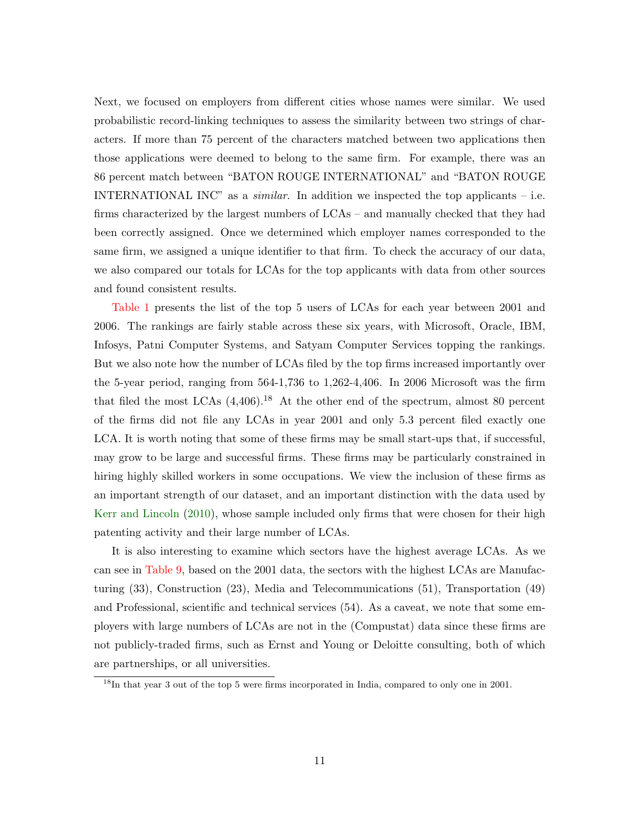Next, we focused on employers from different cities whose names were similar. We used probabilistic record-linking techniques to assess the similarity between two strings of characters. If more than 75 percent of the characters matched between two applications then those applications were deemed to belong to the same firm. For example, there was an 86 percent match between "BATON ROUGE INTERNATIONAL" and "BATON ROUGE INTERNATIONAL INC" as a *similar*. In addition we inspected the top applicants – i.e. firms characterized by the largest numbers of LCAs – and manually checked that they had been correctly assigned. Once we determined which employer names corresponded to the same firm, we assigned a unique identifier to that firm. To check the accuracy of our data, we also compared our totals for LCAs for the top applicants with data from other sources and found consistent results.

[Table 1](#page-33-0) presents the list of the top 5 users of LCAs for each year between 2001 and 2006. The rankings are fairly stable across these six years, with Microsoft, Oracle, IBM, Infosys, Patni Computer Systems, and Satyam Computer Services topping the rankings. But we also note how the number of LCAs filed by the top firms increased importantly over the 5-year period, ranging from 564-1,736 to 1,262-4,406. In 2006 Microsoft was the firm that filed the most LCAs  $(4,406)$ .<sup>18</sup> At the other end of the spectrum, almost 80 percent of the firms did not file any LCAs in year 2001 and only 5.3 percent filed exactly one LCA. It is worth noting that some of these firms may be small start-ups that, if successful, may grow to be large and successful firms. These firms may be particularly constrained in hiring highly skilled workers in some occupations. We view the inclusion of these firms as an important strength of our dataset, and an important distinction with the data used by [Kerr and Lincoln](#page-31-0) [\(2010\)](#page-31-0), whose sample included only firms that were chosen for their high patenting activity and their large number of LCAs.

It is also interesting to examine which sectors have the highest average LCAs. As we can see in [Table 9,](#page-41-0) based on the 2001 data, the sectors with the highest LCAs are Manufacturing (33), Construction (23), Media and Telecommunications (51), Transportation (49) and Professional, scientific and technical services (54). As a caveat, we note that some employers with large numbers of LCAs are not in the (Compustat) data since these firms are not publicly-traded firms, such as Ernst and Young or Deloitte consulting, both of which are partnerships, or all universities.

<sup>&</sup>lt;sup>18</sup>In that year 3 out of the top 5 were firms incorporated in India, compared to only one in 2001.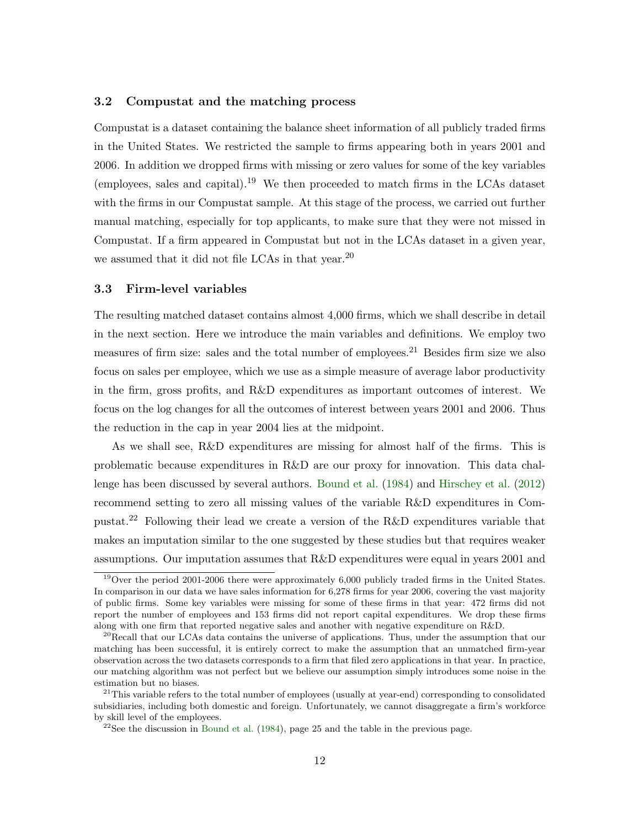#### 3.2 Compustat and the matching process

Compustat is a dataset containing the balance sheet information of all publicly traded firms in the United States. We restricted the sample to firms appearing both in years 2001 and 2006. In addition we dropped firms with missing or zero values for some of the key variables (employees, sales and capital).<sup>19</sup> We then proceeded to match firms in the LCAs dataset with the firms in our Compustat sample. At this stage of the process, we carried out further manual matching, especially for top applicants, to make sure that they were not missed in Compustat. If a firm appeared in Compustat but not in the LCAs dataset in a given year, we assumed that it did not file LCAs in that year.<sup>20</sup>

#### 3.3 Firm-level variables

The resulting matched dataset contains almost 4,000 firms, which we shall describe in detail in the next section. Here we introduce the main variables and definitions. We employ two measures of firm size: sales and the total number of employees.<sup>21</sup> Besides firm size we also focus on sales per employee, which we use as a simple measure of average labor productivity in the firm, gross profits, and R&D expenditures as important outcomes of interest. We focus on the log changes for all the outcomes of interest between years 2001 and 2006. Thus the reduction in the cap in year 2004 lies at the midpoint.

As we shall see, R&D expenditures are missing for almost half of the firms. This is problematic because expenditures in R&D are our proxy for innovation. This data challenge has been discussed by several authors. [Bound et al.](#page-30-10) [\(1984\)](#page-30-10) and [Hirschey et al.](#page-30-11) [\(2012\)](#page-30-11) recommend setting to zero all missing values of the variable R&D expenditures in Compustat.<sup>22</sup> Following their lead we create a version of the R&D expenditures variable that makes an imputation similar to the one suggested by these studies but that requires weaker assumptions. Our imputation assumes that R&D expenditures were equal in years 2001 and

<sup>&</sup>lt;sup>19</sup>Over the period 2001-2006 there were approximately 6,000 publicly traded firms in the United States. In comparison in our data we have sales information for 6,278 firms for year 2006, covering the vast majority of public firms. Some key variables were missing for some of these firms in that year: 472 firms did not report the number of employees and 153 firms did not report capital expenditures. We drop these firms along with one firm that reported negative sales and another with negative expenditure on R&D.

<sup>&</sup>lt;sup>20</sup>Recall that our LCAs data contains the universe of applications. Thus, under the assumption that our matching has been successful, it is entirely correct to make the assumption that an unmatched firm-year observation across the two datasets corresponds to a firm that filed zero applications in that year. In practice, our matching algorithm was not perfect but we believe our assumption simply introduces some noise in the estimation but no biases.

<sup>&</sup>lt;sup>21</sup>This variable refers to the total number of employees (usually at year-end) corresponding to consolidated subsidiaries, including both domestic and foreign. Unfortunately, we cannot disaggregate a firm's workforce by skill level of the employees.

 $22$ See the discussion in [Bound et al.](#page-30-10) [\(1984\)](#page-30-10), page 25 and the table in the previous page.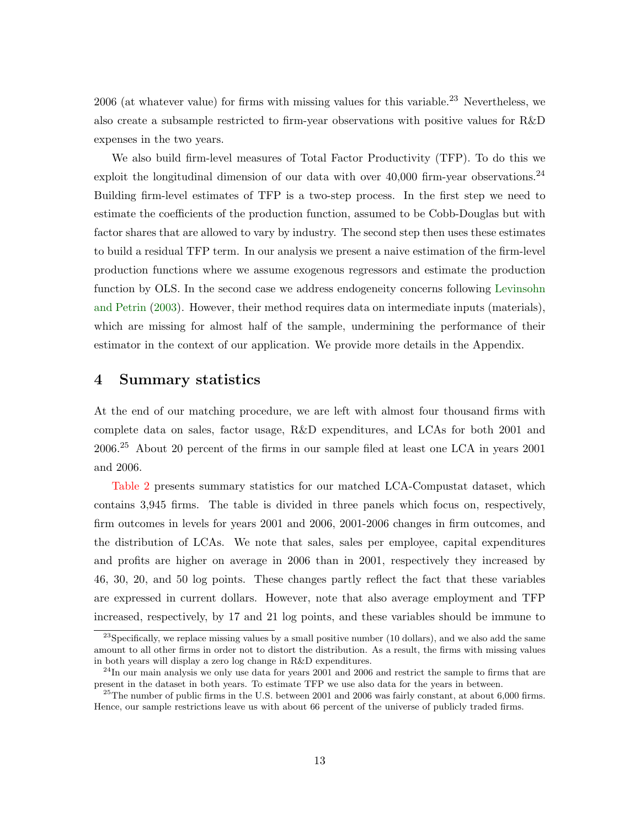$2006$  (at whatever value) for firms with missing values for this variable.<sup>23</sup> Nevertheless, we also create a subsample restricted to firm-year observations with positive values for R&D expenses in the two years.

We also build firm-level measures of Total Factor Productivity (TFP). To do this we exploit the longitudinal dimension of our data with over  $40,000$  firm-year observations.<sup>24</sup> Building firm-level estimates of TFP is a two-step process. In the first step we need to estimate the coefficients of the production function, assumed to be Cobb-Douglas but with factor shares that are allowed to vary by industry. The second step then uses these estimates to build a residual TFP term. In our analysis we present a naive estimation of the firm-level production functions where we assume exogenous regressors and estimate the production function by OLS. In the second case we address endogeneity concerns following [Levinsohn](#page-31-16) [and Petrin](#page-31-16) [\(2003\)](#page-31-16). However, their method requires data on intermediate inputs (materials), which are missing for almost half of the sample, undermining the performance of their estimator in the context of our application. We provide more details in the Appendix.

### <span id="page-13-0"></span>4 Summary statistics

At the end of our matching procedure, we are left with almost four thousand firms with complete data on sales, factor usage, R&D expenditures, and LCAs for both 2001 and 2006.<sup>25</sup> About 20 percent of the firms in our sample filed at least one LCA in years 2001 and 2006.

[Table 2](#page-34-0) presents summary statistics for our matched LCA-Compustat dataset, which contains 3,945 firms. The table is divided in three panels which focus on, respectively, firm outcomes in levels for years 2001 and 2006, 2001-2006 changes in firm outcomes, and the distribution of LCAs. We note that sales, sales per employee, capital expenditures and profits are higher on average in 2006 than in 2001, respectively they increased by 46, 30, 20, and 50 log points. These changes partly reflect the fact that these variables are expressed in current dollars. However, note that also average employment and TFP increased, respectively, by 17 and 21 log points, and these variables should be immune to

<sup>&</sup>lt;sup>23</sup>Specifically, we replace missing values by a small positive number (10 dollars), and we also add the same amount to all other firms in order not to distort the distribution. As a result, the firms with missing values in both years will display a zero log change in R&D expenditures.

 $^{24}$ In our main analysis we only use data for years 2001 and 2006 and restrict the sample to firms that are present in the dataset in both years. To estimate TFP we use also data for the years in between.

<sup>&</sup>lt;sup>25</sup>The number of public firms in the U.S. between 2001 and 2006 was fairly constant, at about  $6,000$  firms. Hence, our sample restrictions leave us with about 66 percent of the universe of publicly traded firms.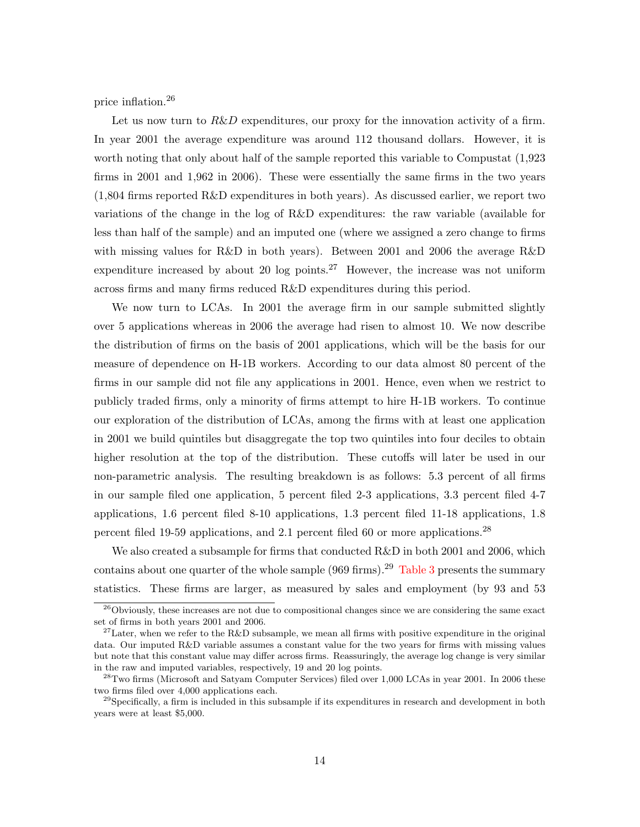price inflation.<sup>26</sup>

Let us now turn to  $R\&D$  expenditures, our proxy for the innovation activity of a firm. In year 2001 the average expenditure was around 112 thousand dollars. However, it is worth noting that only about half of the sample reported this variable to Compustat (1,923 firms in 2001 and 1,962 in 2006). These were essentially the same firms in the two years (1,804 firms reported R&D expenditures in both years). As discussed earlier, we report two variations of the change in the log of R&D expenditures: the raw variable (available for less than half of the sample) and an imputed one (where we assigned a zero change to firms with missing values for R&D in both years). Between 2001 and 2006 the average R&D expenditure increased by about 20 log points.<sup>27</sup> However, the increase was not uniform across firms and many firms reduced R&D expenditures during this period.

We now turn to LCAs. In 2001 the average firm in our sample submitted slightly over 5 applications whereas in 2006 the average had risen to almost 10. We now describe the distribution of firms on the basis of 2001 applications, which will be the basis for our measure of dependence on H-1B workers. According to our data almost 80 percent of the firms in our sample did not file any applications in 2001. Hence, even when we restrict to publicly traded firms, only a minority of firms attempt to hire H-1B workers. To continue our exploration of the distribution of LCAs, among the firms with at least one application in 2001 we build quintiles but disaggregate the top two quintiles into four deciles to obtain higher resolution at the top of the distribution. These cutoffs will later be used in our non-parametric analysis. The resulting breakdown is as follows: 5.3 percent of all firms in our sample filed one application, 5 percent filed 2-3 applications, 3.3 percent filed 4-7 applications, 1.6 percent filed 8-10 applications, 1.3 percent filed 11-18 applications, 1.8 percent filed 19-59 applications, and 2.1 percent filed 60 or more applications.<sup>28</sup>

We also created a subsample for firms that conducted R&D in both 2001 and 2006, which contains about one quarter of the whole sample (969 firms).<sup>29</sup> [Table 3](#page-35-0) presents the summary statistics. These firms are larger, as measured by sales and employment (by 93 and 53

<sup>&</sup>lt;sup>26</sup>Obviously, these increases are not due to compositional changes since we are considering the same exact set of firms in both years 2001 and 2006.

<sup>&</sup>lt;sup>27</sup>Later, when we refer to the R&D subsample, we mean all firms with positive expenditure in the original data. Our imputed R&D variable assumes a constant value for the two years for firms with missing values but note that this constant value may differ across firms. Reassuringly, the average log change is very similar in the raw and imputed variables, respectively, 19 and 20 log points.

 $^{28}$ Two firms (Microsoft and Satyam Computer Services) filed over 1,000 LCAs in year 2001. In 2006 these two firms filed over 4,000 applications each.

 $^{29}$ Specifically, a firm is included in this subsample if its expenditures in research and development in both years were at least \$5,000.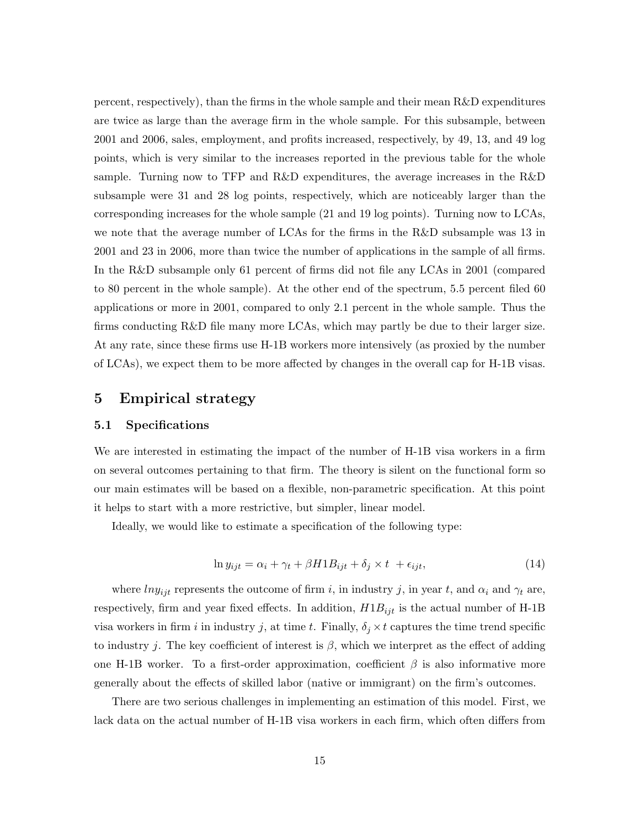percent, respectively), than the firms in the whole sample and their mean R&D expenditures are twice as large than the average firm in the whole sample. For this subsample, between 2001 and 2006, sales, employment, and profits increased, respectively, by 49, 13, and 49 log points, which is very similar to the increases reported in the previous table for the whole sample. Turning now to TFP and R&D expenditures, the average increases in the R&D subsample were 31 and 28 log points, respectively, which are noticeably larger than the corresponding increases for the whole sample (21 and 19 log points). Turning now to LCAs, we note that the average number of LCAs for the firms in the R&D subsample was 13 in 2001 and 23 in 2006, more than twice the number of applications in the sample of all firms. In the R&D subsample only 61 percent of firms did not file any LCAs in 2001 (compared to 80 percent in the whole sample). At the other end of the spectrum, 5.5 percent filed 60 applications or more in 2001, compared to only 2.1 percent in the whole sample. Thus the firms conducting R&D file many more LCAs, which may partly be due to their larger size. At any rate, since these firms use H-1B workers more intensively (as proxied by the number of LCAs), we expect them to be more affected by changes in the overall cap for H-1B visas.

## <span id="page-15-0"></span>5 Empirical strategy

#### 5.1 Specifications

We are interested in estimating the impact of the number of H-1B visa workers in a firm on several outcomes pertaining to that firm. The theory is silent on the functional form so our main estimates will be based on a flexible, non-parametric specification. At this point it helps to start with a more restrictive, but simpler, linear model.

Ideally, we would like to estimate a specification of the following type:

$$
\ln y_{ijt} = \alpha_i + \gamma_t + \beta H 1 B_{ijt} + \delta_j \times t + \epsilon_{ijt},\tag{14}
$$

where  $lny_{ijt}$  represents the outcome of firm i, in industry j, in year t, and  $\alpha_i$  and  $\gamma_t$  are, respectively, firm and year fixed effects. In addition,  $H1B_{ijt}$  is the actual number of H-1B visa workers in firm i in industry j, at time t. Finally,  $\delta_i \times t$  captures the time trend specific to industry j. The key coefficient of interest is  $\beta$ , which we interpret as the effect of adding one H-1B worker. To a first-order approximation, coefficient  $\beta$  is also informative more generally about the effects of skilled labor (native or immigrant) on the firm's outcomes.

There are two serious challenges in implementing an estimation of this model. First, we lack data on the actual number of H-1B visa workers in each firm, which often differs from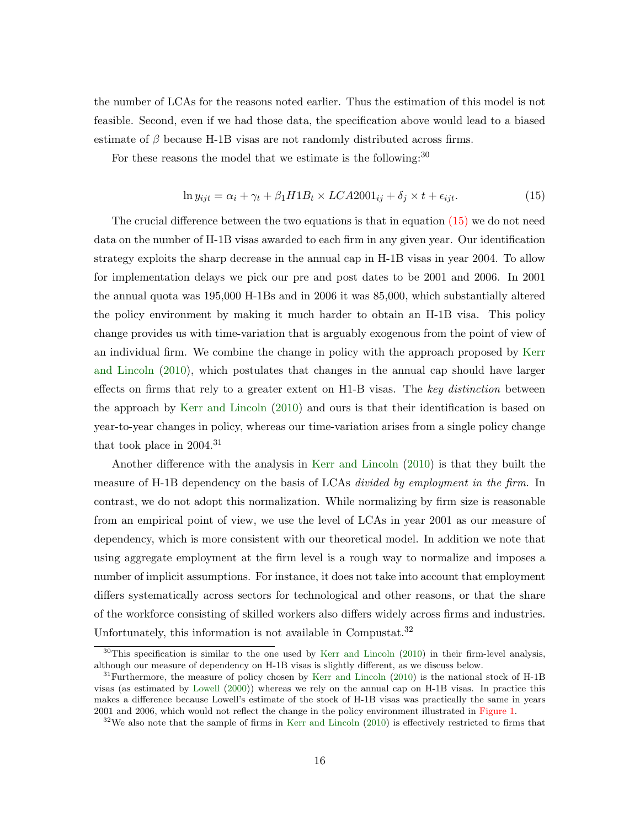the number of LCAs for the reasons noted earlier. Thus the estimation of this model is not feasible. Second, even if we had those data, the specification above would lead to a biased estimate of  $\beta$  because H-1B visas are not randomly distributed across firms.

For these reasons the model that we estimate is the following:<sup>30</sup>

<span id="page-16-0"></span>
$$
\ln y_{ijt} = \alpha_i + \gamma_t + \beta_1 H1B_t \times LCA2001_{ij} + \delta_j \times t + \epsilon_{ijt}.
$$
\n(15)

The crucial difference between the two equations is that in equation  $(15)$  we do not need data on the number of H-1B visas awarded to each firm in any given year. Our identification strategy exploits the sharp decrease in the annual cap in H-1B visas in year 2004. To allow for implementation delays we pick our pre and post dates to be 2001 and 2006. In 2001 the annual quota was 195,000 H-1Bs and in 2006 it was 85,000, which substantially altered the policy environment by making it much harder to obtain an H-1B visa. This policy change provides us with time-variation that is arguably exogenous from the point of view of an individual firm. We combine the change in policy with the approach proposed by [Kerr](#page-31-0) [and Lincoln](#page-31-0) [\(2010\)](#page-31-0), which postulates that changes in the annual cap should have larger effects on firms that rely to a greater extent on H<sub>1</sub>-B visas. The key distinction between the approach by [Kerr and Lincoln](#page-31-0) [\(2010\)](#page-31-0) and ours is that their identification is based on year-to-year changes in policy, whereas our time-variation arises from a single policy change that took place in  $2004.<sup>31</sup>$ 

Another difference with the analysis in [Kerr and Lincoln](#page-31-0) [\(2010\)](#page-31-0) is that they built the measure of H-1B dependency on the basis of LCAs *divided by employment in the firm*. In contrast, we do not adopt this normalization. While normalizing by firm size is reasonable from an empirical point of view, we use the level of LCAs in year 2001 as our measure of dependency, which is more consistent with our theoretical model. In addition we note that using aggregate employment at the firm level is a rough way to normalize and imposes a number of implicit assumptions. For instance, it does not take into account that employment differs systematically across sectors for technological and other reasons, or that the share of the workforce consisting of skilled workers also differs widely across firms and industries. Unfortunately, this information is not available in Compustat.<sup>32</sup>

<sup>&</sup>lt;sup>30</sup>This specification is similar to the one used by [Kerr and Lincoln](#page-31-0) [\(2010\)](#page-31-0) in their firm-level analysis, although our measure of dependency on H-1B visas is slightly different, as we discuss below.

 $31$ Furthermore, the measure of policy chosen by [Kerr and Lincoln](#page-31-0) [\(2010\)](#page-31-0) is the national stock of H-1B visas (as estimated by [Lowell](#page-31-4) [\(2000\)](#page-31-4)) whereas we rely on the annual cap on H-1B visas. In practice this makes a difference because Lowell's estimate of the stock of H-1B visas was practically the same in years 2001 and 2006, which would not reflect the change in the policy environment illustrated in [Figure 1.](#page-45-0)

 $32\text{We also note that the sample of firms in Kerr and Lincoln (2010) is effectively restricted to firms that}$  $32\text{We also note that the sample of firms in Kerr and Lincoln (2010) is effectively restricted to firms that}$  $32\text{We also note that the sample of firms in Kerr and Lincoln (2010) is effectively restricted to firms that}$  $32\text{We also note that the sample of firms in Kerr and Lincoln (2010) is effectively restricted to firms that}$  $32\text{We also note that the sample of firms in Kerr and Lincoln (2010) is effectively restricted to firms that}$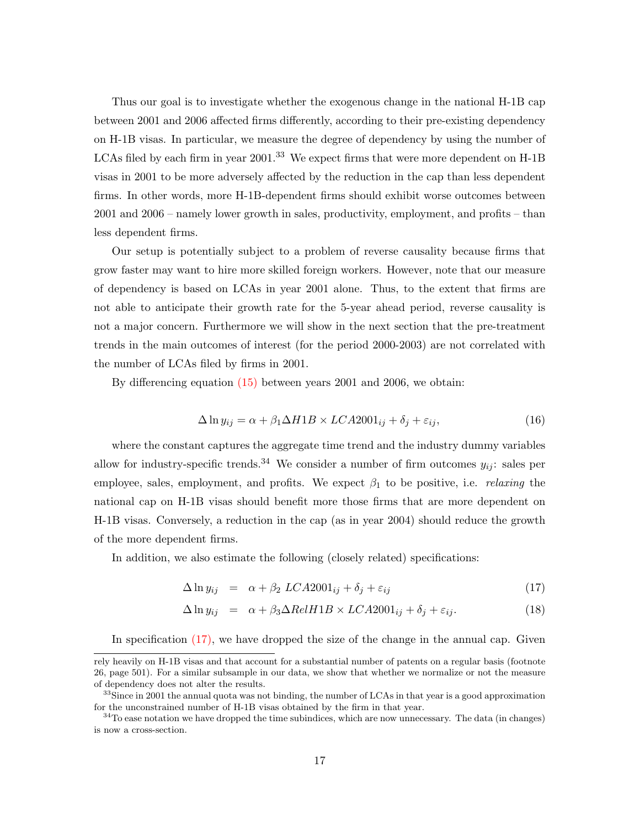Thus our goal is to investigate whether the exogenous change in the national H-1B cap between 2001 and 2006 affected firms differently, according to their pre-existing dependency on H-1B visas. In particular, we measure the degree of dependency by using the number of LCAs filed by each firm in year 2001.<sup>33</sup> We expect firms that were more dependent on H-1B visas in 2001 to be more adversely affected by the reduction in the cap than less dependent firms. In other words, more H-1B-dependent firms should exhibit worse outcomes between 2001 and 2006 – namely lower growth in sales, productivity, employment, and profits – than less dependent firms.

Our setup is potentially subject to a problem of reverse causality because firms that grow faster may want to hire more skilled foreign workers. However, note that our measure of dependency is based on LCAs in year 2001 alone. Thus, to the extent that firms are not able to anticipate their growth rate for the 5-year ahead period, reverse causality is not a major concern. Furthermore we will show in the next section that the pre-treatment trends in the main outcomes of interest (for the period 2000-2003) are not correlated with the number of LCAs filed by firms in 2001.

By differencing equation [\(15\)](#page-16-0) between years 2001 and 2006, we obtain:

<span id="page-17-1"></span>
$$
\Delta \ln y_{ij} = \alpha + \beta_1 \Delta H1B \times LCA2001_{ij} + \delta_j + \varepsilon_{ij},\tag{16}
$$

where the constant captures the aggregate time trend and the industry dummy variables allow for industry-specific trends.<sup>34</sup> We consider a number of firm outcomes  $y_{ij}$ : sales per employee, sales, employment, and profits. We expect  $\beta_1$  to be positive, i.e. *relaxing* the national cap on H-1B visas should benefit more those firms that are more dependent on H-1B visas. Conversely, a reduction in the cap (as in year 2004) should reduce the growth of the more dependent firms.

In addition, we also estimate the following (closely related) specifications:

<span id="page-17-0"></span>
$$
\Delta \ln y_{ij} = \alpha + \beta_2 LCA2001_{ij} + \delta_j + \varepsilon_{ij}
$$
\n(17)

$$
\Delta \ln y_{ij} = \alpha + \beta_3 \Delta RelH1B \times LCA2001_{ij} + \delta_j + \varepsilon_{ij}.
$$
\n(18)

In specification  $(17)$ , we have dropped the size of the change in the annual cap. Given

rely heavily on H-1B visas and that account for a substantial number of patents on a regular basis (footnote 26, page 501). For a similar subsample in our data, we show that whether we normalize or not the measure of dependency does not alter the results.

<sup>&</sup>lt;sup>33</sup>Since in 2001 the annual quota was not binding, the number of LCAs in that year is a good approximation for the unconstrained number of H-1B visas obtained by the firm in that year.

<sup>&</sup>lt;sup>34</sup>To ease notation we have dropped the time subindices, which are now unnecessary. The data (in changes) is now a cross-section.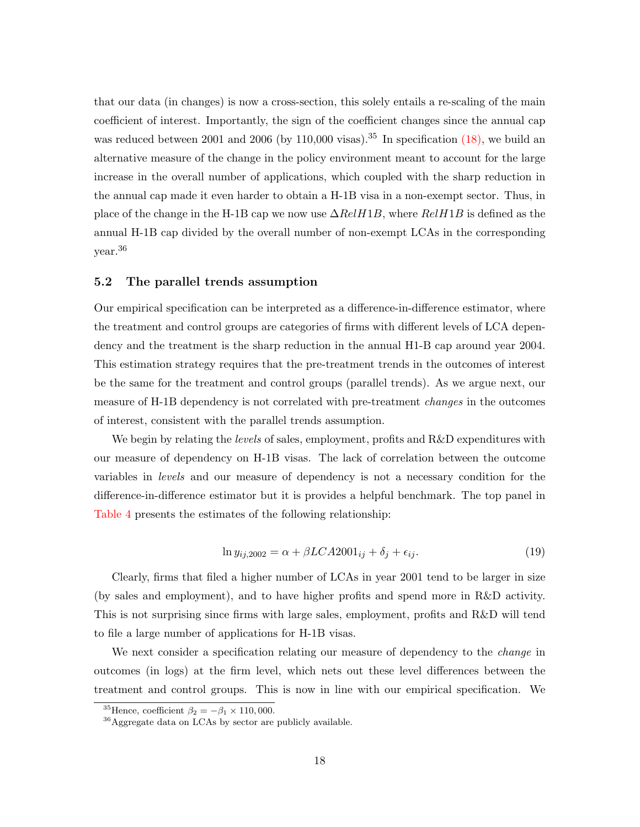that our data (in changes) is now a cross-section, this solely entails a re-scaling of the main coefficient of interest. Importantly, the sign of the coefficient changes since the annual cap was reduced between 2001 and 2006 (by 110,000 visas).<sup>35</sup> In specification  $(18)$ , we build an alternative measure of the change in the policy environment meant to account for the large increase in the overall number of applications, which coupled with the sharp reduction in the annual cap made it even harder to obtain a H-1B visa in a non-exempt sector. Thus, in place of the change in the H-1B cap we now use  $\Delta RelH1B$ , where  $RelH1B$  is defined as the annual H-1B cap divided by the overall number of non-exempt LCAs in the corresponding year.<sup>36</sup>

#### 5.2 The parallel trends assumption

Our empirical specification can be interpreted as a difference-in-difference estimator, where the treatment and control groups are categories of firms with different levels of LCA dependency and the treatment is the sharp reduction in the annual H1-B cap around year 2004. This estimation strategy requires that the pre-treatment trends in the outcomes of interest be the same for the treatment and control groups (parallel trends). As we argue next, our measure of H-1B dependency is not correlated with pre-treatment *changes* in the outcomes of interest, consistent with the parallel trends assumption.

We begin by relating the *levels* of sales, employment, profits and R&D expenditures with our measure of dependency on H-1B visas. The lack of correlation between the outcome variables in levels and our measure of dependency is not a necessary condition for the difference-in-difference estimator but it is provides a helpful benchmark. The top panel in [Table 4](#page-36-0) presents the estimates of the following relationship:

$$
\ln y_{ij,2002} = \alpha + \beta LCA2001_{ij} + \delta_j + \epsilon_{ij}.\tag{19}
$$

Clearly, firms that filed a higher number of LCAs in year 2001 tend to be larger in size (by sales and employment), and to have higher profits and spend more in R&D activity. This is not surprising since firms with large sales, employment, profits and R&D will tend to file a large number of applications for H-1B visas.

We next consider a specification relating our measure of dependency to the *change* in outcomes (in logs) at the firm level, which nets out these level differences between the treatment and control groups. This is now in line with our empirical specification. We

<sup>&</sup>lt;sup>35</sup>Hence, coefficient  $\beta_2 = -\beta_1 \times 110,000$ .

<sup>36</sup>Aggregate data on LCAs by sector are publicly available.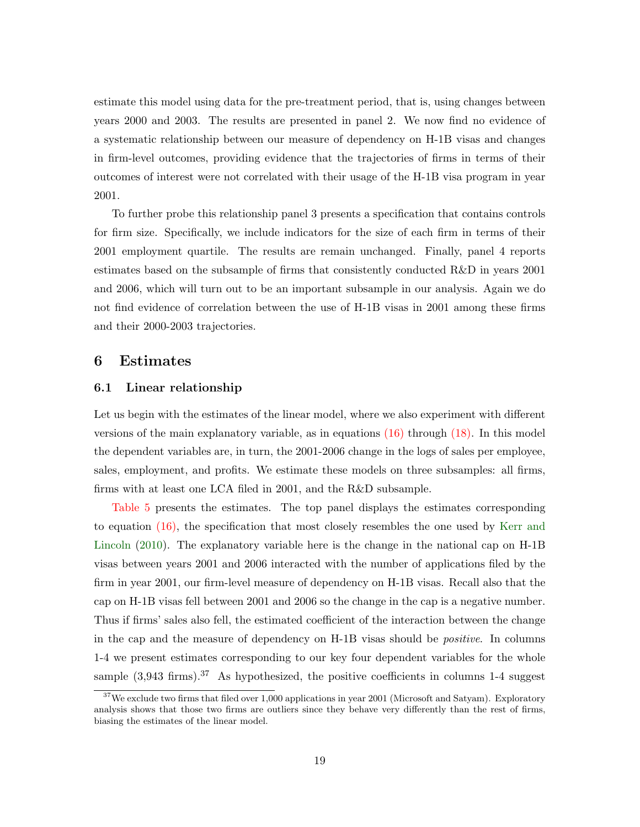estimate this model using data for the pre-treatment period, that is, using changes between years 2000 and 2003. The results are presented in panel 2. We now find no evidence of a systematic relationship between our measure of dependency on H-1B visas and changes in firm-level outcomes, providing evidence that the trajectories of firms in terms of their outcomes of interest were not correlated with their usage of the H-1B visa program in year 2001.

To further probe this relationship panel 3 presents a specification that contains controls for firm size. Specifically, we include indicators for the size of each firm in terms of their 2001 employment quartile. The results are remain unchanged. Finally, panel 4 reports estimates based on the subsample of firms that consistently conducted R&D in years 2001 and 2006, which will turn out to be an important subsample in our analysis. Again we do not find evidence of correlation between the use of H-1B visas in 2001 among these firms and their 2000-2003 trajectories.

## <span id="page-19-0"></span>6 Estimates

#### 6.1 Linear relationship

Let us begin with the estimates of the linear model, where we also experiment with different versions of the main explanatory variable, as in equations  $(16)$  through  $(18)$ . In this model the dependent variables are, in turn, the 2001-2006 change in the logs of sales per employee, sales, employment, and profits. We estimate these models on three subsamples: all firms, firms with at least one LCA filed in 2001, and the R&D subsample.

[Table 5](#page-37-0) presents the estimates. The top panel displays the estimates corresponding to equation [\(16\),](#page-17-1) the specification that most closely resembles the one used by [Kerr and](#page-31-0) [Lincoln](#page-31-0) [\(2010\)](#page-31-0). The explanatory variable here is the change in the national cap on H-1B visas between years 2001 and 2006 interacted with the number of applications filed by the firm in year 2001, our firm-level measure of dependency on H-1B visas. Recall also that the cap on H-1B visas fell between 2001 and 2006 so the change in the cap is a negative number. Thus if firms' sales also fell, the estimated coefficient of the interaction between the change in the cap and the measure of dependency on H-1B visas should be positive. In columns 1-4 we present estimates corresponding to our key four dependent variables for the whole sample  $(3.943 \text{ firms})$ .<sup>37</sup> As hypothesized, the positive coefficients in columns 1-4 suggest

<sup>&</sup>lt;sup>37</sup>We exclude two firms that filed over 1,000 applications in year 2001 (Microsoft and Satyam). Exploratory analysis shows that those two firms are outliers since they behave very differently than the rest of firms, biasing the estimates of the linear model.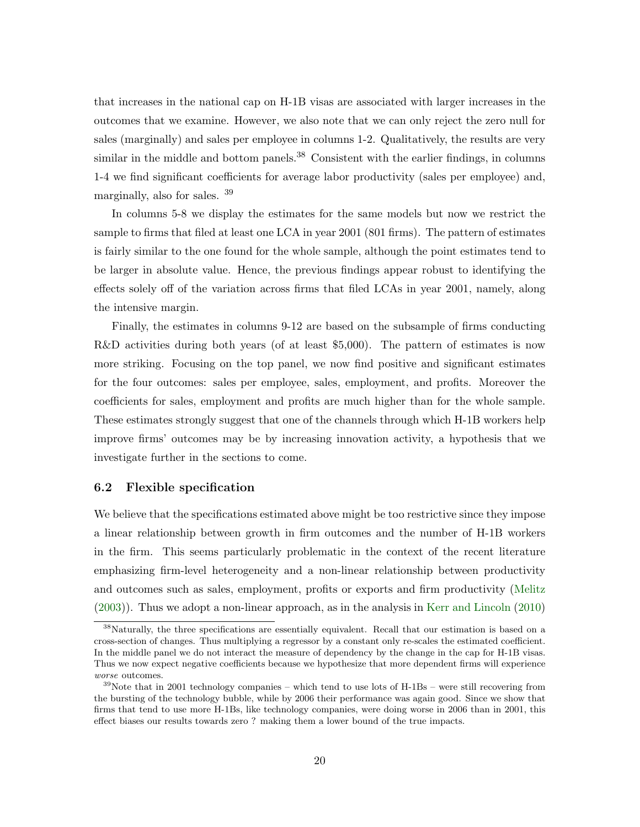that increases in the national cap on H-1B visas are associated with larger increases in the outcomes that we examine. However, we also note that we can only reject the zero null for sales (marginally) and sales per employee in columns 1-2. Qualitatively, the results are very similar in the middle and bottom panels.<sup>38</sup> Consistent with the earlier findings, in columns 1-4 we find significant coefficients for average labor productivity (sales per employee) and, marginally, also for sales. <sup>39</sup>

In columns 5-8 we display the estimates for the same models but now we restrict the sample to firms that filed at least one LCA in year 2001 (801 firms). The pattern of estimates is fairly similar to the one found for the whole sample, although the point estimates tend to be larger in absolute value. Hence, the previous findings appear robust to identifying the effects solely off of the variation across firms that filed LCAs in year 2001, namely, along the intensive margin.

Finally, the estimates in columns 9-12 are based on the subsample of firms conducting R&D activities during both years (of at least \$5,000). The pattern of estimates is now more striking. Focusing on the top panel, we now find positive and significant estimates for the four outcomes: sales per employee, sales, employment, and profits. Moreover the coefficients for sales, employment and profits are much higher than for the whole sample. These estimates strongly suggest that one of the channels through which H-1B workers help improve firms' outcomes may be by increasing innovation activity, a hypothesis that we investigate further in the sections to come.

#### 6.2 Flexible specification

We believe that the specifications estimated above might be too restrictive since they impose a linear relationship between growth in firm outcomes and the number of H-1B workers in the firm. This seems particularly problematic in the context of the recent literature emphasizing firm-level heterogeneity and a non-linear relationship between productivity and outcomes such as sales, employment, profits or exports and firm productivity [\(Melitz](#page-31-6) [\(2003\)](#page-31-6)). Thus we adopt a non-linear approach, as in the analysis in [Kerr and Lincoln](#page-31-0) [\(2010\)](#page-31-0)

<sup>&</sup>lt;sup>38</sup>Naturally, the three specifications are essentially equivalent. Recall that our estimation is based on a cross-section of changes. Thus multiplying a regressor by a constant only re-scales the estimated coefficient. In the middle panel we do not interact the measure of dependency by the change in the cap for H-1B visas. Thus we now expect negative coefficients because we hypothesize that more dependent firms will experience worse outcomes.

 $39$ Note that in 2001 technology companies – which tend to use lots of H-1Bs – were still recovering from the bursting of the technology bubble, while by 2006 their performance was again good. Since we show that firms that tend to use more H-1Bs, like technology companies, were doing worse in 2006 than in 2001, this effect biases our results towards zero ? making them a lower bound of the true impacts.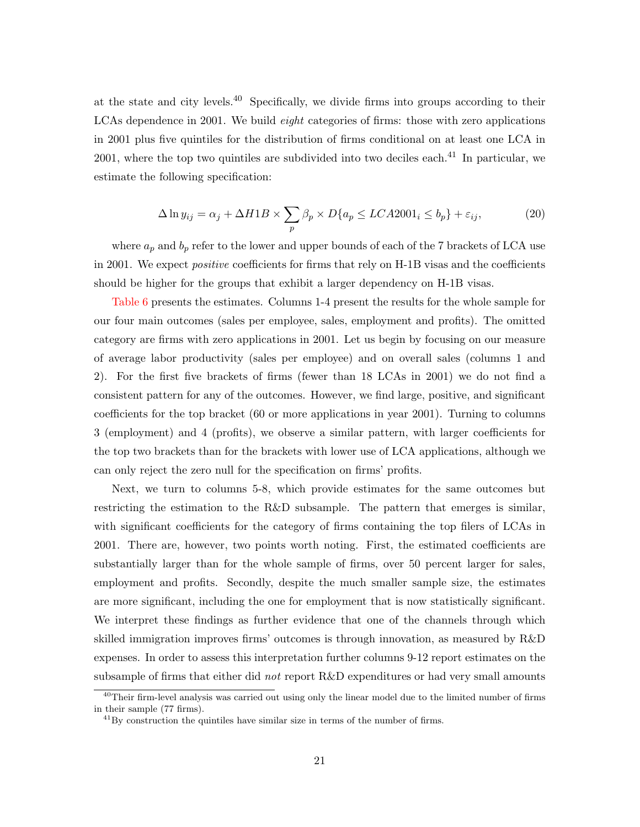at the state and city levels. $40$  Specifically, we divide firms into groups according to their LCAs dependence in 2001. We build *eight* categories of firms: those with zero applications in 2001 plus five quintiles for the distribution of firms conditional on at least one LCA in 2001, where the top two quintiles are subdivided into two deciles each. $^{41}$  In particular, we estimate the following specification:

$$
\Delta \ln y_{ij} = \alpha_j + \Delta H1B \times \sum_p \beta_p \times D\{a_p \le LCA2001_i \le b_p\} + \varepsilon_{ij},\tag{20}
$$

where  $a_p$  and  $b_p$  refer to the lower and upper bounds of each of the 7 brackets of LCA use in 2001. We expect *positive* coefficients for firms that rely on H-1B visas and the coefficients should be higher for the groups that exhibit a larger dependency on H-1B visas.

[Table 6](#page-38-0) presents the estimates. Columns 1-4 present the results for the whole sample for our four main outcomes (sales per employee, sales, employment and profits). The omitted category are firms with zero applications in 2001. Let us begin by focusing on our measure of average labor productivity (sales per employee) and on overall sales (columns 1 and 2). For the first five brackets of firms (fewer than 18 LCAs in 2001) we do not find a consistent pattern for any of the outcomes. However, we find large, positive, and significant coefficients for the top bracket (60 or more applications in year 2001). Turning to columns 3 (employment) and 4 (profits), we observe a similar pattern, with larger coefficients for the top two brackets than for the brackets with lower use of LCA applications, although we can only reject the zero null for the specification on firms' profits.

Next, we turn to columns 5-8, which provide estimates for the same outcomes but restricting the estimation to the R&D subsample. The pattern that emerges is similar, with significant coefficients for the category of firms containing the top filers of LCAs in 2001. There are, however, two points worth noting. First, the estimated coefficients are substantially larger than for the whole sample of firms, over 50 percent larger for sales, employment and profits. Secondly, despite the much smaller sample size, the estimates are more significant, including the one for employment that is now statistically significant. We interpret these findings as further evidence that one of the channels through which skilled immigration improves firms' outcomes is through innovation, as measured by R&D expenses. In order to assess this interpretation further columns 9-12 report estimates on the subsample of firms that either did not report  $R\&D$  expenditures or had very small amounts

 $40$ Their firm-level analysis was carried out using only the linear model due to the limited number of firms in their sample (77 firms).

 $^{41}$ By construction the quintiles have similar size in terms of the number of firms.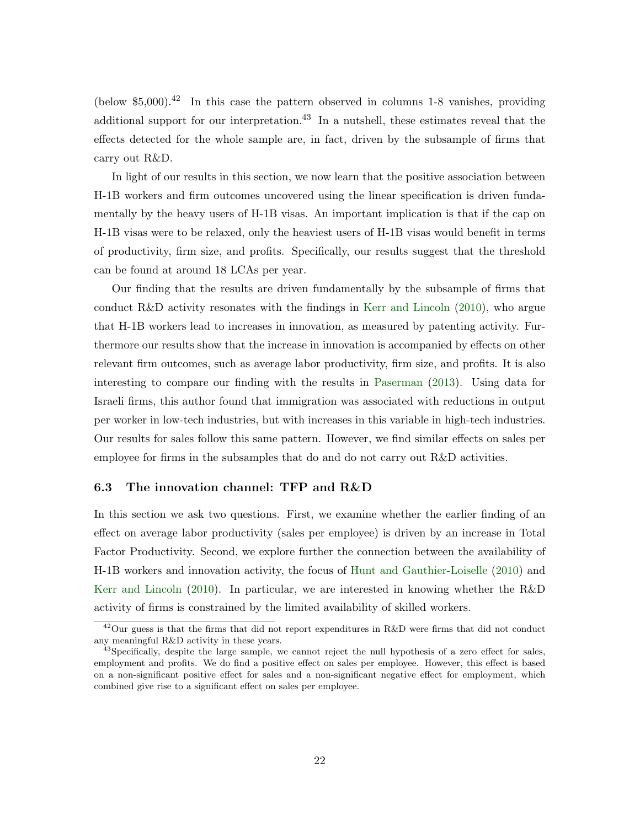(below \$5,000).<sup>42</sup> In this case the pattern observed in columns 1-8 vanishes, providing additional support for our interpretation.<sup>43</sup> In a nutshell, these estimates reveal that the effects detected for the whole sample are, in fact, driven by the subsample of firms that carry out R&D.

In light of our results in this section, we now learn that the positive association between H-1B workers and firm outcomes uncovered using the linear specification is driven fundamentally by the heavy users of H-1B visas. An important implication is that if the cap on H-1B visas were to be relaxed, only the heaviest users of H-1B visas would benefit in terms of productivity, firm size, and profits. Specifically, our results suggest that the threshold can be found at around 18 LCAs per year.

Our finding that the results are driven fundamentally by the subsample of firms that conduct R&D activity resonates with the findings in [Kerr and Lincoln](#page-31-0) [\(2010\)](#page-31-0), who argue that H-1B workers lead to increases in innovation, as measured by patenting activity. Furthermore our results show that the increase in innovation is accompanied by effects on other relevant firm outcomes, such as average labor productivity, firm size, and profits. It is also interesting to compare our finding with the results in [Paserman](#page-31-13) [\(2013\)](#page-31-13). Using data for Israeli firms, this author found that immigration was associated with reductions in output per worker in low-tech industries, but with increases in this variable in high-tech industries. Our results for sales follow this same pattern. However, we find similar effects on sales per employee for firms in the subsamples that do and do not carry out R&D activities.

#### 6.3 The innovation channel: TFP and R&D

In this section we ask two questions. First, we examine whether the earlier finding of an effect on average labor productivity (sales per employee) is driven by an increase in Total Factor Productivity. Second, we explore further the connection between the availability of H-1B workers and innovation activity, the focus of [Hunt and Gauthier-Loiselle](#page-31-1) [\(2010\)](#page-31-1) and [Kerr and Lincoln](#page-31-0) [\(2010\)](#page-31-0). In particular, we are interested in knowing whether the R&D activity of firms is constrained by the limited availability of skilled workers.

<sup>42</sup>Our guess is that the firms that did not report expenditures in R&D were firms that did not conduct any meaningful R&D activity in these years.

<sup>&</sup>lt;sup>43</sup>Specifically, despite the large sample, we cannot reject the null hypothesis of a zero effect for sales, employment and profits. We do find a positive effect on sales per employee. However, this effect is based on a non-significant positive effect for sales and a non-significant negative effect for employment, which combined give rise to a significant effect on sales per employee.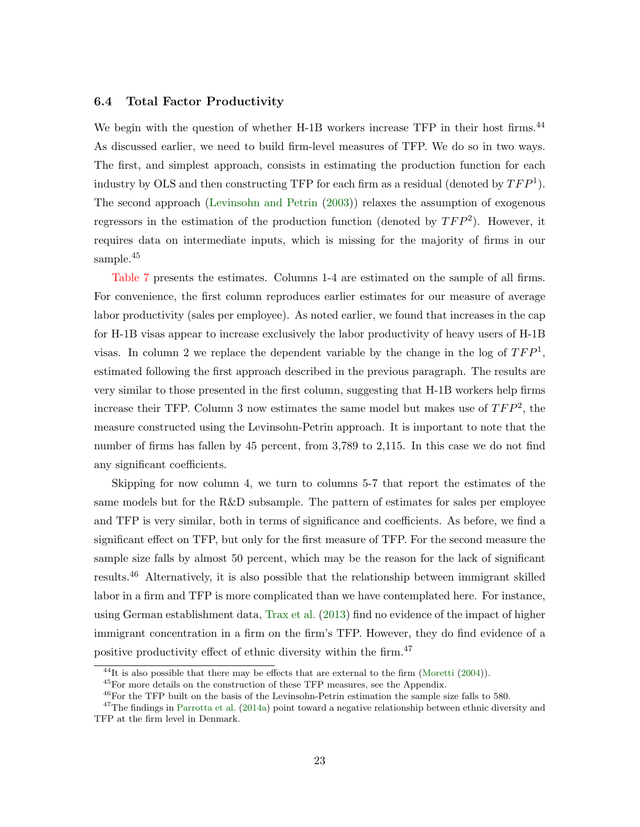#### 6.4 Total Factor Productivity

We begin with the question of whether H-1B workers increase TFP in their host firms.<sup>44</sup> As discussed earlier, we need to build firm-level measures of TFP. We do so in two ways. The first, and simplest approach, consists in estimating the production function for each industry by OLS and then constructing TFP for each firm as a residual (denoted by  $TFP<sup>1</sup>$ ). The second approach [\(Levinsohn and Petrin](#page-31-16) [\(2003\)](#page-31-16)) relaxes the assumption of exogenous regressors in the estimation of the production function (denoted by  $TFP^2$ ). However, it requires data on intermediate inputs, which is missing for the majority of firms in our sample.<sup>45</sup>

[Table 7](#page-39-0) presents the estimates. Columns 1-4 are estimated on the sample of all firms. For convenience, the first column reproduces earlier estimates for our measure of average labor productivity (sales per employee). As noted earlier, we found that increases in the cap for H-1B visas appear to increase exclusively the labor productivity of heavy users of H-1B visas. In column 2 we replace the dependent variable by the change in the log of  $TFP<sup>1</sup>$ , estimated following the first approach described in the previous paragraph. The results are very similar to those presented in the first column, suggesting that H-1B workers help firms increase their TFP. Column 3 now estimates the same model but makes use of  $TFP^2$ , the measure constructed using the Levinsohn-Petrin approach. It is important to note that the number of firms has fallen by 45 percent, from 3,789 to 2,115. In this case we do not find any significant coefficients.

Skipping for now column 4, we turn to columns 5-7 that report the estimates of the same models but for the R&D subsample. The pattern of estimates for sales per employee and TFP is very similar, both in terms of significance and coefficients. As before, we find a significant effect on TFP, but only for the first measure of TFP. For the second measure the sample size falls by almost 50 percent, which may be the reason for the lack of significant results.<sup>46</sup> Alternatively, it is also possible that the relationship between immigrant skilled labor in a firm and TFP is more complicated than we have contemplated here. For instance, using German establishment data, [Trax et al.](#page-32-3) [\(2013\)](#page-32-3) find no evidence of the impact of higher immigrant concentration in a firm on the firm's TFP. However, they do find evidence of a positive productivity effect of ethnic diversity within the firm.<sup>47</sup>

 $^{44}$ It is also possible that there may be effects that are external to the firm [\(Moretti](#page-31-12) [\(2004\)](#page-31-12)).

<sup>45</sup>For more details on the construction of these TFP measures, see the Appendix.

<sup>46</sup>For the TFP built on the basis of the Levinsohn-Petrin estimation the sample size falls to 580.

 $47$ The findings in [Parrotta et al.](#page-31-14) [\(2014a\)](#page-31-14) point toward a negative relationship between ethnic diversity and TFP at the firm level in Denmark.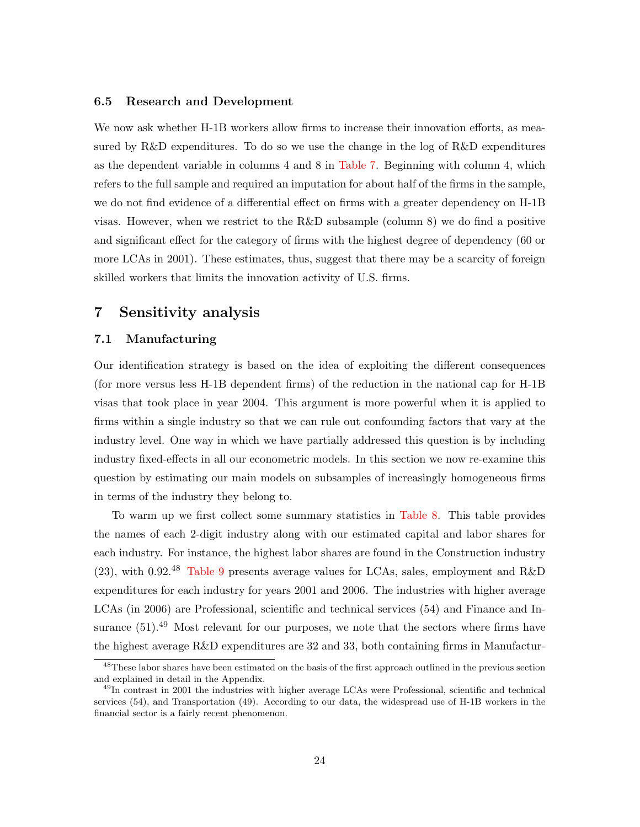#### 6.5 Research and Development

We now ask whether H-1B workers allow firms to increase their innovation efforts, as measured by R&D expenditures. To do so we use the change in the log of R&D expenditures as the dependent variable in columns 4 and 8 in [Table 7.](#page-39-0) Beginning with column 4, which refers to the full sample and required an imputation for about half of the firms in the sample, we do not find evidence of a differential effect on firms with a greater dependency on H-1B visas. However, when we restrict to the R&D subsample (column 8) we do find a positive and significant effect for the category of firms with the highest degree of dependency (60 or more LCAs in 2001). These estimates, thus, suggest that there may be a scarcity of foreign skilled workers that limits the innovation activity of U.S. firms.

## <span id="page-24-0"></span>7 Sensitivity analysis

#### 7.1 Manufacturing

Our identification strategy is based on the idea of exploiting the different consequences (for more versus less H-1B dependent firms) of the reduction in the national cap for H-1B visas that took place in year 2004. This argument is more powerful when it is applied to firms within a single industry so that we can rule out confounding factors that vary at the industry level. One way in which we have partially addressed this question is by including industry fixed-effects in all our econometric models. In this section we now re-examine this question by estimating our main models on subsamples of increasingly homogeneous firms in terms of the industry they belong to.

To warm up we first collect some summary statistics in [Table 8.](#page-40-0) This table provides the names of each 2-digit industry along with our estimated capital and labor shares for each industry. For instance, the highest labor shares are found in the Construction industry (23), with 0.92.<sup>48</sup> [Table 9](#page-41-0) presents average values for LCAs, sales, employment and R&D expenditures for each industry for years 2001 and 2006. The industries with higher average LCAs (in 2006) are Professional, scientific and technical services (54) and Finance and Insurance  $(51)$ .<sup>49</sup> Most relevant for our purposes, we note that the sectors where firms have the highest average R&D expenditures are 32 and 33, both containing firms in Manufactur-

<sup>&</sup>lt;sup>48</sup>These labor shares have been estimated on the basis of the first approach outlined in the previous section and explained in detail in the Appendix.

<sup>49</sup>In contrast in 2001 the industries with higher average LCAs were Professional, scientific and technical services (54), and Transportation (49). According to our data, the widespread use of H-1B workers in the financial sector is a fairly recent phenomenon.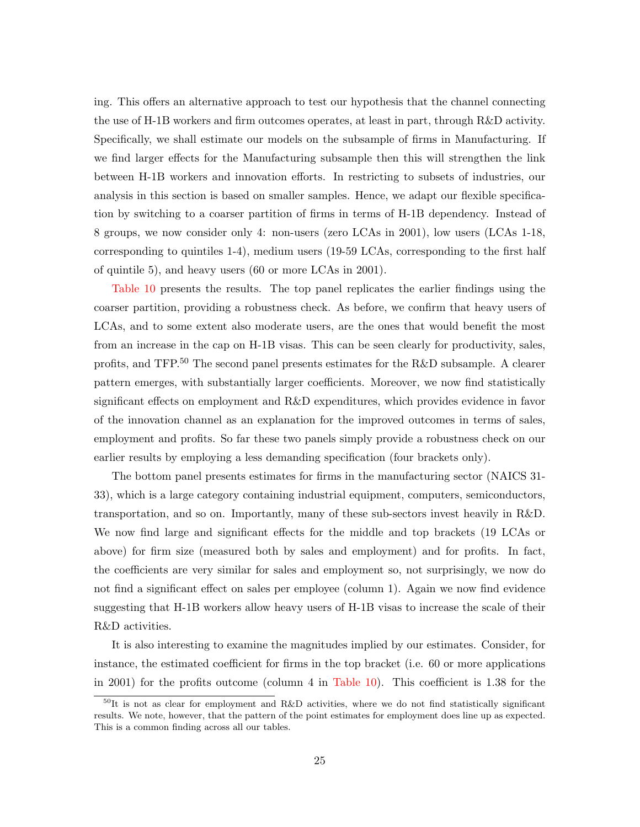ing. This offers an alternative approach to test our hypothesis that the channel connecting the use of H-1B workers and firm outcomes operates, at least in part, through R&D activity. Specifically, we shall estimate our models on the subsample of firms in Manufacturing. If we find larger effects for the Manufacturing subsample then this will strengthen the link between H-1B workers and innovation efforts. In restricting to subsets of industries, our analysis in this section is based on smaller samples. Hence, we adapt our flexible specification by switching to a coarser partition of firms in terms of H-1B dependency. Instead of 8 groups, we now consider only 4: non-users (zero LCAs in 2001), low users (LCAs 1-18, corresponding to quintiles 1-4), medium users (19-59 LCAs, corresponding to the first half of quintile 5), and heavy users (60 or more LCAs in 2001).

[Table 10](#page-42-0) presents the results. The top panel replicates the earlier findings using the coarser partition, providing a robustness check. As before, we confirm that heavy users of LCAs, and to some extent also moderate users, are the ones that would benefit the most from an increase in the cap on H-1B visas. This can be seen clearly for productivity, sales, profits, and TFP.<sup>50</sup> The second panel presents estimates for the R&D subsample. A clearer pattern emerges, with substantially larger coefficients. Moreover, we now find statistically significant effects on employment and R&D expenditures, which provides evidence in favor of the innovation channel as an explanation for the improved outcomes in terms of sales, employment and profits. So far these two panels simply provide a robustness check on our earlier results by employing a less demanding specification (four brackets only).

The bottom panel presents estimates for firms in the manufacturing sector (NAICS 31- 33), which is a large category containing industrial equipment, computers, semiconductors, transportation, and so on. Importantly, many of these sub-sectors invest heavily in R&D. We now find large and significant effects for the middle and top brackets (19 LCAs or above) for firm size (measured both by sales and employment) and for profits. In fact, the coefficients are very similar for sales and employment so, not surprisingly, we now do not find a significant effect on sales per employee (column 1). Again we now find evidence suggesting that H-1B workers allow heavy users of H-1B visas to increase the scale of their R&D activities.

It is also interesting to examine the magnitudes implied by our estimates. Consider, for instance, the estimated coefficient for firms in the top bracket (i.e. 60 or more applications in 2001) for the profits outcome (column 4 in [Table 10\)](#page-42-0). This coefficient is 1.38 for the

 $50$ It is not as clear for employment and R&D activities, where we do not find statistically significant results. We note, however, that the pattern of the point estimates for employment does line up as expected. This is a common finding across all our tables.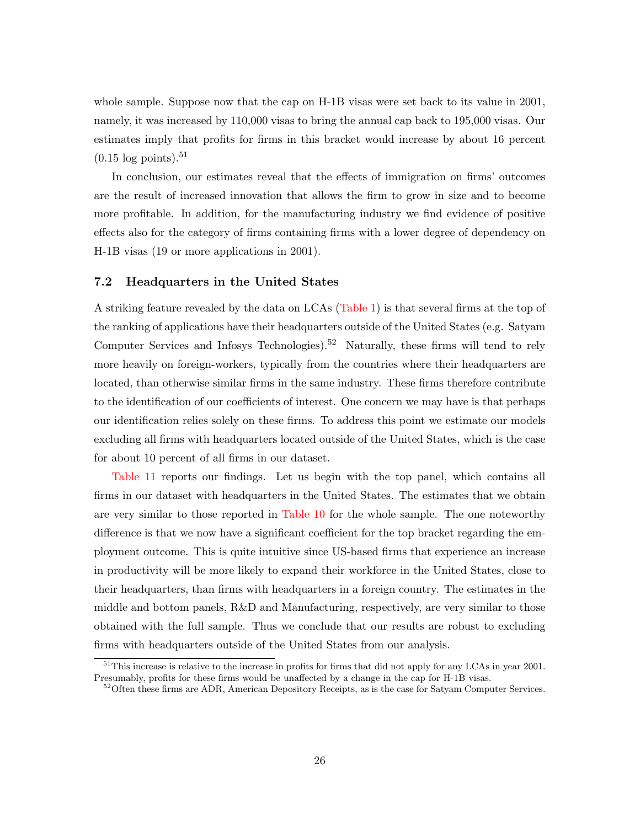whole sample. Suppose now that the cap on H-1B visas were set back to its value in 2001, namely, it was increased by 110,000 visas to bring the annual cap back to 195,000 visas. Our estimates imply that profits for firms in this bracket would increase by about 16 percent  $(0.15 \log \mathrm{points})$ .<sup>51</sup>

In conclusion, our estimates reveal that the effects of immigration on firms' outcomes are the result of increased innovation that allows the firm to grow in size and to become more profitable. In addition, for the manufacturing industry we find evidence of positive effects also for the category of firms containing firms with a lower degree of dependency on H-1B visas (19 or more applications in 2001).

#### 7.2 Headquarters in the United States

A striking feature revealed by the data on LCAs [\(Table 1\)](#page-33-0) is that several firms at the top of the ranking of applications have their headquarters outside of the United States (e.g. Satyam Computer Services and Infosys Technologies).<sup>52</sup> Naturally, these firms will tend to rely more heavily on foreign-workers, typically from the countries where their headquarters are located, than otherwise similar firms in the same industry. These firms therefore contribute to the identification of our coefficients of interest. One concern we may have is that perhaps our identification relies solely on these firms. To address this point we estimate our models excluding all firms with headquarters located outside of the United States, which is the case for about 10 percent of all firms in our dataset.

[Table 11](#page-43-0) reports our findings. Let us begin with the top panel, which contains all firms in our dataset with headquarters in the United States. The estimates that we obtain are very similar to those reported in [Table 10](#page-42-0) for the whole sample. The one noteworthy difference is that we now have a significant coefficient for the top bracket regarding the employment outcome. This is quite intuitive since US-based firms that experience an increase in productivity will be more likely to expand their workforce in the United States, close to their headquarters, than firms with headquarters in a foreign country. The estimates in the middle and bottom panels, R&D and Manufacturing, respectively, are very similar to those obtained with the full sample. Thus we conclude that our results are robust to excluding firms with headquarters outside of the United States from our analysis.

<sup>&</sup>lt;sup>51</sup>This increase is relative to the increase in profits for firms that did not apply for any LCAs in year 2001. Presumably, profits for these firms would be unaffected by a change in the cap for H-1B visas.

<sup>&</sup>lt;sup>52</sup>Often these firms are ADR, American Depository Receipts, as is the case for Satyam Computer Services.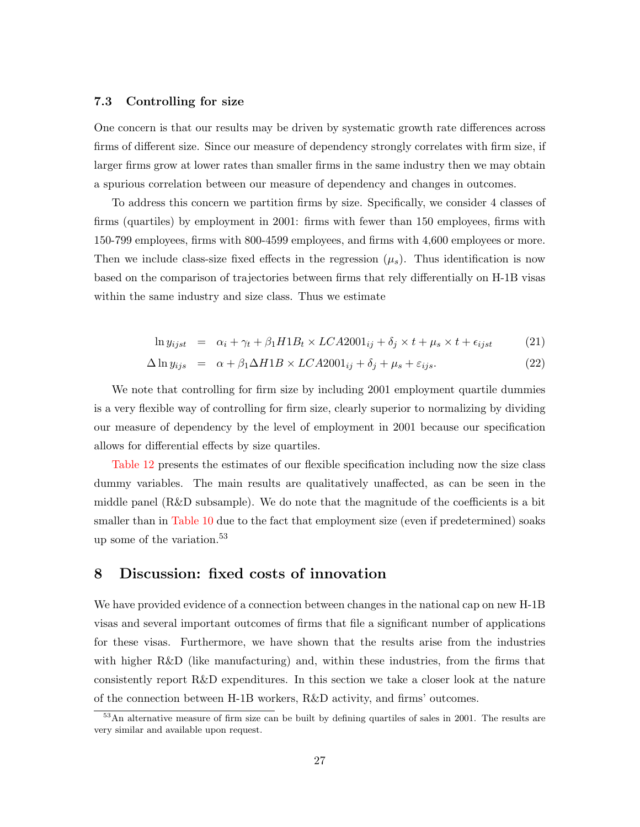#### 7.3 Controlling for size

One concern is that our results may be driven by systematic growth rate differences across firms of different size. Since our measure of dependency strongly correlates with firm size, if larger firms grow at lower rates than smaller firms in the same industry then we may obtain a spurious correlation between our measure of dependency and changes in outcomes.

To address this concern we partition firms by size. Specifically, we consider 4 classes of firms (quartiles) by employment in 2001: firms with fewer than 150 employees, firms with 150-799 employees, firms with 800-4599 employees, and firms with 4,600 employees or more. Then we include class-size fixed effects in the regression  $(\mu_s)$ . Thus identification is now based on the comparison of trajectories between firms that rely differentially on H-1B visas within the same industry and size class. Thus we estimate

$$
\ln y_{ijst} = \alpha_i + \gamma_t + \beta_1 H1B_t \times LCA2001_{ij} + \delta_j \times t + \mu_s \times t + \epsilon_{ijst} \tag{21}
$$

$$
\Delta \ln y_{ijs} = \alpha + \beta_1 \Delta H1B \times LCA2001_{ij} + \delta_j + \mu_s + \varepsilon_{ijs}.
$$
\n(22)

We note that controlling for firm size by including 2001 employment quartile dummies is a very flexible way of controlling for firm size, clearly superior to normalizing by dividing our measure of dependency by the level of employment in 2001 because our specification allows for differential effects by size quartiles.

[Table 12](#page-44-0) presents the estimates of our flexible specification including now the size class dummy variables. The main results are qualitatively unaffected, as can be seen in the middle panel (R&D subsample). We do note that the magnitude of the coefficients is a bit smaller than in [Table 10](#page-42-0) due to the fact that employment size (even if predetermined) soaks up some of the variation.<sup>53</sup>

# <span id="page-27-0"></span>8 Discussion: fixed costs of innovation

We have provided evidence of a connection between changes in the national cap on new H-1B visas and several important outcomes of firms that file a significant number of applications for these visas. Furthermore, we have shown that the results arise from the industries with higher R&D (like manufacturing) and, within these industries, from the firms that consistently report R&D expenditures. In this section we take a closer look at the nature of the connection between H-1B workers, R&D activity, and firms' outcomes.

<sup>&</sup>lt;sup>53</sup>An alternative measure of firm size can be built by defining quartiles of sales in 2001. The results are very similar and available upon request.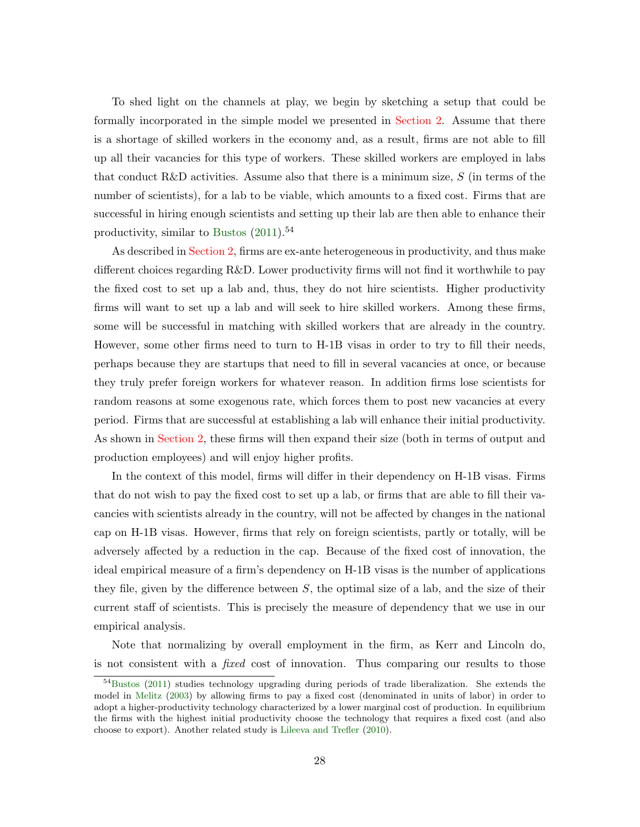To shed light on the channels at play, we begin by sketching a setup that could be formally incorporated in the simple model we presented in [Section 2.](#page-6-0) Assume that there is a shortage of skilled workers in the economy and, as a result, firms are not able to fill up all their vacancies for this type of workers. These skilled workers are employed in labs that conduct R&D activities. Assume also that there is a minimum size,  $S$  (in terms of the number of scientists), for a lab to be viable, which amounts to a fixed cost. Firms that are successful in hiring enough scientists and setting up their lab are then able to enhance their productivity, similar to [Bustos](#page-30-5)  $(2011).<sup>54</sup>$  $(2011).<sup>54</sup>$ 

As described in [Section 2,](#page-6-0) firms are ex-ante heterogeneous in productivity, and thus make different choices regarding R&D. Lower productivity firms will not find it worthwhile to pay the fixed cost to set up a lab and, thus, they do not hire scientists. Higher productivity firms will want to set up a lab and will seek to hire skilled workers. Among these firms, some will be successful in matching with skilled workers that are already in the country. However, some other firms need to turn to H-1B visas in order to try to fill their needs, perhaps because they are startups that need to fill in several vacancies at once, or because they truly prefer foreign workers for whatever reason. In addition firms lose scientists for random reasons at some exogenous rate, which forces them to post new vacancies at every period. Firms that are successful at establishing a lab will enhance their initial productivity. As shown in [Section 2,](#page-6-0) these firms will then expand their size (both in terms of output and production employees) and will enjoy higher profits.

In the context of this model, firms will differ in their dependency on H-1B visas. Firms that do not wish to pay the fixed cost to set up a lab, or firms that are able to fill their vacancies with scientists already in the country, will not be affected by changes in the national cap on H-1B visas. However, firms that rely on foreign scientists, partly or totally, will be adversely affected by a reduction in the cap. Because of the fixed cost of innovation, the ideal empirical measure of a firm's dependency on H-1B visas is the number of applications they file, given by the difference between  $S$ , the optimal size of a lab, and the size of their current staff of scientists. This is precisely the measure of dependency that we use in our empirical analysis.

Note that normalizing by overall employment in the firm, as Kerr and Lincoln do, is not consistent with a fixed cost of innovation. Thus comparing our results to those

<sup>54</sup>[Bustos](#page-30-5) [\(2011\)](#page-30-5) studies technology upgrading during periods of trade liberalization. She extends the model in [Melitz](#page-31-6) [\(2003\)](#page-31-6) by allowing firms to pay a fixed cost (denominated in units of labor) in order to adopt a higher-productivity technology characterized by a lower marginal cost of production. In equilibrium the firms with the highest initial productivity choose the technology that requires a fixed cost (and also choose to export). Another related study is [Lileeva and Trefler](#page-31-9) [\(2010\)](#page-31-9).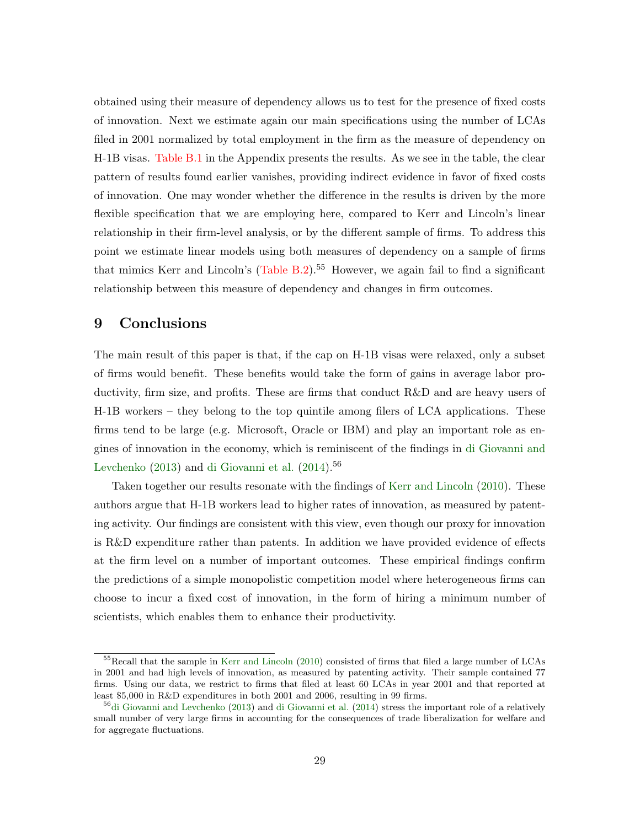obtained using their measure of dependency allows us to test for the presence of fixed costs of innovation. Next we estimate again our main specifications using the number of LCAs filed in 2001 normalized by total employment in the firm as the measure of dependency on H-1B visas. [Table B.1](#page-50-0) in the Appendix presents the results. As we see in the table, the clear pattern of results found earlier vanishes, providing indirect evidence in favor of fixed costs of innovation. One may wonder whether the difference in the results is driven by the more flexible specification that we are employing here, compared to Kerr and Lincoln's linear relationship in their firm-level analysis, or by the different sample of firms. To address this point we estimate linear models using both measures of dependency on a sample of firms that mimics Kerr and Lincoln's  $(Table B.2)$ .<sup>55</sup> However, we again fail to find a significant relationship between this measure of dependency and changes in firm outcomes.

# <span id="page-29-0"></span>9 Conclusions

The main result of this paper is that, if the cap on H-1B visas were relaxed, only a subset of firms would benefit. These benefits would take the form of gains in average labor productivity, firm size, and profits. These are firms that conduct R&D and are heavy users of H-1B workers – they belong to the top quintile among filers of LCA applications. These firms tend to be large (e.g. Microsoft, Oracle or IBM) and play an important role as engines of innovation in the economy, which is reminiscent of the findings in [di Giovanni and](#page-30-12) [Levchenko](#page-30-12)  $(2013)$  and [di Giovanni et al.](#page-30-13)  $(2014)$ .<sup>56</sup>

Taken together our results resonate with the findings of [Kerr and Lincoln](#page-31-0) [\(2010\)](#page-31-0). These authors argue that H-1B workers lead to higher rates of innovation, as measured by patenting activity. Our findings are consistent with this view, even though our proxy for innovation is R&D expenditure rather than patents. In addition we have provided evidence of effects at the firm level on a number of important outcomes. These empirical findings confirm the predictions of a simple monopolistic competition model where heterogeneous firms can choose to incur a fixed cost of innovation, in the form of hiring a minimum number of scientists, which enables them to enhance their productivity.

<sup>55</sup>Recall that the sample in [Kerr and Lincoln](#page-31-0) [\(2010\)](#page-31-0) consisted of firms that filed a large number of LCAs in 2001 and had high levels of innovation, as measured by patenting activity. Their sample contained 77 firms. Using our data, we restrict to firms that filed at least 60 LCAs in year 2001 and that reported at least \$5,000 in R&D expenditures in both 2001 and 2006, resulting in 99 firms.

 $56\text{di}$  Giovanni and Levchenko [\(2013\)](#page-30-12) and [di Giovanni et al.](#page-30-13) [\(2014\)](#page-30-13) stress the important role of a relatively small number of very large firms in accounting for the consequences of trade liberalization for welfare and for aggregate fluctuations.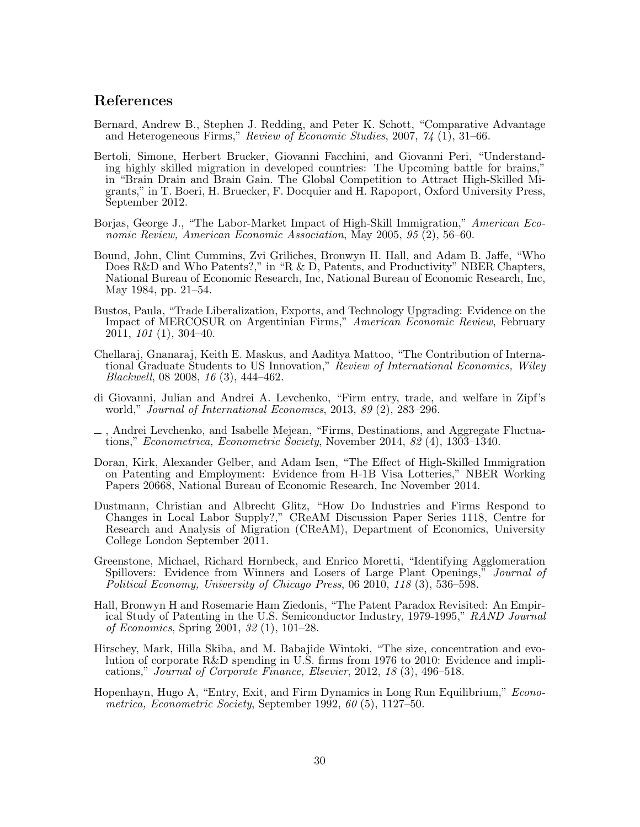## References

- <span id="page-30-4"></span>Bernard, Andrew B., Stephen J. Redding, and Peter K. Schott, "Comparative Advantage and Heterogeneous Firms," Review of Economic Studies, 2007, 74 (1), 31–66.
- <span id="page-30-7"></span>Bertoli, Simone, Herbert Brucker, Giovanni Facchini, and Giovanni Peri, "Understanding highly skilled migration in developed countries: The Upcoming battle for brains," in "Brain Drain and Brain Gain. The Global Competition to Attract High-Skilled Migrants," in T. Boeri, H. Bruecker, F. Docquier and H. Rapoport, Oxford University Press, September 2012.
- <span id="page-30-1"></span>Borjas, George J., "The Labor-Market Impact of High-Skill Immigration," American Economic Review, American Economic Association, May 2005, 95 (2), 56–60.
- <span id="page-30-10"></span>Bound, John, Clint Cummins, Zvi Griliches, Bronwyn H. Hall, and Adam B. Jaffe, "Who Does R&D and Who Patents?," in "R & D, Patents, and Productivity" NBER Chapters, National Bureau of Economic Research, Inc, National Bureau of Economic Research, Inc, May 1984, pp. 21–54.
- <span id="page-30-5"></span>Bustos, Paula, "Trade Liberalization, Exports, and Technology Upgrading: Evidence on the Impact of MERCOSUR on Argentinian Firms," American Economic Review, February 2011, 101 (1), 304–40.
- <span id="page-30-3"></span>Chellaraj, Gnanaraj, Keith E. Maskus, and Aaditya Mattoo, "The Contribution of International Graduate Students to US Innovation," Review of International Economics, Wiley Blackwell, 08 2008, 16 (3), 444–462.
- <span id="page-30-12"></span>di Giovanni, Julian and Andrei A. Levchenko, "Firm entry, trade, and welfare in Zipf's world," Journal of International Economics, 2013, 89 (2), 283–296.
- <span id="page-30-13"></span>, Andrei Levchenko, and Isabelle Mejean, "Firms, Destinations, and Aggregate Fluctuations," Econometrica, Econometric Society, November 2014, 82 (4), 1303–1340.
- <span id="page-30-0"></span>Doran, Kirk, Alexander Gelber, and Adam Isen, "The Effect of High-Skilled Immigration on Patenting and Employment: Evidence from H-1B Visa Lotteries," NBER Working Papers 20668, National Bureau of Economic Research, Inc November 2014.
- <span id="page-30-8"></span>Dustmann, Christian and Albrecht Glitz, "How Do Industries and Firms Respond to Changes in Local Labor Supply?," CReAM Discussion Paper Series 1118, Centre for Research and Analysis of Migration (CReAM), Department of Economics, University College London September 2011.
- <span id="page-30-6"></span>Greenstone, Michael, Richard Hornbeck, and Enrico Moretti, "Identifying Agglomeration Spillovers: Evidence from Winners and Losers of Large Plant Openings," Journal of Political Economy, University of Chicago Press, 06 2010, 118 (3), 536–598.
- <span id="page-30-2"></span>Hall, Bronwyn H and Rosemarie Ham Ziedonis, "The Patent Paradox Revisited: An Empirical Study of Patenting in the U.S. Semiconductor Industry, 1979-1995," RAND Journal of Economics, Spring 2001, 32 (1), 101–28.
- <span id="page-30-11"></span>Hirschey, Mark, Hilla Skiba, and M. Babajide Wintoki, "The size, concentration and evolution of corporate R&D spending in U.S. firms from 1976 to 2010: Evidence and implications," Journal of Corporate Finance, Elsevier, 2012, 18 (3), 496–518.
- <span id="page-30-9"></span>Hopenhayn, Hugo A, "Entry, Exit, and Firm Dynamics in Long Run Equilibrium," *Econo*metrica, Econometric Society, September 1992, 60 (5), 1127–50.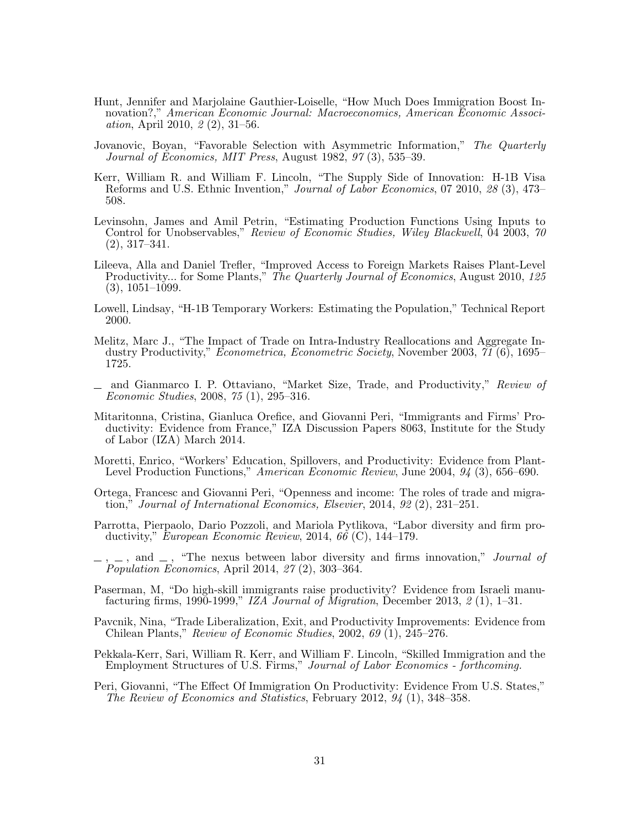- <span id="page-31-1"></span>Hunt, Jennifer and Marjolaine Gauthier-Loiselle, "How Much Does Immigration Boost Innovation?," American Economic Journal: Macroeconomics, American Economic Association, April 2010, 2 (2), 31–56.
- <span id="page-31-15"></span>Jovanovic, Boyan, "Favorable Selection with Asymmetric Information," The Quarterly Journal of Economics, MIT Press, August 1982, 97 (3), 535–39.
- <span id="page-31-0"></span>Kerr, William R. and William F. Lincoln, "The Supply Side of Innovation: H-1B Visa Reforms and U.S. Ethnic Invention," Journal of Labor Economics, 07 2010, 28 (3), 473– 508.
- <span id="page-31-16"></span>Levinsohn, James and Amil Petrin, "Estimating Production Functions Using Inputs to Control for Unobservables," Review of Economic Studies, Wiley Blackwell, 04 2003, 70 (2), 317–341.
- <span id="page-31-9"></span>Lileeva, Alla and Daniel Trefler, "Improved Access to Foreign Markets Raises Plant-Level Productivity... for Some Plants," The Quarterly Journal of Economics, August 2010, 125 (3), 1051–1099.
- <span id="page-31-4"></span>Lowell, Lindsay, "H-1B Temporary Workers: Estimating the Population," Technical Report 2000.
- <span id="page-31-6"></span>Melitz, Marc J., "The Impact of Trade on Intra-Industry Reallocations and Aggregate Industry Productivity," Econometrica, Econometric Society, November 2003, 71 (6), 1695– 1725.
- <span id="page-31-8"></span>and Gianmarco I. P. Ottaviano, "Market Size, Trade, and Productivity," Review of Economic Studies, 2008, 75 (1), 295–316.
- <span id="page-31-3"></span>Mitaritonna, Cristina, Gianluca Orefice, and Giovanni Peri, "Immigrants and Firms' Productivity: Evidence from France," IZA Discussion Papers 8063, Institute for the Study of Labor (IZA) March 2014.
- <span id="page-31-12"></span>Moretti, Enrico, "Workers' Education, Spillovers, and Productivity: Evidence from Plant-Level Production Functions," American Economic Review, June 2004, 94 (3), 656–690.
- <span id="page-31-11"></span>Ortega, Francesc and Giovanni Peri, "Openness and income: The roles of trade and migration," Journal of International Economics, Elsevier, 2014, 92 (2), 231–251.
- <span id="page-31-14"></span>Parrotta, Pierpaolo, Dario Pozzoli, and Mariola Pytlikova, "Labor diversity and firm productivity," European Economic Review, 2014, 66 (C), 144–179.
- <span id="page-31-2"></span> $\ldots$ ,  $\ldots$ , and  $\ldots$ , "The nexus between labor diversity and firms innovation," *Journal of* Population Economics, April 2014, 27 (2), 303–364.
- <span id="page-31-13"></span>Paserman, M, "Do high-skill immigrants raise productivity? Evidence from Israeli manufacturing firms, 1990-1999," IZA Journal of Migration, December 2013,  $\mathcal{Z}(1)$ , 1–31.
- <span id="page-31-7"></span>Pavcnik, Nina, "Trade Liberalization, Exit, and Productivity Improvements: Evidence from Chilean Plants," Review of Economic Studies, 2002, 69 (1), 245–276.
- <span id="page-31-5"></span>Pekkala-Kerr, Sari, William R. Kerr, and William F. Lincoln, "Skilled Immigration and the Employment Structures of U.S. Firms," Journal of Labor Economics - forthcoming.
- <span id="page-31-10"></span>Peri, Giovanni, "The Effect Of Immigration On Productivity: Evidence From U.S. States," The Review of Economics and Statistics, February 2012, 94 (1), 348–358.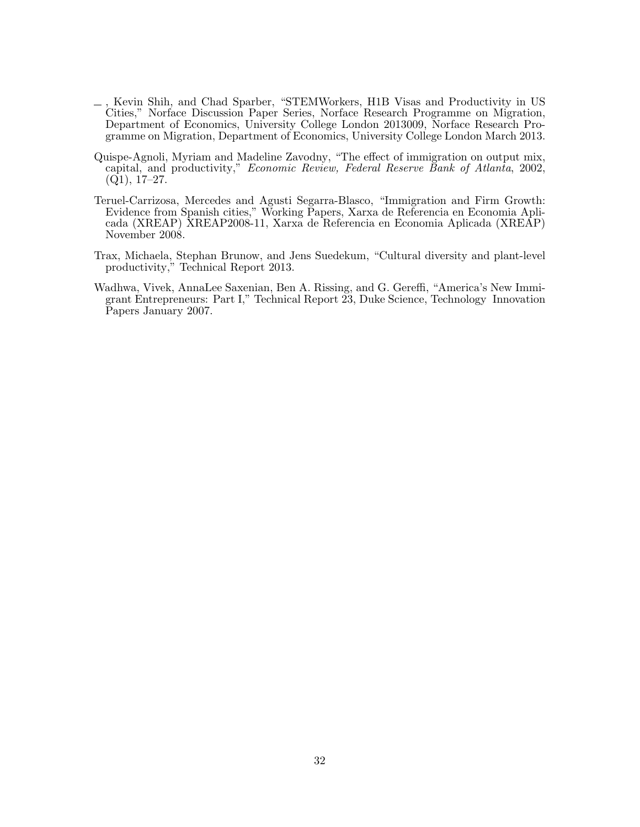- <span id="page-32-1"></span>, Kevin Shih, and Chad Sparber, "STEMWorkers, H1B Visas and Productivity in US Cities," Norface Discussion Paper Series, Norface Research Programme on Migration, Department of Economics, University College London 2013009, Norface Research Programme on Migration, Department of Economics, University College London March 2013.
- <span id="page-32-2"></span>Quispe-Agnoli, Myriam and Madeline Zavodny, "The effect of immigration on output mix, capital, and productivity," Economic Review, Federal Reserve Bank of Atlanta, 2002,  $(Q1), 17-27.$
- <span id="page-32-4"></span>Teruel-Carrizosa, Mercedes and Agusti Segarra-Blasco, "Immigration and Firm Growth: Evidence from Spanish cities," Working Papers, Xarxa de Referencia en Economia Aplicada (XREAP) XREAP2008-11, Xarxa de Referencia en Economia Aplicada (XREAP) November 2008.
- <span id="page-32-3"></span>Trax, Michaela, Stephan Brunow, and Jens Suedekum, "Cultural diversity and plant-level productivity," Technical Report 2013.
- <span id="page-32-0"></span>Wadhwa, Vivek, AnnaLee Saxenian, Ben A. Rissing, and G. Gereffi, "America's New Immigrant Entrepreneurs: Part I," Technical Report 23, Duke Science, Technology Innovation Papers January 2007.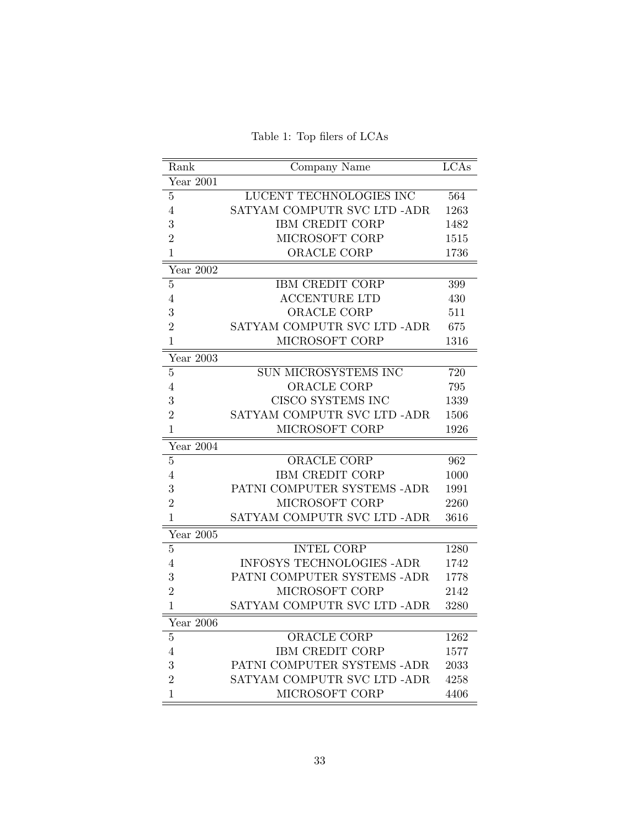Table 1: Top filers of LCAs

<span id="page-33-0"></span>

| Rank                   | Company Name                     | LCAs |
|------------------------|----------------------------------|------|
| Year 2001              |                                  |      |
| $\overline{5}$         | LUCENT TECHNOLOGIES INC          | 564  |
| $\overline{4}$         | SATYAM COMPUTR SVC LTD -ADR      | 1263 |
| 3                      | <b>IBM CREDIT CORP</b>           | 1482 |
| $\overline{2}$         | MICROSOFT CORP                   | 1515 |
| $\mathbf{1}$           | ORACLE CORP                      | 1736 |
| Year 2002              |                                  |      |
| $\overline{5}$         | IBM CREDIT CORP                  | 399  |
| $\overline{4}$         | <b>ACCENTURE LTD</b>             | 430  |
| 3                      | ORACLE CORP                      | 511  |
| $\overline{2}$         | SATYAM COMPUTR SVC LTD -ADR      | 675  |
| $\overline{1}$         | MICROSOFT CORP                   | 1316 |
| Year 2003              |                                  |      |
| $\bf 5$                | SUN MICROSYSTEMS INC             | 720  |
| 4                      | ORACLE CORP                      | 795  |
| 3                      | CISCO SYSTEMS INC                | 1339 |
| $\overline{2}$         | SATYAM COMPUTR SVC LTD -ADR      | 1506 |
| $\mathbf{1}$           | MICROSOFT CORP                   | 1926 |
| Year $20\overline{04}$ |                                  |      |
| $\overline{5}$         | <b>ORACLE CORP</b>               | 962  |
| 4                      | <b>IBM CREDIT CORP</b>           | 1000 |
| 3                      | PATNI COMPUTER SYSTEMS - ADR     | 1991 |
| $\overline{2}$         | MICROSOFT CORP                   | 2260 |
| $\mathbf{1}$           | SATYAM COMPUTR SVC LTD -ADR      | 3616 |
| Year 2005              |                                  |      |
| $\overline{5}$         | <b>INTEL CORP</b>                | 1280 |
| $\overline{4}$         | <b>INFOSYS TECHNOLOGIES -ADR</b> | 1742 |
| 3                      | PATNI COMPUTER SYSTEMS -ADR      | 1778 |
| $\overline{2}$         | MICROSOFT CORP                   | 2142 |
| $\mathbf{1}$           | SATYAM COMPUTR SVC LTD -ADR      | 3280 |
| Year $\overline{2006}$ |                                  |      |
| $\bf 5$                | <b>ORACLE CORP</b>               | 1262 |
| $\overline{4}$         | <b>IBM CREDIT CORP</b>           | 1577 |
| 3                      | PATNI COMPUTER SYSTEMS -ADR      | 2033 |
| $\overline{2}$         | SATYAM COMPUTR SVC LTD -ADR      | 4258 |
| 1                      | MICROSOFT CORP                   | 4406 |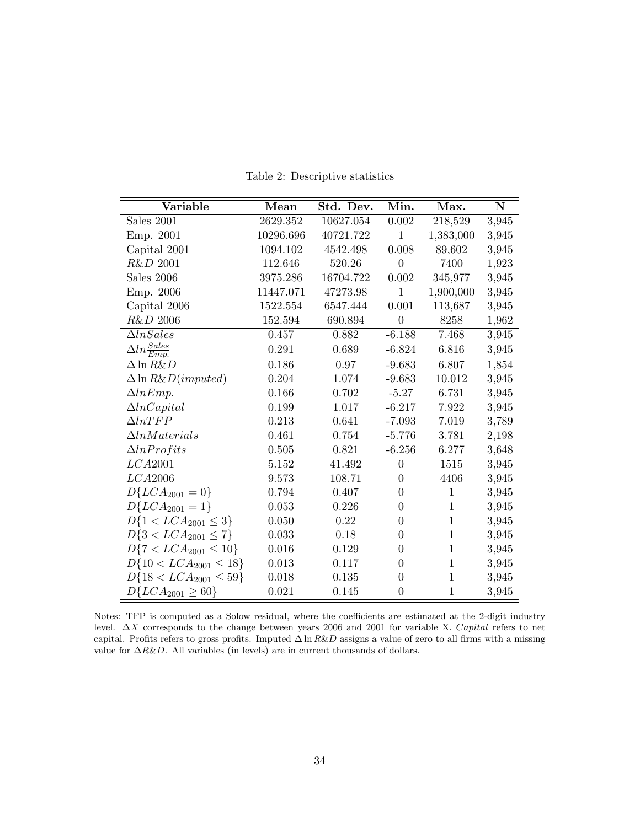<span id="page-34-0"></span>

| Variable                       | Mean      | Std. Dev. | Min.             | Max.         | ${\bf N}$ |
|--------------------------------|-----------|-----------|------------------|--------------|-----------|
| Sales 2001                     | 2629.352  | 10627.054 | $0.002\,$        | 218,529      | 3,945     |
| Emp. 2001                      | 10296.696 | 40721.722 | $\mathbf{1}$     | 1,383,000    | 3,945     |
| Capital 2001                   | 1094.102  | 4542.498  | 0.008            | 89,602       | 3,945     |
| R&D 2001                       | 112.646   | 520.26    | $\overline{0}$   | 7400         | 1,923     |
| Sales 2006                     | 3975.286  | 16704.722 | 0.002            | 345,977      | 3,945     |
| Emp. 2006                      | 11447.071 | 47273.98  | $\mathbf{1}$     | 1,900,000    | 3,945     |
| Capital 2006                   | 1522.554  | 6547.444  | 0.001            | 113,687      | 3,945     |
| R&D 2006                       | 152.594   | 690.894   | $\boldsymbol{0}$ | 8258         | 1,962     |
| $\Delta ln Sales$              | 0.457     | 0.882     | $-6.188$         | 7.468        | 3,945     |
| $\Delta ln \frac{Sales}{Emp.}$ | 0.291     | 0.689     | $-6.824$         | 6.816        | 3,945     |
| $\Delta \ln R\&D$              | 0.186     | 0.97      | $-9.683$         | 6.807        | 1,854     |
| $\Delta \ln R\&D (imputed)$    | 0.204     | 1.074     | $-9.683$         | 10.012       | 3,945     |
| $\Delta lnEmp.$                | 0.166     | 0.702     | $-5.27$          | 6.731        | 3,945     |
| $\Delta ln Capital$            | 0.199     | 1.017     | $-6.217$         | 7.922        | 3,945     |
| $\Delta ln TFP$                | 0.213     | 0.641     | $-7.093$         | 7.019        | 3,789     |
| $\Delta ln Materials$          | 0.461     | 0.754     | $-5.776$         | 3.781        | 2,198     |
| $\Delta lnProtits$             | 0.505     | 0.821     | $-6.256$         | 6.277        | 3,648     |
| LCA2001                        | 5.152     | 41.492    | $\overline{0}$   | $1515\,$     | 3,945     |
| LCA2006                        | 9.573     | 108.71    | $\overline{0}$   | 4406         | 3,945     |
| $D\{LCA_{2001}=0\}$            | 0.794     | 0.407     | $\boldsymbol{0}$ | $\mathbf{1}$ | 3,945     |
| $D\{LCA_{2001}=1\}$            | 0.053     | 0.226     | $\boldsymbol{0}$ | $\,1$        | 3,945     |
| $D\{1 < LCA_{2001} \leq 3\}$   | 0.050     | 0.22      | $\overline{0}$   | $\mathbf{1}$ | 3,945     |
| $D\{3 < LCA_{2001} \leq 7\}$   | 0.033     | 0.18      | $\boldsymbol{0}$ | $\,1$        | 3,945     |
| $D\{7 < LCA_{2001} \leq 10\}$  | 0.016     | 0.129     | $\overline{0}$   | $\,1$        | 3,945     |
| $D\{10 < LCA_{2001} \leq 18\}$ | 0.013     | 0.117     | $\boldsymbol{0}$ | $\mathbf{1}$ | 3,945     |
| $D\{18 < LCA_{2001} \leq 59\}$ | 0.018     | 0.135     | $\boldsymbol{0}$ | $\,1$        | 3,945     |
| $D\{LCA_{2001} \geq 60\}$      | 0.021     | 0.145     | $\boldsymbol{0}$ | $\mathbf{1}$ | 3,945     |

Table 2: Descriptive statistics

Notes: TFP is computed as a Solow residual, where the coefficients are estimated at the 2-digit industry level. ∆X corresponds to the change between years 2006 and 2001 for variable X. Capital refers to net capital. Profits refers to gross profits. Imputed  $\Delta \ln R\&D$  assigns a value of zero to all firms with a missing value for  $\triangle R\&D$ . All variables (in levels) are in current thousands of dollars.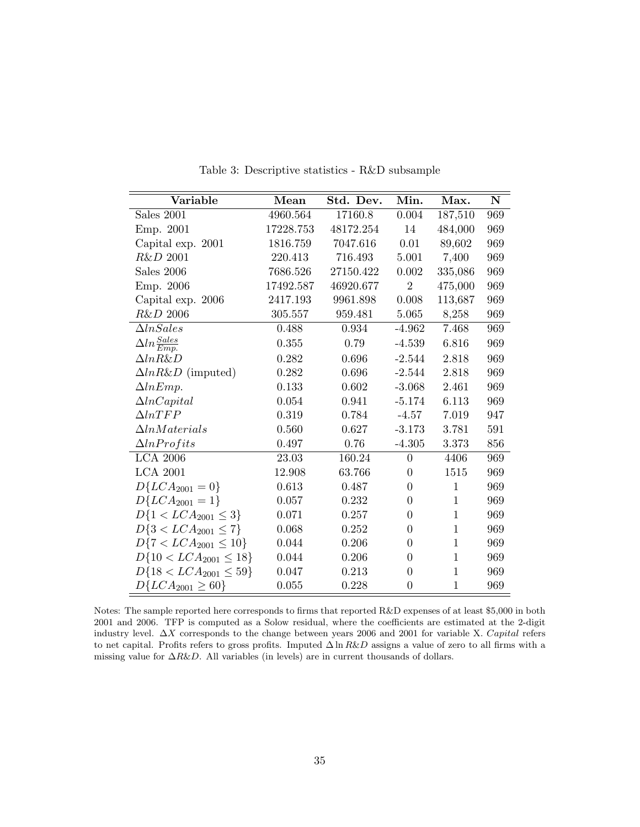<span id="page-35-0"></span>

| Variable                       | Mean      | Std. Dev. | Min.             | Max.         | ${\bf N}$ |
|--------------------------------|-----------|-----------|------------------|--------------|-----------|
| Sales 2001                     | 4960.564  | 17160.8   | 0.004            | 187,510      | 969       |
| Emp. 2001                      | 17228.753 | 48172.254 | 14               | 484,000      | 969       |
| Capital exp. 2001              | 1816.759  | 7047.616  | 0.01             | 89,602       | 969       |
| R&D 2001                       | 220.413   | 716.493   | 5.001            | 7,400        | 969       |
| Sales 2006                     | 7686.526  | 27150.422 | 0.002            | 335,086      | 969       |
| Emp. 2006                      | 17492.587 | 46920.677 | $\overline{2}$   | 475,000      | 969       |
| Capital exp. 2006              | 2417.193  | 9961.898  | 0.008            | 113,687      | 969       |
| R&D 2006                       | 305.557   | 959.481   | 5.065            | 8,258        | 969       |
| $\Delta In Sales$              | 0.488     | 0.934     | $-4.962$         | 7.468        | 969       |
| $\Delta ln \frac{Sales}{Emp.}$ | 0.355     | 0.79      | $-4.539$         | 6.816        | 969       |
| $\Delta ln R\&D$               | 0.282     | 0.696     | $-2.544$         | 2.818        | 969       |
| $\Delta ln R\&D$ (imputed)     | 0.282     | 0.696     | $-2.544$         | 2.818        | 969       |
| $\Delta lnEmp.$                | 0.133     | 0.602     | $-3.068$         | 2.461        | 969       |
| $\Delta ln Capital$            | 0.054     | 0.941     | $-5.174$         | 6.113        | 969       |
| $\Delta ln TFP$                | 0.319     | 0.784     | $-4.57$          | 7.019        | 947       |
| $\Delta ln Materials$          | 0.560     | 0.627     | $-3.173$         | 3.781        | 591       |
| $\Delta ln$ <i>Profits</i>     | 0.497     | 0.76      | $-4.305$         | 3.373        | 856       |
| <b>LCA 2006</b>                | 23.03     | 160.24    | $\theta$         | 4406         | 969       |
| <b>LCA 2001</b>                | 12.908    | 63.766    | $\overline{0}$   | 1515         | 969       |
| $D\{LCA_{2001}=0\}$            | 0.613     | 0.487     | $\overline{0}$   | $\mathbf{1}$ | 969       |
| $D\{LCA_{2001}=1\}$            | 0.057     | 0.232     | $\overline{0}$   | $\mathbf{1}$ | 969       |
| $D\{1 < LCA_{2001} \leq 3\}$   | 0.071     | 0.257     | $\overline{0}$   | $\mathbf{1}$ | 969       |
| $D\{3 < LCA_{2001} \leq 7\}$   | 0.068     | 0.252     | $\overline{0}$   | $\mathbf{1}$ | 969       |
| $D\{7 < LCA_{2001} \leq 10\}$  | 0.044     | 0.206     | $\boldsymbol{0}$ | $\mathbf{1}$ | 969       |
| $D\{10 < LCA_{2001} \leq 18\}$ | 0.044     | 0.206     | $\boldsymbol{0}$ | $\mathbf{1}$ | 969       |
| $D\{18 < LCA_{2001} \leq 59\}$ | 0.047     | 0.213     | $\boldsymbol{0}$ | $\mathbf{1}$ | 969       |
| $D\{LCA_{2001} \geq 60\}$      | 0.055     | 0.228     | $\boldsymbol{0}$ | $\mathbf{1}$ | 969       |

Table 3: Descriptive statistics - R&D subsample

Notes: The sample reported here corresponds to firms that reported R&D expenses of at least \$5,000 in both 2001 and 2006. TFP is computed as a Solow residual, where the coefficients are estimated at the 2-digit industry level. ∆X corresponds to the change between years 2006 and 2001 for variable X. Capital refers to net capital. Profits refers to gross profits. Imputed  $\Delta \ln R\&D$  assigns a value of zero to all firms with a missing value for  $\Delta R \& D$ . All variables (in levels) are in current thousands of dollars.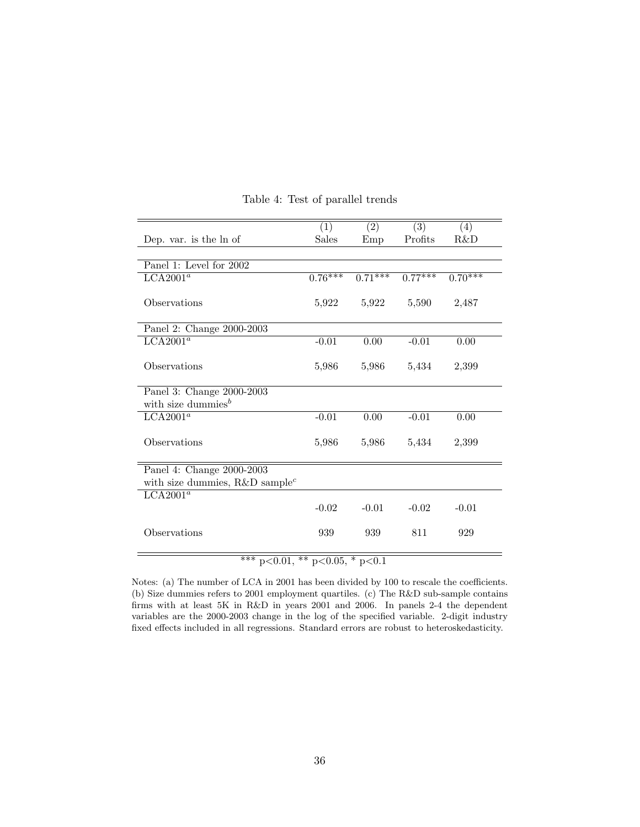<span id="page-36-0"></span>

|                                               | (1)          | (2)       | (3)       | (4)       |
|-----------------------------------------------|--------------|-----------|-----------|-----------|
| Dep. var. is the ln of                        | <b>Sales</b> | Emp       | Profits   | R&D       |
|                                               |              |           |           |           |
| Panel 1: Level for 2002                       |              |           |           |           |
| LCA2001 <sup>a</sup>                          | $0.76***$    | $0.71***$ | $0.77***$ | $0.70***$ |
| Observations                                  | 5,922        | 5,922     | 5,590     | 2,487     |
| Panel 2: Change 2000-2003                     |              |           |           |           |
| $LCA2001^a$                                   | $-0.01$      | 0.00      | $-0.01$   | 0.00      |
| Observations                                  | 5,986        | 5,986     | 5,434     | 2,399     |
| Panel 3: Change 2000-2003                     |              |           |           |           |
| with size dummies $^b$                        |              |           |           |           |
| $LCA2001^a$                                   | $-0.01$      | 0.00      | $-0.01$   | 0.00      |
| Observations                                  | 5,986        | 5,986     | 5,434     | 2,399     |
| Panel 4: Change 2000-2003                     |              |           |           |           |
| with size dummies, $R\&D$ sample <sup>c</sup> |              |           |           |           |
| LCA2001 <sup>a</sup>                          |              |           |           |           |
|                                               | $-0.02$      | $-0.01$   | $-0.02$   | $-0.01$   |
| Observations                                  | 939          | 939       | 811       | 929       |
| *** $p<0.01$ , ** $p<0.05$ , * $p<0.1$        |              |           |           |           |

Table 4: Test of parallel trends

Notes: (a) The number of LCA in 2001 has been divided by 100 to rescale the coefficients. (b) Size dummies refers to 2001 employment quartiles. (c) The R&D sub-sample contains firms with at least 5K in R&D in years 2001 and 2006. In panels 2-4 the dependent variables are the 2000-2003 change in the log of the specified variable. 2-digit industry fixed effects included in all regressions. Standard errors are robust to heteroskedasticity.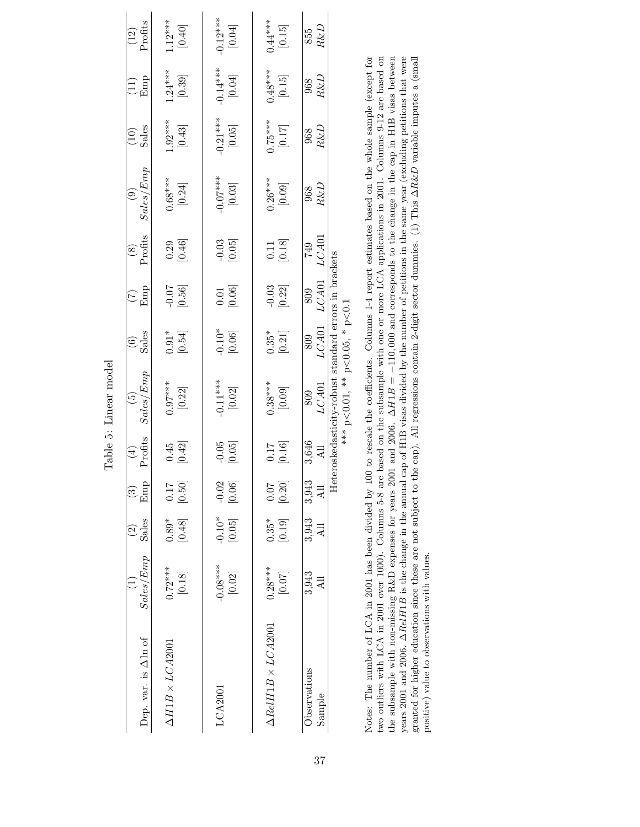<span id="page-37-0"></span>

|                                |                                               | $\widehat{c}$                  |                                 |                       | Table 5: Linear model<br>$\widetilde{\mathbf{e}}$                                                  |                                   |                                              |                                                      | $\widehat{e}$          |                        |                                                    |                                  |
|--------------------------------|-----------------------------------------------|--------------------------------|---------------------------------|-----------------------|----------------------------------------------------------------------------------------------------|-----------------------------------|----------------------------------------------|------------------------------------------------------|------------------------|------------------------|----------------------------------------------------|----------------------------------|
| Dep. var. is $\Delta$ ln of    | Sales/Emp                                     | Sales                          | Emp<br>$\widehat{\mathfrak{S}}$ | Profits<br>$(\pm)$    | Sales/Emp                                                                                          | Sales<br>$\widehat{\mathfrak{S}}$ | $\widehat{C}$                                | Profits<br>$\begin{matrix} \circledast \end{matrix}$ | Sales/Emp              | $\frac{(10)}{Sales}$   | $\left(\begin{matrix} 11 \\ 1 \end{matrix}\right)$ | $\frac{(12)}{Protts}$            |
| $\Delta H1B \times LCA2001$    | $\begin{bmatrix} 0.72**\\ 0.18 \end{bmatrix}$ | $[0.89*]$                      | [0.50]                          | $\frac{0.45}{[0.42]}$ | $0.97***$<br>$[0.22]$                                                                              | [0.54]                            | $-0.56$ ]                                    | $\begin{bmatrix} 0.29 \\ 0.46 \end{bmatrix}$         | $0.68***$<br>[0.24]    | $1.92***$<br>[0.43]    | $1.24***$<br>[0.39]                                | $1.12***$<br>[0.40]              |
|                                | $-0.08***$<br>[0.02]                          | $-0.10*$<br>[0.05]             | $-0.02$<br>[0.06]               | $-0.05$<br>[0.05]     | $-0.11***$<br>$[0.02]$                                                                             | $-0.10*$<br>[0.06]                | $\begin{bmatrix} 0.01 \\ 0.06 \end{bmatrix}$ | $-0.03$ $[0.05]$                                     | $-0.07***$<br>$[0.03]$ | $-0.21***$<br>$[0.05]$ | $-0.14***$<br>[0.04]                               | $-0.12***$<br>[0.04]             |
| $\Delta RelH1B \times LCA2001$ | $0.28***$<br>$\left[0.07\right]$              | $0.35*$<br>$\left[0.19\right]$ | [0.07]                          | [0.16]                | $0.38***$                                                                                          | $[0.35]$ <sup>*</sup>             | $-0.03$ [0.22]                               | $\begin{bmatrix} 0.11 \\ 0.18 \end{bmatrix}$         | $0.26***$<br>[0.09]    | $[2r]$<br>****57.0     | $0.48***$<br>[0.15]                                | $0.44***$<br>$\left[0.15\right]$ |
| Observations                   | 3,943                                         | 3,943<br>All                   | 3,943<br>$\overline{a}$         | 3,646                 | ${\it LCA01}$<br>809                                                                               | $_{LCA01}$<br>809                 | $_{LCAO1}$<br>809                            | LCA01<br>749                                         | $R\&D$<br>968          | $\frac{968}{R\&D}$     | $\frac{968}{R\&D}$                                 | $R\&D$<br>855                    |
|                                |                                               |                                | He                              |                       | eroskedasticity-robust standard errors in brackets<br>*** $p < 0.01$ , ** $p < 0.05$ , * $p < 0.1$ |                                   |                                              |                                                      |                        |                        |                                                    |                                  |

the subsample with non-missing R&D expenses for years 2001 and 2006.  $\Delta H1B = -110,000$  and corresponds to the change in the cap in H1B visas between years 2001 and 2006.  $\Delta ReIHIB$  is the change in the annual cap of H1B visa Notes: The number of LCA in 2001 has been divided by 100 to rescale the coefficients. Columns 1-4 report estimates based on the whole sample (except for two outliers with LCA in 2001 over 1000). Columns 5-8 are based on the subsample with one or more LCA applications in 2001. Columns 9-12 are based on granted for higher education since these are not subject to the cap). All regressions contain 2-digit sector dummies. (1) This ∆R&D variable imputes a (small externion and a formall external and a formall external and a f Notes: The number of LCA in 2001 has been divided by 100 to rescale the coefficients. Columns 1-4 report estimates based on the whole sample (except for two outliers with LCA in 2001 over 1000). Columns 5-8 are based on the subsample with one or more LCA applications in 2001. Columns 9-12 are based on the subsample with non-missing R&D expenses for years 2001 and 2006. ∆H1B = −110, 000 and corresponds to the change in the cap in H1B visas between years 2001 and 2006. ∆RelH1B is the change in the annual cap of H1B visas divided by the number of petitions in the same year (excluding petitions that were<br>an analyzed in the same way to be a man and the same way to be a positive) value to observations with values. positive) value to observations with values.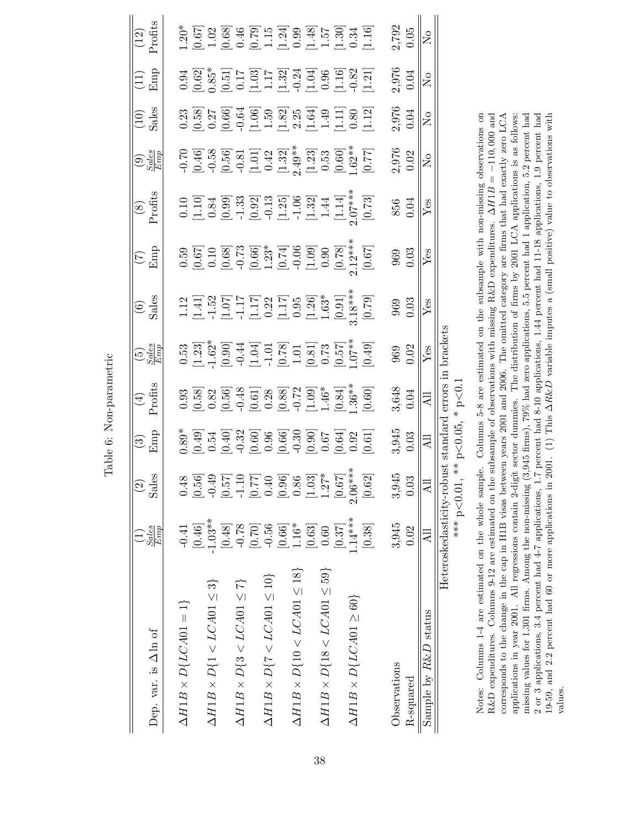| Dep. var. is $\Delta$ ln of                 | $\frac{Sales}{Emp}$       | 89<br>$\mathrel{\mathop{\odot}}$<br><u>reS</u>                                                                                                                                                                                                                                                                              | $\begin{array}{c} \circ \\ \circ \\ \hline \end{array}$                                                                                  | $\frac{4}{1}$<br>Profits | $\frac{5}{E}$                                                                                                            | $\frac{6}{5}$                                                                                                                                                                                                                                                              | $\frac{1}{2}$                                                                                                                                                                                                                                                                                 | $\frac{(8)}{2 \text{rofits}}$                                                                                                                                                                                                                    | $\bigodot_{S\subseteq\mathcal{B}\atop E\cap\mathcal{B}}^{S\cup\mathcal{B}}$                                                                                                                                                     | $(10)$<br>Sales           | $\frac{11}{2}$                                                                                                                                                                                                                                                                                                | $(12)$<br>Profits                                                                                                                                                                                                                                                                                             |
|---------------------------------------------|---------------------------|-----------------------------------------------------------------------------------------------------------------------------------------------------------------------------------------------------------------------------------------------------------------------------------------------------------------------------|------------------------------------------------------------------------------------------------------------------------------------------|--------------------------|--------------------------------------------------------------------------------------------------------------------------|----------------------------------------------------------------------------------------------------------------------------------------------------------------------------------------------------------------------------------------------------------------------------|-----------------------------------------------------------------------------------------------------------------------------------------------------------------------------------------------------------------------------------------------------------------------------------------------|--------------------------------------------------------------------------------------------------------------------------------------------------------------------------------------------------------------------------------------------------|---------------------------------------------------------------------------------------------------------------------------------------------------------------------------------------------------------------------------------|---------------------------|---------------------------------------------------------------------------------------------------------------------------------------------------------------------------------------------------------------------------------------------------------------------------------------------------------------|---------------------------------------------------------------------------------------------------------------------------------------------------------------------------------------------------------------------------------------------------------------------------------------------------------------|
| $\Delta H1B \times D\{LCA01=1\}$            | $-0.41$                   |                                                                                                                                                                                                                                                                                                                             |                                                                                                                                          |                          |                                                                                                                          |                                                                                                                                                                                                                                                                            |                                                                                                                                                                                                                                                                                               |                                                                                                                                                                                                                                                  |                                                                                                                                                                                                                                 |                           |                                                                                                                                                                                                                                                                                                               |                                                                                                                                                                                                                                                                                                               |
|                                             | [0.46]                    | $\begin{array}{l} 0.48 \\[-4pt] 0.56 \\[-4pt] 0.67 \\[-4pt] 0.67 \\[-4pt] 0.67 \\[-4pt] 0.67 \\[-4pt] 0.67 \\[-4pt] 0.67 \\[-4pt] 0.67 \\[-4pt] 0.67 \\[-4pt] 0.67 \\[-4pt] 0.67 \\[-4pt] 0.67 \\[-4pt] 0.67 \\[-4pt] 0.67 \\[-4pt] 0.67 \\[-4pt] 0.67 \\[-4pt] 0.67 \\[-4pt] 0.67 \\[-4pt] 0.67 \\[-4pt] 0.67 \\[-4pt] 0.$ | $0.39$<br>$0.49$<br>$0.60$<br>$0.60$<br>$0.60$<br>$0.60$<br>$0.60$<br>$0.60$<br>$0.60$<br>$0.60$<br>$0.60$<br>$0.60$<br>$0.60$<br>$0.60$ |                          | 0.53<br>0.237<br>0.300 0.4 4 5 5 6 7 7 8 7 7 8 7 7 8 7 7 8 7 8 7 8 7 7 8 7 7 8 7 7 8 7 7 8 7 7 8 9 9 1 0 4 9 9 1 0 4 9 9 | $\begin{array}{l} 1.12\\ 1.41]\\ 1.52\\ 1.17\\ 1.17\\ 1.17\\ 1.17\\ 1.17\\ 1.17\\ 1.17\\ 1.17\\ 1.17\\ 1.17\\ 1.17\\ 1.17\\ 1.17\\ 1.17\\ 1.17\\ 1.17\\ 1.17\\ 1.17\\ 1.17\\ 1.17\\ 1.17\\ 1.17\\ 1.17\\ 1.17\\ 1.17\\ 1.17\\ 1.17\\ 1.17\\ 1.17\\ 1.17\\ 1.17\\ 1.17\\ 1$ | $\begin{array}{l} 0.59 \\ 0.67 \\ 0.003 \\ 0.038 \\ 0.004 \\ 0.0004 \\ 0.0004 \\ 0.0004 \\ 0.0004 \\ 0.0004 \\ 0.0004 \\ 0.0004 \\ 0.0004 \\ 0.0004 \\ 0.0004 \\ 0.0004 \\ 0.0004 \\ 0.0004 \\ 0.0004 \\ 0.0004 \\ 0.0004 \\ 0.0004 \\ 0.0004 \\ 0.0004 \\ 0.0004 \\ 0.0004 \\ 0.0004 \\ 0.0$ | $\begin{array}{c} 0.10 \\[-4pt] 0.33 \\[-4pt] 0.99 \\[-4pt] 0.93 \\[-4pt] 0.97 \\[-4pt] 0.92 \\[-4pt] 0.13 \\[-4pt] 0.73 \\[-4pt] 0.73 \\[-4pt] 0.73 \\[-4pt] 0.73 \\[-4pt] 0.73 \\[-4pt] 0.73 \\[-4pt] 0.73 \\[-4pt] 0.73 \\[-4pt] \end{array}$ |                                                                                                                                                                                                                                 |                           | $\begin{array}{l} 0.94 \\ 0.62 \\ 0.51 \\ 0.17 \\ 0.17 \\ 1.17 \\ 1.32 \\ 0.04 \\ 0.03 \\ 0.04 \\ 0.04 \\ 0.04 \\ 0.04 \\ 0.04 \\ 0.04 \\ 0.04 \\ 0.01 \\ 0.02 \\ 0.01 \\ 0.01 \\ 0.04 \\ 0.01 \\ 0.02 \\ 0.03 \\ 0.04 \\ 0.04 \\ 0.00 \\ 0.00 \\ 0.01 \\ 0.00 \\ 0.00 \\ 0.00 \\ 0.00 \\ 0.00 \\ 0.00 \\ 0.$ | $\begin{array}{l} 1.20^* \\ 1.067 \\ 0.67 \\ 1.08 \\ 0.07 \\ 0.08 \\ 0.07 \\ 0.07 \\ 0.07 \\ 0.07 \\ 0.07 \\ 0.07 \\ 0.07 \\ 0.07 \\ 0.07 \\ 0.07 \\ 0.07 \\ 0.07 \\ 0.07 \\ 0.07 \\ 0.07 \\ 0.07 \\ 0.07 \\ 0.07 \\ 0.07 \\ 0.07 \\ 0.07 \\ 0.07 \\ 0.07 \\ 0.07 \\ 0.07 \\ 0.07 \\ 0.07 \\ 0.07 \\ 0.07 \\$ |
| $\Delta H1B \times D\{1 < LCA01 \leq 3\}$   | $-1.03**$                 |                                                                                                                                                                                                                                                                                                                             |                                                                                                                                          |                          |                                                                                                                          |                                                                                                                                                                                                                                                                            |                                                                                                                                                                                                                                                                                               |                                                                                                                                                                                                                                                  |                                                                                                                                                                                                                                 |                           |                                                                                                                                                                                                                                                                                                               |                                                                                                                                                                                                                                                                                                               |
|                                             | [0.48]                    |                                                                                                                                                                                                                                                                                                                             |                                                                                                                                          |                          |                                                                                                                          |                                                                                                                                                                                                                                                                            |                                                                                                                                                                                                                                                                                               |                                                                                                                                                                                                                                                  |                                                                                                                                                                                                                                 |                           |                                                                                                                                                                                                                                                                                                               |                                                                                                                                                                                                                                                                                                               |
| $\Delta H1B \times D\{3 < LCA01 \leq 7\}$   | $-0.78$                   |                                                                                                                                                                                                                                                                                                                             |                                                                                                                                          |                          |                                                                                                                          |                                                                                                                                                                                                                                                                            |                                                                                                                                                                                                                                                                                               |                                                                                                                                                                                                                                                  |                                                                                                                                                                                                                                 |                           |                                                                                                                                                                                                                                                                                                               |                                                                                                                                                                                                                                                                                                               |
|                                             | $[0.70]$                  |                                                                                                                                                                                                                                                                                                                             |                                                                                                                                          |                          |                                                                                                                          |                                                                                                                                                                                                                                                                            |                                                                                                                                                                                                                                                                                               |                                                                                                                                                                                                                                                  |                                                                                                                                                                                                                                 |                           |                                                                                                                                                                                                                                                                                                               |                                                                                                                                                                                                                                                                                                               |
| $\Delta H1B \times D\{7 < LCA01 \leq 10\}$  | $-0.56$                   |                                                                                                                                                                                                                                                                                                                             |                                                                                                                                          |                          |                                                                                                                          |                                                                                                                                                                                                                                                                            |                                                                                                                                                                                                                                                                                               |                                                                                                                                                                                                                                                  |                                                                                                                                                                                                                                 |                           |                                                                                                                                                                                                                                                                                                               |                                                                                                                                                                                                                                                                                                               |
|                                             | $\left[0.66\right]$       |                                                                                                                                                                                                                                                                                                                             |                                                                                                                                          |                          |                                                                                                                          |                                                                                                                                                                                                                                                                            |                                                                                                                                                                                                                                                                                               |                                                                                                                                                                                                                                                  |                                                                                                                                                                                                                                 |                           |                                                                                                                                                                                                                                                                                                               |                                                                                                                                                                                                                                                                                                               |
| $\Delta H1B \times D\{10 < LCA01 \leq 18\}$ | $1.16*$                   |                                                                                                                                                                                                                                                                                                                             |                                                                                                                                          |                          |                                                                                                                          |                                                                                                                                                                                                                                                                            |                                                                                                                                                                                                                                                                                               |                                                                                                                                                                                                                                                  |                                                                                                                                                                                                                                 |                           |                                                                                                                                                                                                                                                                                                               |                                                                                                                                                                                                                                                                                                               |
|                                             | $[0.63]$                  |                                                                                                                                                                                                                                                                                                                             |                                                                                                                                          |                          |                                                                                                                          |                                                                                                                                                                                                                                                                            |                                                                                                                                                                                                                                                                                               |                                                                                                                                                                                                                                                  |                                                                                                                                                                                                                                 |                           |                                                                                                                                                                                                                                                                                                               |                                                                                                                                                                                                                                                                                                               |
| $\Delta H1B \times D\{18 < LCA01 \leq 59\}$ | 0.60                      |                                                                                                                                                                                                                                                                                                                             |                                                                                                                                          |                          |                                                                                                                          |                                                                                                                                                                                                                                                                            |                                                                                                                                                                                                                                                                                               |                                                                                                                                                                                                                                                  |                                                                                                                                                                                                                                 |                           |                                                                                                                                                                                                                                                                                                               |                                                                                                                                                                                                                                                                                                               |
|                                             | [0.37]                    |                                                                                                                                                                                                                                                                                                                             |                                                                                                                                          |                          |                                                                                                                          |                                                                                                                                                                                                                                                                            |                                                                                                                                                                                                                                                                                               |                                                                                                                                                                                                                                                  |                                                                                                                                                                                                                                 |                           |                                                                                                                                                                                                                                                                                                               |                                                                                                                                                                                                                                                                                                               |
| $\Delta H1B \times D\{LCA01 \geq 60\}$      | $1.14***$                 |                                                                                                                                                                                                                                                                                                                             |                                                                                                                                          |                          |                                                                                                                          |                                                                                                                                                                                                                                                                            |                                                                                                                                                                                                                                                                                               |                                                                                                                                                                                                                                                  |                                                                                                                                                                                                                                 |                           |                                                                                                                                                                                                                                                                                                               |                                                                                                                                                                                                                                                                                                               |
|                                             | [0.38]                    |                                                                                                                                                                                                                                                                                                                             |                                                                                                                                          |                          |                                                                                                                          |                                                                                                                                                                                                                                                                            |                                                                                                                                                                                                                                                                                               |                                                                                                                                                                                                                                                  | 2016 10:50 10:50 10:50 10:50 10:50 10:50 10:50 10:50 10:50 10:50 10:50 10:50 10:50 10:50 10:50 10:50 10:50 10:<br>20:50 10:50 10:50 10:50 10:50 10:50 10:50 10:50 10:50 10:50 10:50 10:50 10:50 10:50 10:50 10:50 10:50 10:50 1 |                           |                                                                                                                                                                                                                                                                                                               |                                                                                                                                                                                                                                                                                                               |
| Observations                                | 3,945                     |                                                                                                                                                                                                                                                                                                                             |                                                                                                                                          |                          |                                                                                                                          |                                                                                                                                                                                                                                                                            |                                                                                                                                                                                                                                                                                               |                                                                                                                                                                                                                                                  |                                                                                                                                                                                                                                 |                           | 2,976<br>0.04                                                                                                                                                                                                                                                                                                 |                                                                                                                                                                                                                                                                                                               |
| R-squared                                   | 0.02                      | $3,945$<br>0.03                                                                                                                                                                                                                                                                                                             | $3,945$<br>$0.03$                                                                                                                        | 3,648<br>0.04            | $\begin{array}{c} 969 \\ 0.02 \end{array}$                                                                               | $\begin{array}{c} 969 \\ 0.03 \end{array}$                                                                                                                                                                                                                                 | $\begin{array}{c} 969 \\ 0.03 \end{array}$                                                                                                                                                                                                                                                    | 856<br>0.04                                                                                                                                                                                                                                      | 2,976<br>0.02                                                                                                                                                                                                                   | 2,976<br>0.04             |                                                                                                                                                                                                                                                                                                               | 2,792<br>0.05                                                                                                                                                                                                                                                                                                 |
| Sample by $R\&D$ status                     |                           | ₹                                                                                                                                                                                                                                                                                                                           | $\Xi$                                                                                                                                    | 급                        | Yes                                                                                                                      | $\operatorname*{Yes}$                                                                                                                                                                                                                                                      | Yes                                                                                                                                                                                                                                                                                           | Yes                                                                                                                                                                                                                                              | $\sum_{i=1}^{n}$                                                                                                                                                                                                                | $\mathsf{S}^{\mathsf{O}}$ | $\mathsf{S}^{\mathsf{O}}$                                                                                                                                                                                                                                                                                     | $\overline{\mathsf{z}}$                                                                                                                                                                                                                                                                                       |
|                                             | Heteroskedasticity-robust |                                                                                                                                                                                                                                                                                                                             | standard                                                                                                                                 | errors in                | brackets                                                                                                                 |                                                                                                                                                                                                                                                                            |                                                                                                                                                                                                                                                                                               |                                                                                                                                                                                                                                                  |                                                                                                                                                                                                                                 |                           |                                                                                                                                                                                                                                                                                                               |                                                                                                                                                                                                                                                                                                               |
|                                             | *** p<0.01                | $\stackrel{*}{\ast}$                                                                                                                                                                                                                                                                                                        | $p<\hspace{-3pt}0.05$                                                                                                                    | $p<0$ .                  |                                                                                                                          |                                                                                                                                                                                                                                                                            |                                                                                                                                                                                                                                                                                               |                                                                                                                                                                                                                                                  |                                                                                                                                                                                                                                 |                           |                                                                                                                                                                                                                                                                                                               |                                                                                                                                                                                                                                                                                                               |

Notes: Columns 1-4 are estimated on the whole sample. Columns 5-8 are estimated on the subsample with non-missing observations on R&D expenditures. Columns 9-12 are estimated on the subsample of observations with missing R&D expenditures.  $\Delta H1B = -110,000$  and corresponds to the change in the cap in H1B visas between years 2001 and 2006. The omitted category are firms that had exactly zero LCA applications in year 2001. All regressions contain 2-digit sector dummies. The distribution of firms by 2001 LCA applications is as follows:<br>missing values for 1,301 firms. Among the non-missing (3,945 firms), 79% had zero 19-59, and 2.2 percent had 60 or more applications in 2001. (1) This  $\Delta R \& \overline{D}$  variable imputes a (small positive) value to observations with 2 or 3 applications, 3.4 percent had 4-7 applications, 1.7 percent had 8-10 applications, 1.44 percent had 11-18 applications, 1.9 percent had Notes: Columns 1-4 are estimated on the whole sample. Columns 5-8 are estimated on the subsample with non-missing observations on R&D expenditures. Columns 9-12 are estimated on the subsample of observations with missing R&D expenditures. ∆H1B = −110,000 and https://www.characteristics. △H1B = −110,000 and https://www.characteristics... ∧https://www corresponds to the change in the cap in H1B visas between years 2001 and 2006. The omitted category are firms that had exactly zero LCA  $\sim$ applications in year 2001. All regressions contain 2-digit sector dummies. The distribution of firms by 2001 LCA applications is as follows: missing values for 1,301 firms. Among the non-missing (3,945 firms), 79% had zero applications, 5.5 percent had 1 application, 5.2 percent had 2 or 3 applications, 3.4 percent had 4-7 applications, 1.7 percent had 8-10 applications, 1.44 percent had 11-18 applications, 1.9 percent had 19-59, and 2.2 percent had 60 or more applications in 2001. (1) This ∆R&D variable imputes a (small positive) value to observations with values.

<span id="page-38-0"></span>Table 6: Non-parametric Table 6: Non-parametric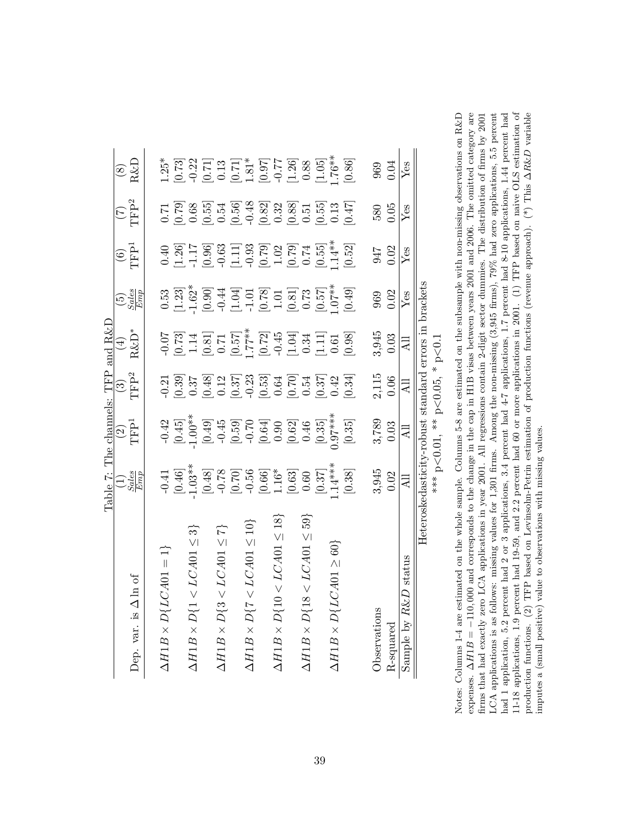|                                              | Table 7: The channels: TFF                                                                                                                                                                                                                                                                                                  |                                                                                                                                                                                                                                                                                                                                                   |                            | and $R\&I$                                                                                                                                                                                                                                                                                                                                   |                                                                                           |                                           |                                                                                                                                                                                                                                                                                         |                                                                                                                                                                                                                                                                                                             |
|----------------------------------------------|-----------------------------------------------------------------------------------------------------------------------------------------------------------------------------------------------------------------------------------------------------------------------------------------------------------------------------|---------------------------------------------------------------------------------------------------------------------------------------------------------------------------------------------------------------------------------------------------------------------------------------------------------------------------------------------------|----------------------------|----------------------------------------------------------------------------------------------------------------------------------------------------------------------------------------------------------------------------------------------------------------------------------------------------------------------------------------------|-------------------------------------------------------------------------------------------|-------------------------------------------|-----------------------------------------------------------------------------------------------------------------------------------------------------------------------------------------------------------------------------------------------------------------------------------------|-------------------------------------------------------------------------------------------------------------------------------------------------------------------------------------------------------------------------------------------------------------------------------------------------------------|
|                                              |                                                                                                                                                                                                                                                                                                                             | $\frac{1}{2}$                                                                                                                                                                                                                                                                                                                                     |                            |                                                                                                                                                                                                                                                                                                                                              |                                                                                           | $\overline{\text{C}}$<br>TFP <sup>1</sup> | $\frac{(\mathbf{7})}{(\mathbf{7})^2}$                                                                                                                                                                                                                                                   |                                                                                                                                                                                                                                                                                                             |
| Dep. var. is $\Delta \ln \mathrm{of}$        | $\frac{1}{E}$<br>$\frac{Sules}{Emp}$                                                                                                                                                                                                                                                                                        |                                                                                                                                                                                                                                                                                                                                                   | $\frac{(3)}{\text{TFP}^2}$ | $\begin{array}{c} (4) \\ \text{R\&D}^* \end{array}$                                                                                                                                                                                                                                                                                          | $\binom{5}{Sules}$                                                                        |                                           |                                                                                                                                                                                                                                                                                         | $\frac{(8)}{R\&D}$                                                                                                                                                                                                                                                                                          |
|                                              |                                                                                                                                                                                                                                                                                                                             |                                                                                                                                                                                                                                                                                                                                                   |                            |                                                                                                                                                                                                                                                                                                                                              |                                                                                           |                                           |                                                                                                                                                                                                                                                                                         |                                                                                                                                                                                                                                                                                                             |
| $\Delta H1B \times D\{LCA01=1\}$             |                                                                                                                                                                                                                                                                                                                             |                                                                                                                                                                                                                                                                                                                                                   |                            |                                                                                                                                                                                                                                                                                                                                              |                                                                                           |                                           |                                                                                                                                                                                                                                                                                         |                                                                                                                                                                                                                                                                                                             |
|                                              |                                                                                                                                                                                                                                                                                                                             |                                                                                                                                                                                                                                                                                                                                                   |                            |                                                                                                                                                                                                                                                                                                                                              |                                                                                           |                                           |                                                                                                                                                                                                                                                                                         |                                                                                                                                                                                                                                                                                                             |
| $\Delta H1B \times D\{1 \leq LCA01 \leq 3\}$ |                                                                                                                                                                                                                                                                                                                             |                                                                                                                                                                                                                                                                                                                                                   |                            |                                                                                                                                                                                                                                                                                                                                              |                                                                                           |                                           |                                                                                                                                                                                                                                                                                         |                                                                                                                                                                                                                                                                                                             |
|                                              |                                                                                                                                                                                                                                                                                                                             |                                                                                                                                                                                                                                                                                                                                                   |                            |                                                                                                                                                                                                                                                                                                                                              |                                                                                           |                                           |                                                                                                                                                                                                                                                                                         |                                                                                                                                                                                                                                                                                                             |
| $\Delta H1B \times D\{3 < LCA01 \leq 7\}$    |                                                                                                                                                                                                                                                                                                                             |                                                                                                                                                                                                                                                                                                                                                   |                            |                                                                                                                                                                                                                                                                                                                                              |                                                                                           |                                           |                                                                                                                                                                                                                                                                                         |                                                                                                                                                                                                                                                                                                             |
|                                              |                                                                                                                                                                                                                                                                                                                             |                                                                                                                                                                                                                                                                                                                                                   |                            |                                                                                                                                                                                                                                                                                                                                              |                                                                                           |                                           |                                                                                                                                                                                                                                                                                         |                                                                                                                                                                                                                                                                                                             |
| $\Delta H1B \times D\{7 < LC A01 \leq 10\}$  |                                                                                                                                                                                                                                                                                                                             |                                                                                                                                                                                                                                                                                                                                                   |                            |                                                                                                                                                                                                                                                                                                                                              |                                                                                           |                                           |                                                                                                                                                                                                                                                                                         |                                                                                                                                                                                                                                                                                                             |
|                                              |                                                                                                                                                                                                                                                                                                                             |                                                                                                                                                                                                                                                                                                                                                   |                            |                                                                                                                                                                                                                                                                                                                                              |                                                                                           |                                           |                                                                                                                                                                                                                                                                                         |                                                                                                                                                                                                                                                                                                             |
| $\Delta H1B \times D\{10 < LCA01 \leq 18\}$  |                                                                                                                                                                                                                                                                                                                             |                                                                                                                                                                                                                                                                                                                                                   |                            |                                                                                                                                                                                                                                                                                                                                              |                                                                                           |                                           |                                                                                                                                                                                                                                                                                         |                                                                                                                                                                                                                                                                                                             |
|                                              |                                                                                                                                                                                                                                                                                                                             |                                                                                                                                                                                                                                                                                                                                                   |                            |                                                                                                                                                                                                                                                                                                                                              |                                                                                           |                                           |                                                                                                                                                                                                                                                                                         |                                                                                                                                                                                                                                                                                                             |
| $\Delta H1B \times D\{18 < LCA01 \leq 59\}$  |                                                                                                                                                                                                                                                                                                                             |                                                                                                                                                                                                                                                                                                                                                   |                            |                                                                                                                                                                                                                                                                                                                                              |                                                                                           |                                           |                                                                                                                                                                                                                                                                                         |                                                                                                                                                                                                                                                                                                             |
|                                              |                                                                                                                                                                                                                                                                                                                             |                                                                                                                                                                                                                                                                                                                                                   |                            |                                                                                                                                                                                                                                                                                                                                              |                                                                                           |                                           |                                                                                                                                                                                                                                                                                         |                                                                                                                                                                                                                                                                                                             |
| $\Delta H1B \times D\{LCA01 \geq 60\}$       |                                                                                                                                                                                                                                                                                                                             |                                                                                                                                                                                                                                                                                                                                                   |                            |                                                                                                                                                                                                                                                                                                                                              |                                                                                           |                                           |                                                                                                                                                                                                                                                                                         |                                                                                                                                                                                                                                                                                                             |
|                                              | $\begin{array}{r} 1.38 \\[-4pt] 1.38 \\[-4pt] 0.49 \\[-4pt] 0.48 \\[-4pt] 0.48 \\[-4pt] 0.58 \\[-4pt] 0.58 \\[-4pt] 0.58 \\[-4pt] 0.59 \\[-4pt] 0.59 \\[-4pt] 0.59 \\[-4pt] 0.59 \\[-4pt] 0.59 \\[-4pt] 0.59 \\[-4pt] 0.59 \\[-4pt] 0.59 \\[-4pt] 0.59 \\[-4pt] 0.59 \\[-4pt] 0.59 \\[-4pt] 0.59 \\[-4pt] 0.59 \\[-4pt] 0.$ | $\begin{array}{l} -0.42 \\ -0.45 \\ -1.00 \\ +0.59 \\ -0.59 \\ -0.59 \\ -0.59 \\ -0.59 \\ -0.59 \\ -0.59 \\ -0.59 \\ -0.59 \\ -0.59 \\ -0.59 \\ -0.59 \\ -0.59 \\ -0.35 \\ -0.35 \\ -0.35 \\ -0.35 \\ -0.35 \\ -0.35 \\ -0.35 \\ -0.35 \\ -0.35 \\ -0.35 \\ -0.35 \\ -0.35 \\ -0.35 \\ -0.35 \\ -0.35 \\ -0.35 \\ -0.35 \\ -0.35 \\ -0.35 \\ -0.$ |                            | $\begin{array}{l} 6.07 \\ 0.07 \\ 0.07 \\ 0.03 \\ -0.04 \\ 0.05 \\ -0.04 \\ -0.04 \\ -0.04 \\ -0.04 \\ -0.04 \\ -0.04 \\ -0.04 \\ -0.04 \\ -0.04 \\ -0.04 \\ -0.04 \\ -0.04 \\ -0.04 \\ -0.04 \\ -0.04 \\ -0.04 \\ -0.04 \\ -0.04 \\ -0.04 \\ -0.04 \\ -0.04 \\ -0.04 \\ -0.04 \\ -0.04 \\ -0.04 \\ -0.04 \\ -0.04 \\ -0.04 \\ -0.04 \\ -0.$ | 0.53<br>0.23]<br>0.33]<br>0.33]<br>0.33<br>0.33]<br>0.33<br>0.43<br>0.44<br>0.73<br>0.49] |                                           | $\begin{array}{l} 1.758 \\ 0.0000 \\ 0.00000 \\ 0.00000 \\ 0.00000 \\ 0.00000 \\ 0.00000 \\ 0.00000 \\ 0.00000 \\ 0.00000 \\ 0.00000 \\ 0.00000 \\ 0.00000 \\ 0.00000 \\ 0.00000 \\ 0.00000 \\ 0.00000 \\ 0.00000 \\ 0.00000 \\ 0.00000 \\ 0.00000 \\ 0.00000 \\ 0.00000 \\ 0.00000 \\$ | $\begin{array}{l} 1.25^* \\ 1.25^* \\ 0.73 \\ 0.22 \\ 0.11 \\ 0.32 \\ 0.11 \\ 0.23 \\ 0.33 \\ 0.43 \\ 0.54 \\ 0.55 \\ 0.57 \\ 0.57 \\ 0.57 \\ 0.58 \\ 0.57 \\ 0.59 \\ 0.53 \\ 0.59 \\ 0.59 \\ 0.59 \\ 0.59 \\ 0.59 \\ 0.59 \\ 0.59 \\ 0.59 \\ 0.59 \\ 0.59 \\ 0.59 \\ 0.59 \\ 0.59 \\ 0.59 \\ 0.59 \\ 0.59$ |
| Observations                                 |                                                                                                                                                                                                                                                                                                                             |                                                                                                                                                                                                                                                                                                                                                   |                            |                                                                                                                                                                                                                                                                                                                                              |                                                                                           |                                           |                                                                                                                                                                                                                                                                                         | 969                                                                                                                                                                                                                                                                                                         |
| $R$ -squared                                 | $3,945$<br>$0.02$                                                                                                                                                                                                                                                                                                           | $3,789$<br>0.03                                                                                                                                                                                                                                                                                                                                   | 2,115<br>0.06              | $3,945$<br>$0.03$                                                                                                                                                                                                                                                                                                                            | 969<br>0.02                                                                               | 947<br>0.02                               | 580<br>0.05                                                                                                                                                                                                                                                                             | 0.04                                                                                                                                                                                                                                                                                                        |
| Sample by $R\&D$ status                      | Ę                                                                                                                                                                                                                                                                                                                           | $\overline{AB}$                                                                                                                                                                                                                                                                                                                                   | Ę                          | ₹                                                                                                                                                                                                                                                                                                                                            | Yes                                                                                       | Yes                                       | Yes                                                                                                                                                                                                                                                                                     | $Y$ es                                                                                                                                                                                                                                                                                                      |
|                                              | Heteroskedasticity-robust standard errors in brackets                                                                                                                                                                                                                                                                       |                                                                                                                                                                                                                                                                                                                                                   |                            |                                                                                                                                                                                                                                                                                                                                              |                                                                                           |                                           |                                                                                                                                                                                                                                                                                         |                                                                                                                                                                                                                                                                                                             |
|                                              |                                                                                                                                                                                                                                                                                                                             | *** $p<0.01$ , ** $p<0.05$ , * $p<0.1$                                                                                                                                                                                                                                                                                                            |                            |                                                                                                                                                                                                                                                                                                                                              |                                                                                           |                                           |                                                                                                                                                                                                                                                                                         |                                                                                                                                                                                                                                                                                                             |

<span id="page-39-0"></span>Notes: Columns 1-4 are estimated on the whole sample. Columns 5-8 are estimated on the subsample with non-missing observations on R&D expenses.  $\Delta H1B = -110,000$  and corresponds to the change in the cap in H1B visas betwee LCA applications is as follows: missing values for 1,301 firms. Among the non-missing (3,945 firms), 79% had zero applications, 5.5 percent 11-18 applications, 1.9 percent had 19-59, and 2.2 percent had 60 or more applications in 2001. (1) TFP based on naive OLS estimation of production functions. (2) TFP based on 1.6 A&D variable firms that had exactly zero LCA applications in year 2001. All regressions contain 2-digit sector dummies. The distribution of firms by 2001 had 1 application, 5.2 percent had 2 or 3 applications, 3.4 percent had 4-7 applications, 1.7 percent had 8-10 applications, 1.44 percent had 11-18 applications, 1.9 percent had 19-59, and 2.2 percent had 60 or more applications in 2001. (1) TFP based on naive OLS estimation of Notes: Columns 1-4 are estimated on the whole sample. Columns 5-8 are estimated on the subsample with non-missing observations on R&D expenses.  $\Delta H1B = -110,000$  and corresponds to the change in the cap in H1B visas between years 2001 and 2006. The omitted category are correspondent of the control of the correspondence of the correspondence of the corres firms that had exactly zero LCA applications in year 2001. All regressions contain 2-digit sector dummies. The distribution of firms by 2001 LCA applications is as follows: missing values for 1,301 firms. Among the non-missing (3,945 firms), 79% had zero applications, 5.5 percent had 1 application, 5.2 percent had 2 or 3 applications, 3.4 percent had 4-7 applications, 1.7 percent had 8-10 applications, 1.44 percent had production functions. (2) TFP based on Levinsohn-Petrin estimation of production functions (revenue approach). (\*) This ∆R&D variable imputes a (small positive) value to observations with missing values. imputes a (small positive) value to observations with missing values.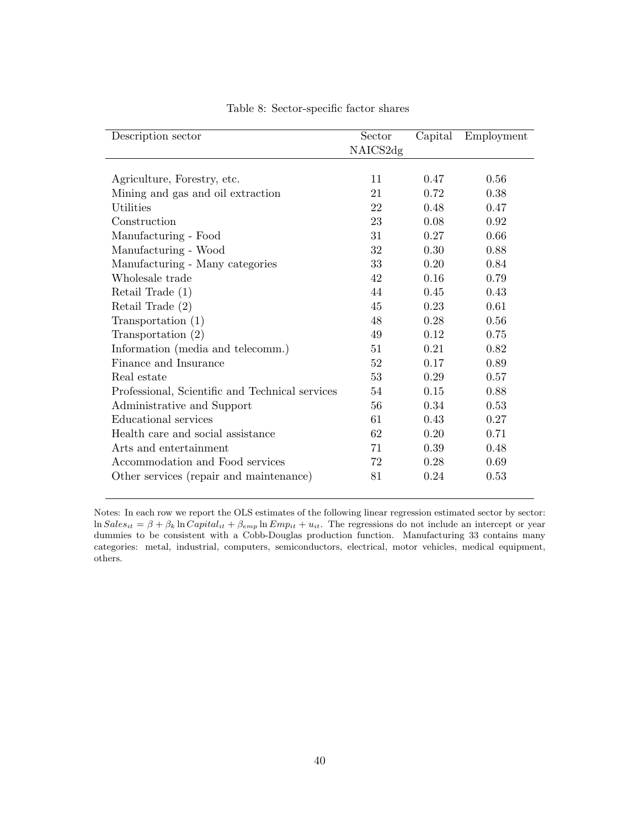<span id="page-40-0"></span>

| Description sector                              | Sector   | Capital | Employment |
|-------------------------------------------------|----------|---------|------------|
|                                                 | NAICS2dg |         |            |
|                                                 |          |         |            |
| Agriculture, Forestry, etc.                     | 11       | 0.47    | 0.56       |
| Mining and gas and oil extraction               | 21       | 0.72    | 0.38       |
| Utilities                                       | 22       | 0.48    | 0.47       |
| Construction                                    | 23       | 0.08    | 0.92       |
| Manufacturing - Food                            | 31       | 0.27    | 0.66       |
| Manufacturing - Wood                            | 32       | 0.30    | 0.88       |
| Manufacturing - Many categories                 | 33       | 0.20    | 0.84       |
| Wholesale trade                                 | 42       | 0.16    | 0.79       |
| Retail Trade $(1)$                              | 44       | 0.45    | 0.43       |
| Retail Trade $(2)$                              | 45       | 0.23    | 0.61       |
| Transportation (1)                              | 48       | 0.28    | 0.56       |
| Transportation $(2)$                            | 49       | 0.12    | 0.75       |
| Information (media and telecomm.)               | 51       | 0.21    | 0.82       |
| Finance and Insurance                           | 52       | 0.17    | 0.89       |
| Real estate                                     | 53       | 0.29    | 0.57       |
| Professional, Scientific and Technical services | 54       | 0.15    | 0.88       |
| Administrative and Support                      | 56       | 0.34    | 0.53       |
| Educational services                            | 61       | 0.43    | 0.27       |
| Health care and social assistance               | 62       | 0.20    | 0.71       |
| Arts and entertainment                          | 71       | 0.39    | 0.48       |
| Accommodation and Food services                 | 72       | 0.28    | 0.69       |
| Other services (repair and maintenance)         | 81       | 0.24    | 0.53       |

Table 8: Sector-specific factor shares

Notes: In each row we report the OLS estimates of the following linear regression estimated sector by sector:  $\ln Sales_{it} = \beta + \beta_k \ln Capital_{it} + \beta_{emp} \ln Emp_{it} + u_{it}$ . The regressions do not include an intercept or year dummies to be consistent with a Cobb-Douglas production function. Manufacturing 33 contains many categories: metal, industrial, computers, semiconductors, electrical, motor vehicles, medical equipment, others.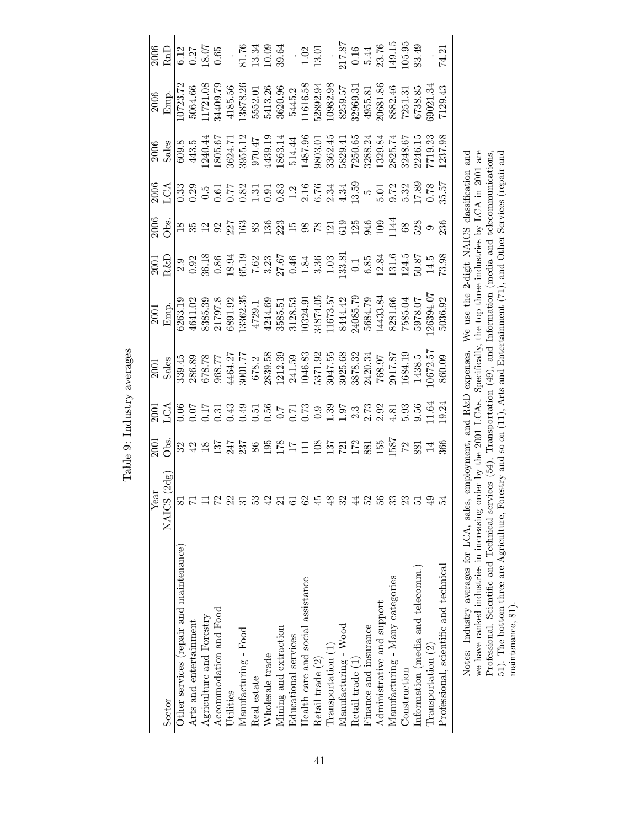<span id="page-41-0"></span>

| చి<br>הדדה מית היהר |
|---------------------|
|                     |
| $\dot{\phantom{0}}$ |
| Ĵ                   |

| Sector                                                 | $\begin{tabular}{l} \hline Year \\ NACS (2dg) \\ \hline 81 \\ 71 \\ 12 \\ 23 \\ 31 \\ \hline \end{tabular}$ | $\frac{15}{100}$ g $\frac{1}{100}$ g $\frac{1}{100}$ g $\frac{1}{100}$ g $\frac{1}{100}$ g $\frac{1}{100}$ g $\frac{1}{100}$ g $\frac{1}{100}$ g $\frac{1}{100}$ g $\frac{1}{100}$ g $\frac{1}{100}$ g $\frac{1}{100}$ g $\frac{1}{100}$ g $\frac{1}{100}$ g $\frac{1}{100}$ g $\frac{1}{100}$ | $\begin{array}{r l} \hline & 2001 \\ \hline 8 \text{ also} \\ 339.45 \\ 678.75 \\ 678.77 \\ 968.77 \\ 171.77 \\ 678.2 \\ 678.3 \\ 678.3 \\ 678.3 \\ 7839.58 \\ 241.59 \\ 241.59 \\ 241.59 \\ 3025.68 \\ 3220.34 \\ 768.97 \\ 768.1 \\ 764.19 \\ 768.5 \\ 768.4 \\ 1046.3 \\ 768.9 \\ 768.4 \\ 1047.8 \\ 768$ | $\begin{array}{ l l l l l } \hline & 2001 & \\ \hline \text{Emp.} & 441.02 & 353.33 \\ \hline 6263.19 & 21797.8 & 1729.1 \\ \hline 6385.39 & 21797.8 & 1729.1 \\ \hline 6391.92 & 4729.1 & 4729.1 \\ \hline 44244.69 & 3585.51 & 557 \\ \hline 3585.51 & 11673.57 & 729.1 \\ \hline 11673.57 & 729.1 & 116$ | $\frac{18}{180}$ $\frac{8}{18}$ $\frac{18}{18}$ $\frac{18}{18}$ $\frac{18}{18}$ $\frac{18}{18}$ $\frac{18}{18}$ $\frac{18}{18}$ $\frac{18}{18}$ $\frac{18}{18}$ $\frac{18}{18}$ $\frac{18}{18}$ $\frac{18}{18}$ $\frac{18}{18}$ $\frac{18}{18}$ $\frac{18}{18}$ $\frac{18}{18}$ $\frac{18}{18}$ $\frac{1$ |                                                                                                                                                                                                                                                                                                                                                                               | $\begin{array}{l l} \hline 2006 \\ \hline \text{Emp.} \\ \hline \text{I0723.72} \\ 11721.08 \\ 34409.79 \\ 4185.56 \\ 5552.01 \\ 13878.26 \\ 5552.01 \\ 1616.58 \\ 5445.2 \\ 11616.58 \\ 5445.2 \\ 11616.58 \\ 52892.98 \\ 10982.98 \\ 5950.31 \\ 11616.58 \\ 8259.51 \\ 7251.31 \\ 66738.85 \\ 6738.8$ | $\begin{array}{l l} \hline 2006 \\ \hline 6.12 \\ 6.37 \\ 0.65 \\ 0.65 \\ \hline \end{array} \quad \begin{array}{l} \hline \text{se} \\ \hline \text{se} \\ \text{se} \\ \text{se} \\ \text{se} \\ \text{se} \\ \text{se} \\ \text{se} \\ \text{se} \\ \text{se} \\ \text{se} \\ \text{se} \\ \text{se} \\ \text{se} \\ \text{se} \\ \text{se} \\ \text{se} \\ \text{se} \\ \text{se} \\ \text{se} \\ \text{se} \\ \text{se} \\ \text{se} \\ \text{se} \\ \text{se} \\ \text$ |
|--------------------------------------------------------|-------------------------------------------------------------------------------------------------------------|------------------------------------------------------------------------------------------------------------------------------------------------------------------------------------------------------------------------------------------------------------------------------------------------|--------------------------------------------------------------------------------------------------------------------------------------------------------------------------------------------------------------------------------------------------------------------------------------------------------------|-------------------------------------------------------------------------------------------------------------------------------------------------------------------------------------------------------------------------------------------------------------------------------------------------------------|-----------------------------------------------------------------------------------------------------------------------------------------------------------------------------------------------------------------------------------------------------------------------------------------------------------|-------------------------------------------------------------------------------------------------------------------------------------------------------------------------------------------------------------------------------------------------------------------------------------------------------------------------------------------------------------------------------|---------------------------------------------------------------------------------------------------------------------------------------------------------------------------------------------------------------------------------------------------------------------------------------------------------|-------------------------------------------------------------------------------------------------------------------------------------------------------------------------------------------------------------------------------------------------------------------------------------------------------------------------------------------------------------------------------------------------------------------------------------------------------------------------------|
| Other services (repair and maintenance)                |                                                                                                             |                                                                                                                                                                                                                                                                                                |                                                                                                                                                                                                                                                                                                              |                                                                                                                                                                                                                                                                                                             |                                                                                                                                                                                                                                                                                                           |                                                                                                                                                                                                                                                                                                                                                                               |                                                                                                                                                                                                                                                                                                         |                                                                                                                                                                                                                                                                                                                                                                                                                                                                               |
| Arts and entertainment                                 |                                                                                                             |                                                                                                                                                                                                                                                                                                |                                                                                                                                                                                                                                                                                                              |                                                                                                                                                                                                                                                                                                             |                                                                                                                                                                                                                                                                                                           |                                                                                                                                                                                                                                                                                                                                                                               |                                                                                                                                                                                                                                                                                                         |                                                                                                                                                                                                                                                                                                                                                                                                                                                                               |
| Agriculture and Forestry                               |                                                                                                             |                                                                                                                                                                                                                                                                                                |                                                                                                                                                                                                                                                                                                              |                                                                                                                                                                                                                                                                                                             |                                                                                                                                                                                                                                                                                                           |                                                                                                                                                                                                                                                                                                                                                                               |                                                                                                                                                                                                                                                                                                         |                                                                                                                                                                                                                                                                                                                                                                                                                                                                               |
| Accommodation and Food                                 |                                                                                                             |                                                                                                                                                                                                                                                                                                |                                                                                                                                                                                                                                                                                                              |                                                                                                                                                                                                                                                                                                             |                                                                                                                                                                                                                                                                                                           |                                                                                                                                                                                                                                                                                                                                                                               |                                                                                                                                                                                                                                                                                                         |                                                                                                                                                                                                                                                                                                                                                                                                                                                                               |
| <b>Jtilities</b>                                       |                                                                                                             |                                                                                                                                                                                                                                                                                                |                                                                                                                                                                                                                                                                                                              |                                                                                                                                                                                                                                                                                                             |                                                                                                                                                                                                                                                                                                           |                                                                                                                                                                                                                                                                                                                                                                               |                                                                                                                                                                                                                                                                                                         |                                                                                                                                                                                                                                                                                                                                                                                                                                                                               |
| Manufacturing - Food                                   |                                                                                                             |                                                                                                                                                                                                                                                                                                |                                                                                                                                                                                                                                                                                                              |                                                                                                                                                                                                                                                                                                             |                                                                                                                                                                                                                                                                                                           |                                                                                                                                                                                                                                                                                                                                                                               |                                                                                                                                                                                                                                                                                                         |                                                                                                                                                                                                                                                                                                                                                                                                                                                                               |
| Real estate                                            |                                                                                                             |                                                                                                                                                                                                                                                                                                |                                                                                                                                                                                                                                                                                                              |                                                                                                                                                                                                                                                                                                             |                                                                                                                                                                                                                                                                                                           |                                                                                                                                                                                                                                                                                                                                                                               |                                                                                                                                                                                                                                                                                                         |                                                                                                                                                                                                                                                                                                                                                                                                                                                                               |
| Wholesale trade                                        |                                                                                                             |                                                                                                                                                                                                                                                                                                |                                                                                                                                                                                                                                                                                                              |                                                                                                                                                                                                                                                                                                             |                                                                                                                                                                                                                                                                                                           |                                                                                                                                                                                                                                                                                                                                                                               |                                                                                                                                                                                                                                                                                                         |                                                                                                                                                                                                                                                                                                                                                                                                                                                                               |
| Mining and extraction                                  | $\mathcal{C}$                                                                                               |                                                                                                                                                                                                                                                                                                |                                                                                                                                                                                                                                                                                                              |                                                                                                                                                                                                                                                                                                             |                                                                                                                                                                                                                                                                                                           |                                                                                                                                                                                                                                                                                                                                                                               |                                                                                                                                                                                                                                                                                                         |                                                                                                                                                                                                                                                                                                                                                                                                                                                                               |
| Educational services                                   | 5254824                                                                                                     |                                                                                                                                                                                                                                                                                                |                                                                                                                                                                                                                                                                                                              |                                                                                                                                                                                                                                                                                                             |                                                                                                                                                                                                                                                                                                           |                                                                                                                                                                                                                                                                                                                                                                               |                                                                                                                                                                                                                                                                                                         |                                                                                                                                                                                                                                                                                                                                                                                                                                                                               |
| Health care and social assistance                      |                                                                                                             |                                                                                                                                                                                                                                                                                                |                                                                                                                                                                                                                                                                                                              |                                                                                                                                                                                                                                                                                                             |                                                                                                                                                                                                                                                                                                           |                                                                                                                                                                                                                                                                                                                                                                               |                                                                                                                                                                                                                                                                                                         |                                                                                                                                                                                                                                                                                                                                                                                                                                                                               |
| Retail trade (2)                                       |                                                                                                             |                                                                                                                                                                                                                                                                                                |                                                                                                                                                                                                                                                                                                              |                                                                                                                                                                                                                                                                                                             |                                                                                                                                                                                                                                                                                                           |                                                                                                                                                                                                                                                                                                                                                                               |                                                                                                                                                                                                                                                                                                         |                                                                                                                                                                                                                                                                                                                                                                                                                                                                               |
| Transportation (1)                                     |                                                                                                             |                                                                                                                                                                                                                                                                                                |                                                                                                                                                                                                                                                                                                              |                                                                                                                                                                                                                                                                                                             |                                                                                                                                                                                                                                                                                                           |                                                                                                                                                                                                                                                                                                                                                                               |                                                                                                                                                                                                                                                                                                         |                                                                                                                                                                                                                                                                                                                                                                                                                                                                               |
| $\operatorname{Manufacturing}$ - $\operatorname{Wood}$ |                                                                                                             |                                                                                                                                                                                                                                                                                                |                                                                                                                                                                                                                                                                                                              |                                                                                                                                                                                                                                                                                                             |                                                                                                                                                                                                                                                                                                           |                                                                                                                                                                                                                                                                                                                                                                               |                                                                                                                                                                                                                                                                                                         |                                                                                                                                                                                                                                                                                                                                                                                                                                                                               |
| Retail trade (1)                                       |                                                                                                             |                                                                                                                                                                                                                                                                                                |                                                                                                                                                                                                                                                                                                              |                                                                                                                                                                                                                                                                                                             |                                                                                                                                                                                                                                                                                                           |                                                                                                                                                                                                                                                                                                                                                                               |                                                                                                                                                                                                                                                                                                         |                                                                                                                                                                                                                                                                                                                                                                                                                                                                               |
| Finance and insurance                                  | 52 33                                                                                                       |                                                                                                                                                                                                                                                                                                |                                                                                                                                                                                                                                                                                                              |                                                                                                                                                                                                                                                                                                             |                                                                                                                                                                                                                                                                                                           |                                                                                                                                                                                                                                                                                                                                                                               |                                                                                                                                                                                                                                                                                                         |                                                                                                                                                                                                                                                                                                                                                                                                                                                                               |
| Administrative and support                             |                                                                                                             |                                                                                                                                                                                                                                                                                                |                                                                                                                                                                                                                                                                                                              |                                                                                                                                                                                                                                                                                                             |                                                                                                                                                                                                                                                                                                           |                                                                                                                                                                                                                                                                                                                                                                               |                                                                                                                                                                                                                                                                                                         |                                                                                                                                                                                                                                                                                                                                                                                                                                                                               |
| Manufacturing - Many categories                        |                                                                                                             |                                                                                                                                                                                                                                                                                                |                                                                                                                                                                                                                                                                                                              |                                                                                                                                                                                                                                                                                                             |                                                                                                                                                                                                                                                                                                           |                                                                                                                                                                                                                                                                                                                                                                               |                                                                                                                                                                                                                                                                                                         |                                                                                                                                                                                                                                                                                                                                                                                                                                                                               |
| Construction                                           | $\frac{23}{51}$                                                                                             |                                                                                                                                                                                                                                                                                                |                                                                                                                                                                                                                                                                                                              |                                                                                                                                                                                                                                                                                                             |                                                                                                                                                                                                                                                                                                           |                                                                                                                                                                                                                                                                                                                                                                               |                                                                                                                                                                                                                                                                                                         |                                                                                                                                                                                                                                                                                                                                                                                                                                                                               |
| Information (media and telecomm.)                      |                                                                                                             |                                                                                                                                                                                                                                                                                                |                                                                                                                                                                                                                                                                                                              |                                                                                                                                                                                                                                                                                                             |                                                                                                                                                                                                                                                                                                           |                                                                                                                                                                                                                                                                                                                                                                               |                                                                                                                                                                                                                                                                                                         |                                                                                                                                                                                                                                                                                                                                                                                                                                                                               |
| Transportation (2)                                     |                                                                                                             |                                                                                                                                                                                                                                                                                                |                                                                                                                                                                                                                                                                                                              |                                                                                                                                                                                                                                                                                                             |                                                                                                                                                                                                                                                                                                           |                                                                                                                                                                                                                                                                                                                                                                               |                                                                                                                                                                                                                                                                                                         |                                                                                                                                                                                                                                                                                                                                                                                                                                                                               |
| Professional, scientific and technical                 |                                                                                                             |                                                                                                                                                                                                                                                                                                |                                                                                                                                                                                                                                                                                                              |                                                                                                                                                                                                                                                                                                             |                                                                                                                                                                                                                                                                                                           | $\begin{array}{l l} 0 & 0 & 0 & 0 & 0 \\ \hline 0 & 0 & 0 & 0 & 0 & 0 \\ \hline 0 & 0 & 0 & 0 & 0 & 0 \\ \end{array} \quad \begin{array}{l} 0 & 0 & 0 & 0 & 0 \\ 0 & 0 & 0 & 0 & 0 & 0 \\ 0 & 0 & 0 & 0 & 0 & 0 \\ \end{array} \quad \begin{array}{l} 0 & 0 & 0 & 0 & 0 \\ 0 & 0 & 0 & 0 & 0 & 0 \\ 0 & 0 & 0 & 0 & 0 & 0 \\ \end{array} \quad \begin{array}{l} 0 & 0 & 0 & $ |                                                                                                                                                                                                                                                                                                         |                                                                                                                                                                                                                                                                                                                                                                                                                                                                               |
| Notco: Industry are concerned $f \cap \Lambda$ colog   |                                                                                                             |                                                                                                                                                                                                                                                                                                | $\alpha$ and $\alpha$ and $\beta$ $\Gamma$ and $\alpha$                                                                                                                                                                                                                                                      | ING the Cost NIATO closification and                                                                                                                                                                                                                                                                        |                                                                                                                                                                                                                                                                                                           |                                                                                                                                                                                                                                                                                                                                                                               |                                                                                                                                                                                                                                                                                                         |                                                                                                                                                                                                                                                                                                                                                                                                                                                                               |

Notes: Industry averages for LCA, sales, employment, and R&D expenses. We use the 2-digit NAICS classification and<br>we have ranked industries in increasing order by the 2001 LCAs. Specifically, the top three industries by Notes: Industry averages for LCA, sales, employment, and R&D expenses. We use the 2-digit NAICS classification and we have ranked industries in increasing order by the 2001 LCAs. Specifically, the top three industries by LCA in 2001 are Professional, Scientific and Technical services (54), Transportation (49), and Information (media and telecommunications, 51). The bottom three are Agriculture, Forestry and so on (11), Arts and Entertainment (71), and Other Services (repair and maintenance, 81).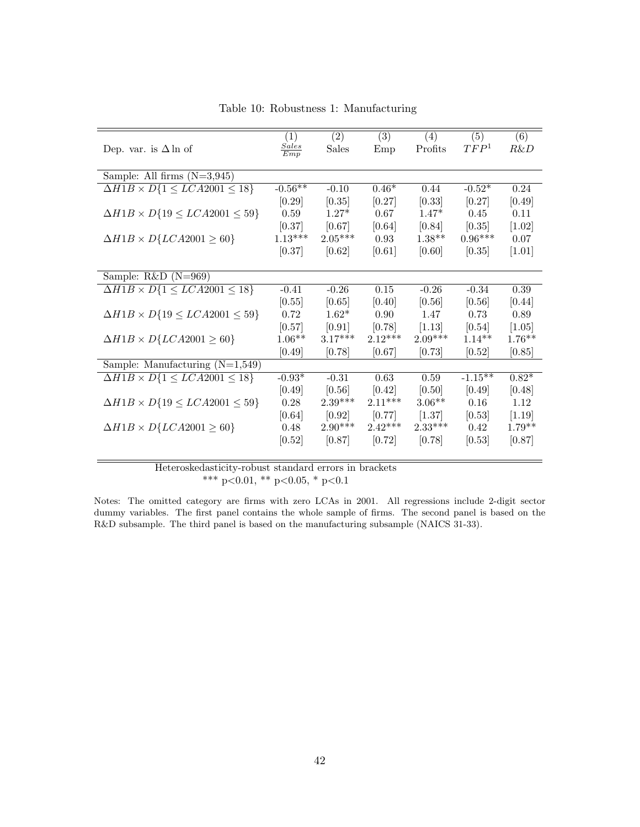<span id="page-42-0"></span>

|                                                 | (1)                 | (2)       | (3)       | (4)       | (5)              | $\overline{(6)}$ |
|-------------------------------------------------|---------------------|-----------|-----------|-----------|------------------|------------------|
| Dep. var. is $\Delta \ln \text{ of}$            | <b>Sales</b><br>Emp | Sales     | Emp       | Profits   | TFP <sup>1</sup> | R&D              |
|                                                 |                     |           |           |           |                  |                  |
| Sample: All firms $(N=3,945)$                   |                     |           |           |           |                  |                  |
| $\Delta H1B \times D\{1 \leq LCA2001 \leq 18\}$ | $-0.56**$           | $-0.10$   | $0.46*$   | 0.44      | $-0.52*$         | 0.24             |
|                                                 | [0.29]              | [0.35]    | [0.27]    | [0.33]    | [0.27]           | [0.49]           |
| $\Delta H1B \times D\{19 \le LCA2001 \le 59\}$  | 0.59                | $1.27*$   | 0.67      | $1.47*$   | 0.45             | 0.11             |
|                                                 | [0.37]              | [0.67]    | [0.64]    | [0.84]    | [0.35]           | $[1.02]$         |
| $\Delta H1B \times D\{LCA2001 \geq 60\}$        | $1.13***$           | $2.05***$ | 0.93      | $1.38**$  | $0.96***$        | 0.07             |
|                                                 | [0.37]              | [0.62]    | [0.61]    | [0.60]    | [0.35]           | $[1.01]$         |
|                                                 |                     |           |           |           |                  |                  |
| Sample: $R&D(N=969)$                            |                     |           |           |           |                  |                  |
| $\Delta H1B \times D\{1 \leq LCA2001 \leq 18\}$ | $-0.41$             | $-0.26$   | 0.15      | $-0.26$   | $-0.34$          | 0.39             |
|                                                 | [0.55]              | [0.65]    | [0.40]    | [0.56]    | [0.56]           | [0.44]           |
| $\Delta H1B \times D\{19 \le LCA2001 \le 59\}$  | 0.72                | $1.62*$   | 0.90      | 1.47      | 0.73             | 0.89             |
|                                                 | [0.57]              | [0.91]    | [0.78]    | [1.13]    | [0.54]           | [1.05]           |
| $\Delta H1B \times D\{LCA2001 \geq 60\}$        | $1.06**$            | $3.17***$ | $2.12***$ | $2.09***$ | $1.14**$         | $1.76**$         |
|                                                 | [0.49]              | [0.78]    | [0.67]    | [0.73]    | [0.52]           | [0.85]           |
| Sample: Manufacturing $(N=1,549)$               |                     |           |           |           |                  |                  |
| $\Delta H1B \times D\{1 \le LCA2001 \le 18\}$   | $-0.93*$            | $-0.31$   | 0.63      | $0.59\,$  | $-1.15**$        | $0.82*$          |
|                                                 | [0.49]              | [0.56]    | [0.42]    | [0.50]    | [0.49]           | [0.48]           |
| $\Delta H1B \times D\{19 \le LCA2001 \le 59\}$  | 0.28                | $2.39***$ | $2.11***$ | $3.06**$  | 0.16             | 1.12             |
|                                                 | [0.64]              | [0.92]    | [0.77]    | [1.37]    | [0.53]           | $[1.19]$         |
| $\Delta H1B \times D\{LCA2001 \geq 60\}$        | 0.48                | $2.90***$ | $2.42***$ | $2.33***$ | 0.42             | $1.79**$         |
|                                                 | [0.52]              | [0.87]    | [0.72]    | [0.78]    | [0.53]           | [0.87]           |
|                                                 |                     |           |           |           |                  |                  |

Table 10: Robustness 1: Manufacturing

Notes: The omitted category are firms with zero LCAs in 2001. All regressions include 2-digit sector dummy variables. The first panel contains the whole sample of firms. The second panel is based on the R&D subsample. The third panel is based on the manufacturing subsample (NAICS 31-33).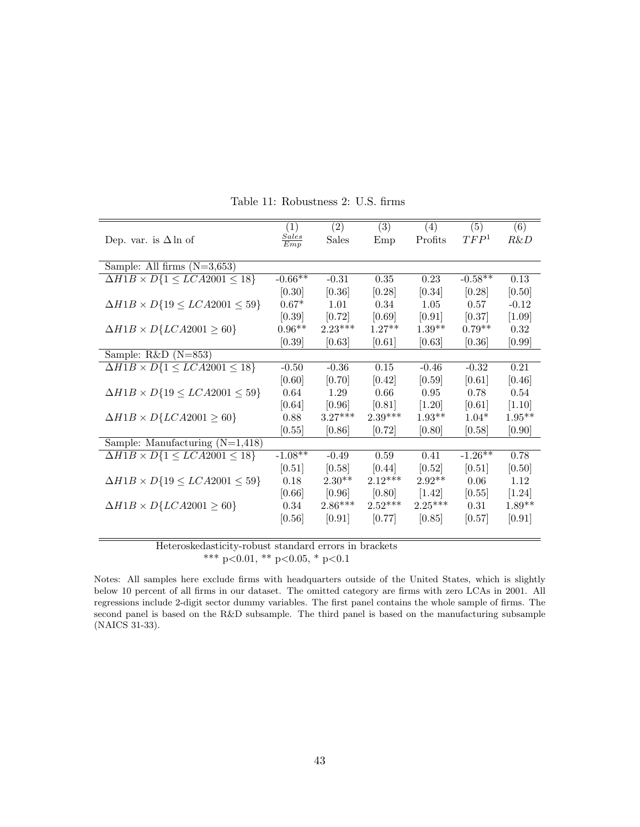<span id="page-43-0"></span>

|                                                          | (1)               | (2)       | (3)       | (4)       | (5)              | (6)      |
|----------------------------------------------------------|-------------------|-----------|-----------|-----------|------------------|----------|
| Dep. var. is $\Delta \ln \text{ of}$                     | $rac{Sales}{Emp}$ | Sales     | Emp       | Profits   | TFP <sup>1</sup> | R&D      |
|                                                          |                   |           |           |           |                  |          |
| Sample: All firms $(N=3,653)$                            |                   |           |           |           |                  |          |
| $\overline{\Delta H1B} \times D\{1 \le LCA2001 \le 18\}$ | $-0.66**$         | $-0.31$   | 0.35      | 0.23      | $-0.58**$        | 0.13     |
|                                                          | [0.30]            | [0.36]    | [0.28]    | [0.34]    | [0.28]           | [0.50]   |
| $\Delta H1B \times D\{19 \le LCA2001 \le 59\}$           | $0.67*$           | 1.01      | 0.34      | 1.05      | 0.57             | $-0.12$  |
|                                                          | [0.39]            | [0.72]    | [0.69]    | [0.91]    | [0.37]           | [1.09]   |
| $\Delta H1B \times D\{LCA2001 \geq 60\}$                 | $0.96**$          | $2.23***$ | $1.27**$  | $1.39**$  | $0.79**$         | 0.32     |
|                                                          | [0.39]            | [0.63]    | [0.61]    | [0.63]    | [0.36]           | [0.99]   |
| Sample: $R&D(N=853)$                                     |                   |           |           |           |                  |          |
| $\Delta H1B \times D\{1 \leq LCA2001 \leq 18\}$          | $-0.50$           | $-0.36$   | 0.15      | $-0.46$   | $-0.32$          | 0.21     |
|                                                          | [0.60]            | [0.70]    | [0.42]    | [0.59]    | [0.61]           | [0.46]   |
| $\Delta H1B \times D\{19 \le LCA2001 \le 59\}$           | 0.64              | 1.29      | 0.66      | $0.95\,$  | 0.78             | 0.54     |
|                                                          | [0.64]            | [0.96]    | [0.81]    | $[1.20]$  | [0.61]           | [1.10]   |
| $\Delta H1B \times D\{LCA2001 \geq 60\}$                 | 0.88              | $3.27***$ | $2.39***$ | $1.93**$  | $1.04*$          | $1.95**$ |
|                                                          | [0.55]            | [0.86]    | [0.72]    | [0.80]    | [0.58]           | [0.90]   |
| Sample: Manufacturing $(N=1,418)$                        |                   |           |           |           |                  |          |
| $\Delta H1B \times D\{1 \leq LCA2001 \leq 18\}$          | $-1.08**$         | $-0.49$   | 0.59      | 0.41      | $-1.26**$        | 0.78     |
|                                                          | [0.51]            | [0.58]    | [0.44]    | [0.52]    | [0.51]           | [0.50]   |
| $\Delta H1B \times D\{19 \le LCA2001 \le 59\}$           | 0.18              | $2.30**$  | $2.12***$ | $2.92**$  | 0.06             | 1.12     |
|                                                          | [0.66]            | [0.96]    | [0.80]    | $[1.42]$  | [0.55]           | $[1.24]$ |
| $\Delta H1B \times D\{LCA2001 \geq 60\}$                 | 0.34              | $2.86***$ | $2.52***$ | $2.25***$ | 0.31             | $1.89**$ |
|                                                          | [0.56]            | [0.91]    | [0.77]    | [0.85]    | [0.57]           | [0.91]   |
|                                                          |                   |           |           |           |                  |          |

Table 11: Robustness 2: U.S. firms

Notes: All samples here exclude firms with headquarters outside of the United States, which is slightly below 10 percent of all firms in our dataset. The omitted category are firms with zero LCAs in 2001. All regressions include 2-digit sector dummy variables. The first panel contains the whole sample of firms. The second panel is based on the R&D subsample. The third panel is based on the manufacturing subsample (NAICS 31-33).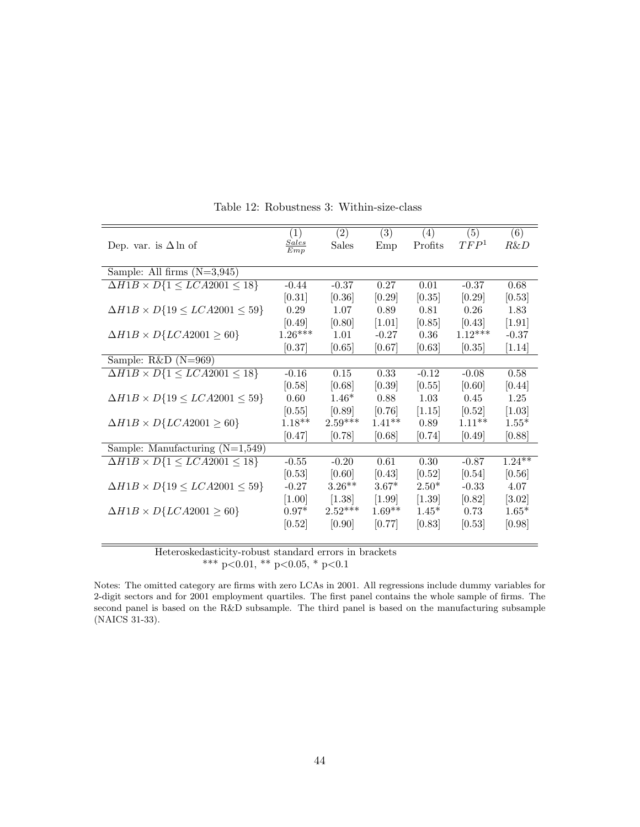<span id="page-44-0"></span>

|                                                 | $\left( 1\right)$   | (2)       | (3)      | (4)      | (5)              | (6)       |
|-------------------------------------------------|---------------------|-----------|----------|----------|------------------|-----------|
| Dep. var. is $\Delta \ln \text{ of}$            | $\frac{Sales}{Emp}$ | Sales     | Emp      | Profits  | TFP <sup>1</sup> | $R\&D$    |
|                                                 |                     |           |          |          |                  |           |
| Sample: All firms $(N=3,945)$                   |                     |           |          |          |                  |           |
| $\Delta H1B \times D\{1 \leq LCA2001 \leq 18\}$ | $-0.44$             | $-0.37$   | 0.27     | $0.01\,$ | $-0.37$          | 0.68      |
|                                                 | [0.31]              | [0.36]    | [0.29]   | [0.35]   | [0.29]           | [0.53]    |
| $\Delta H1B \times D\{19 \le LCA2001 \le 59\}$  | 0.29                | 1.07      | 0.89     | 0.81     | 0.26             | 1.83      |
|                                                 | [0.49]              | [0.80]    | $[1.01]$ | [0.85]   | [0.43]           | $[1.91]$  |
| $\Delta H1B \times D\{LCA2001 \geq 60\}$        | $1.26***$           | 1.01      | $-0.27$  | 0.36     | $1.12***$        | $-0.37$   |
|                                                 | [0.37]              | [0.65]    | [0.67]   | [0.63]   | [0.35]           | $[1.14]$  |
| Sample: $R&D(N=969)$                            |                     |           |          |          |                  |           |
| $\Delta H1B \times D\{1 \leq LCA2001 \leq 18\}$ | $-0.16$             | 0.15      | 0.33     | $-0.12$  | $-0.08$          | 0.58      |
|                                                 | [0.58]              | [0.68]    | [0.39]   | [0.55]   | [0.60]           | [0.44]    |
| $\Delta H1B \times D\{19 \le LCA2001 \le 59\}$  | 0.60                | $1.46*$   | 0.88     | 1.03     | 0.45             | 1.25      |
|                                                 | [0.55]              | [0.89]    | [0.76]   | [1.15]   | [0.52]           | $[1.03]$  |
| $\Delta H1B \times D\{LCA2001 \geq 60\}$        | $1.18**$            | $2.59***$ | $1.41**$ | 0.89     | $1.11***$        | $1.55*$   |
|                                                 | [0.47]              | [0.78]    | [0.68]   | [0.74]   | [0.49]           | [0.88]    |
| Sample: Manufacturing $(N=1,549)$               |                     |           |          |          |                  |           |
| $\Delta H1B \times D\{1 \leq LCA2001 \leq 18\}$ | $-0.55$             | $-0.20$   | 0.61     | 0.30     | $-0.87$          | $1.24***$ |
|                                                 | [0.53]              | [0.60]    | [0.43]   | [0.52]   | [0.54]           | [0.56]    |
| $\Delta H1B \times D\{19 \le LCA2001 \le 59\}$  | $-0.27$             | $3.26**$  | $3.67*$  | $2.50*$  | $-0.33$          | 4.07      |
|                                                 | $[1.00]$            | [1.38]    | $[1.99]$ | $[1.39]$ | [0.82]           | [3.02]    |
| $\Delta H1B \times D\{LCA2001 \geq 60\}$        | $0.97*$             | $2.52***$ | $1.69**$ | $1.45*$  | 0.73             | $1.65*$   |
|                                                 | [0.52]              | [0.90]    | [0.77]   | [0.83]   | [0.53]           | [0.98]    |
|                                                 |                     |           |          |          |                  |           |

Table 12: Robustness 3: Within-size-class

Notes: The omitted category are firms with zero LCAs in 2001. All regressions include dummy variables for 2-digit sectors and for 2001 employment quartiles. The first panel contains the whole sample of firms. The second panel is based on the R&D subsample. The third panel is based on the manufacturing subsample (NAICS 31-33).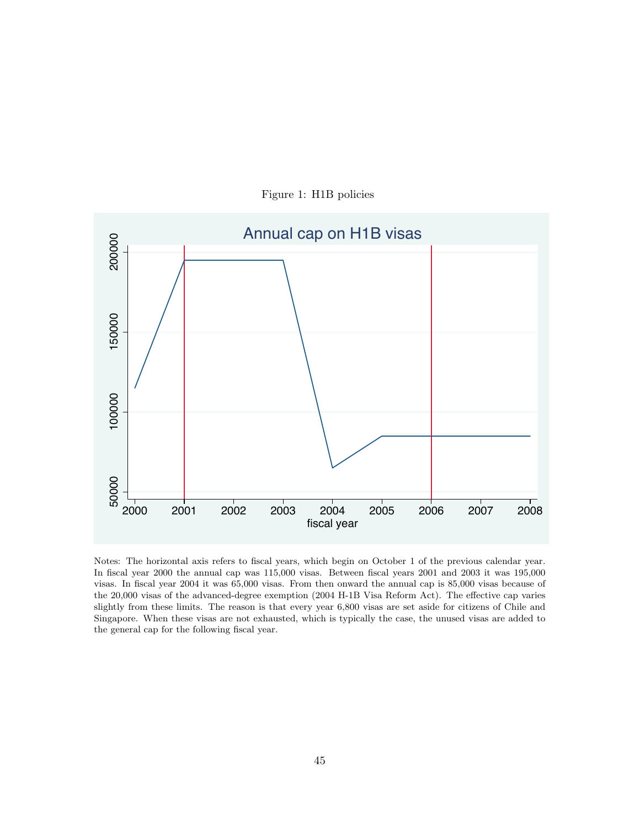<span id="page-45-0"></span>

Figure 1: H1B policies

Notes: The horizontal axis refers to fiscal years, which begin on October 1 of the previous calendar year. In fiscal year 2000 the annual cap was 115,000 visas. Between fiscal years 2001 and 2003 it was 195,000 visas. In fiscal year 2004 it was 65,000 visas. From then onward the annual cap is 85,000 visas because of the 20,000 visas of the advanced-degree exemption (2004 H-1B Visa Reform Act). The effective cap varies slightly from these limits. The reason is that every year 6,800 visas are set aside for citizens of Chile and Singapore. When these visas are not exhausted, which is typically the case, the unused visas are added to the general cap for the following fiscal year.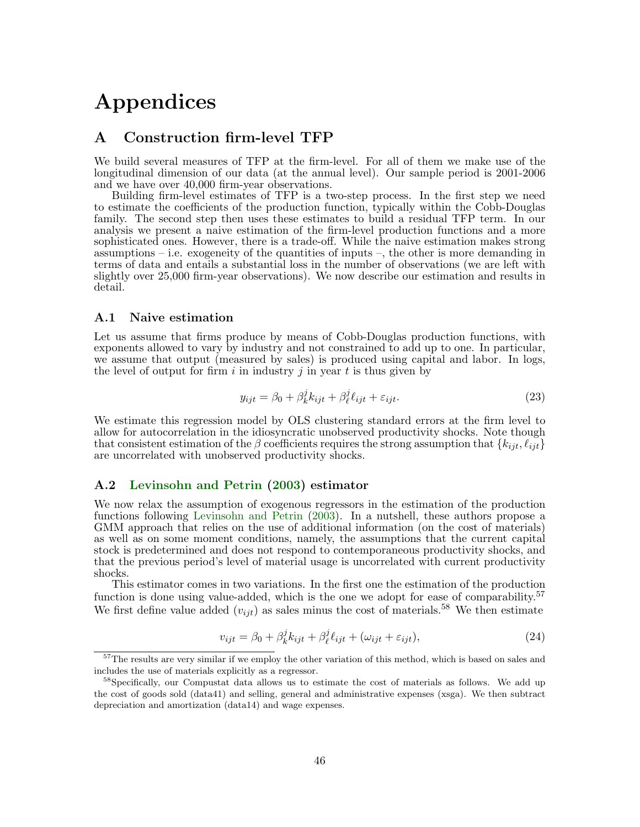# Appendices

## A Construction firm-level TFP

We build several measures of TFP at the firm-level. For all of them we make use of the longitudinal dimension of our data (at the annual level). Our sample period is 2001-2006 and we have over 40,000 firm-year observations.

Building firm-level estimates of TFP is a two-step process. In the first step we need to estimate the coefficients of the production function, typically within the Cobb-Douglas family. The second step then uses these estimates to build a residual TFP term. In our analysis we present a naive estimation of the firm-level production functions and a more sophisticated ones. However, there is a trade-off. While the naive estimation makes strong assumptions – i.e. exogeneity of the quantities of inputs –, the other is more demanding in terms of data and entails a substantial loss in the number of observations (we are left with slightly over 25,000 firm-year observations). We now describe our estimation and results in detail.

#### A.1 Naive estimation

Let us assume that firms produce by means of Cobb-Douglas production functions, with exponents allowed to vary by industry and not constrained to add up to one. In particular, we assume that output (measured by sales) is produced using capital and labor. In logs, the level of output for firm i in industry j in year t is thus given by

$$
y_{ijt} = \beta_0 + \beta_k^j k_{ijt} + \beta_\ell^j \ell_{ijt} + \varepsilon_{ijt}.
$$
 (23)

We estimate this regression model by OLS clustering standard errors at the firm level to allow for autocorrelation in the idiosyncratic unobserved productivity shocks. Note though that consistent estimation of the β coefficients requires the strong assumption that  $\{k_{iit}, \ell_{iit}\}$ are uncorrelated with unobserved productivity shocks.

#### A.2 [Levinsohn and Petrin](#page-31-16) [\(2003\)](#page-31-16) estimator

We now relax the assumption of exogenous regressors in the estimation of the production functions following [Levinsohn and Petrin](#page-31-16) [\(2003\)](#page-31-16). In a nutshell, these authors propose a GMM approach that relies on the use of additional information (on the cost of materials) as well as on some moment conditions, namely, the assumptions that the current capital stock is predetermined and does not respond to contemporaneous productivity shocks, and that the previous period's level of material usage is uncorrelated with current productivity shocks.

This estimator comes in two variations. In the first one the estimation of the production function is done using value-added, which is the one we adopt for ease of comparability.<sup>57</sup> We first define value added  $(v_{ijt})$  as sales minus the cost of materials.<sup>58</sup> We then estimate

$$
v_{ijt} = \beta_0 + \beta_k^j k_{ijt} + \beta_\ell^j \ell_{ijt} + (\omega_{ijt} + \varepsilon_{ijt}), \qquad (24)
$$

<sup>&</sup>lt;sup>57</sup>The results are very similar if we employ the other variation of this method, which is based on sales and includes the use of materials explicitly as a regressor.

<sup>&</sup>lt;sup>58</sup>Specifically, our Compustat data allows us to estimate the cost of materials as follows. We add up the cost of goods sold (data41) and selling, general and administrative expenses (xsga). We then subtract depreciation and amortization (data14) and wage expenses.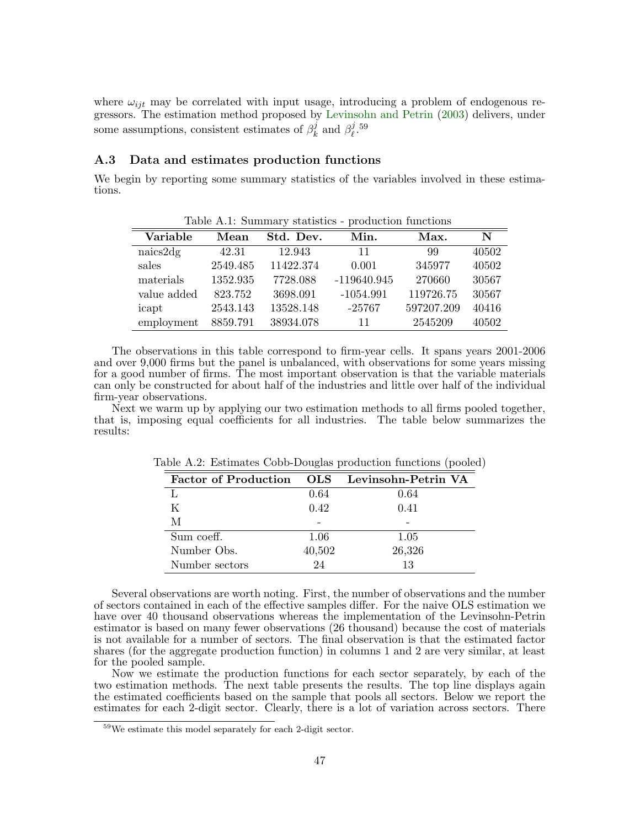where  $\omega_{ijt}$  may be correlated with input usage, introducing a problem of endogenous regressors. The estimation method proposed by [Levinsohn and Petrin](#page-31-16) [\(2003\)](#page-31-16) delivers, under some assumptions, consistent estimates of  $\beta_k^j$  $\frac{j}{k}$  and  $\beta_{\ell}^{j}$  $_{\ell}^{j}$ .59

#### A.3 Data and estimates production functions

We begin by reporting some summary statistics of the variables involved in these estimations.

| Table A.1: Summary statistics - production functions |          |           |               |            |       |  |
|------------------------------------------------------|----------|-----------|---------------|------------|-------|--|
| Variable                                             | Mean     | Std. Dev. | Min.          | Max.       | N     |  |
| naics2dg                                             | 42.31    | 12.943    | 11            | 99         | 40502 |  |
| sales                                                | 2549.485 | 11422.374 | 0.001         | 345977     | 40502 |  |
| materials                                            | 1352.935 | 7728.088  | $-119640.945$ | 270660     | 30567 |  |
| value added                                          | 823.752  | 3698.091  | $-1054.991$   | 119726.75  | 30567 |  |
| icapt                                                | 2543.143 | 13528.148 | $-25767$      | 597207.209 | 40416 |  |
| employment                                           | 8859.791 | 38934.078 | 11            | 2545209    | 40502 |  |

The observations in this table correspond to firm-year cells. It spans years 2001-2006 and over 9,000 firms but the panel is unbalanced, with observations for some years missing for a good number of firms. The most important observation is that the variable materials can only be constructed for about half of the industries and little over half of the individual firm-year observations.

Next we warm up by applying our two estimation methods to all firms pooled together, that is, imposing equal coefficients for all industries. The table below summarizes the results:

| <b>Factor of Production</b> | <b>OLS</b> | Levinsohn-Petrin VA |
|-----------------------------|------------|---------------------|
|                             | 0.64       | 0.64                |
| K                           | 0.42       | 0.41                |
| М                           |            |                     |
| Sum coeff.                  | 1.06       | 1.05                |
| Number Obs.                 | 40,502     | 26,326              |
| Number sectors              | 24         | 13                  |

Table A.2: Estimates Cobb-Douglas production functions (pooled)

Several observations are worth noting. First, the number of observations and the number of sectors contained in each of the effective samples differ. For the naive OLS estimation we have over 40 thousand observations whereas the implementation of the Levinsohn-Petrin estimator is based on many fewer observations (26 thousand) because the cost of materials is not available for a number of sectors. The final observation is that the estimated factor shares (for the aggregate production function) in columns 1 and 2 are very similar, at least for the pooled sample.

Now we estimate the production functions for each sector separately, by each of the two estimation methods. The next table presents the results. The top line displays again the estimated coefficients based on the sample that pools all sectors. Below we report the estimates for each 2-digit sector. Clearly, there is a lot of variation across sectors. There

<sup>59</sup>We estimate this model separately for each 2-digit sector.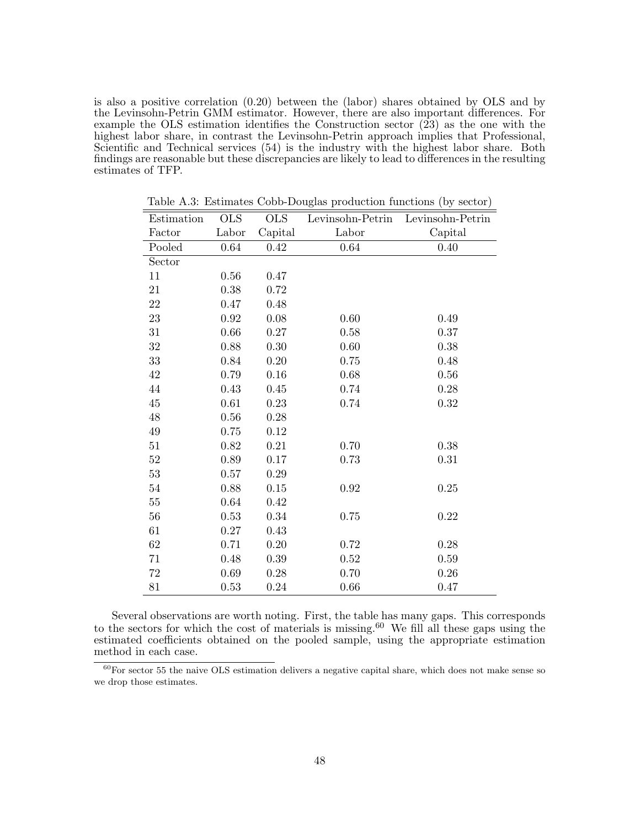is also a positive correlation (0.20) between the (labor) shares obtained by OLS and by the Levinsohn-Petrin GMM estimator. However, there are also important differences. For example the OLS estimation identifies the Construction sector (23) as the one with the highest labor share, in contrast the Levinsohn-Petrin approach implies that Professional, Scientific and Technical services (54) is the industry with the highest labor share. Both findings are reasonable but these discrepancies are likely to lead to differences in the resulting estimates of TFP.

| Estimation | <b>OLS</b> | <b>OLS</b> | Levinsohn-Petrin | Levinsohn-Petrin |
|------------|------------|------------|------------------|------------------|
| Factor     | Labor      | Capital    | Labor            | Capital          |
| Pooled     | $0.64\,$   | 0.42       | $0.64\,$         | 0.40             |
| Sector     |            |            |                  |                  |
| 11         | 0.56       | 0.47       |                  |                  |
| 21         | 0.38       | 0.72       |                  |                  |
| 22         | 0.47       | 0.48       |                  |                  |
| $23\,$     | $\rm 0.92$ | $0.08\,$   | 0.60             | 0.49             |
| 31         | 0.66       | $0.27\,$   | 0.58             | 0.37             |
| $32\,$     | 0.88       | 0.30       | 0.60             | 0.38             |
| $33\,$     | 0.84       | 0.20       | 0.75             | 0.48             |
| 42         | 0.79       | $0.16\,$   | 0.68             | $0.56\,$         |
| $44\,$     | 0.43       | 0.45       | 0.74             | $0.28\,$         |
| $45\,$     | 0.61       | 0.23       | 0.74             | 0.32             |
| $48\,$     | 0.56       | 0.28       |                  |                  |
| $\rm 49$   | 0.75       | 0.12       |                  |                  |
| 51         | 0.82       | 0.21       | 0.70             | 0.38             |
| $52\,$     | 0.89       | 0.17       | 0.73             | 0.31             |
| $53\,$     | 0.57       | $0.29\,$   |                  |                  |
| $54\,$     | 0.88       | 0.15       | $\rm 0.92$       | $0.25\,$         |
| $55\,$     | 0.64       | 0.42       |                  |                  |
| $56\,$     | 0.53       | 0.34       | 0.75             | $0.22\,$         |
| 61         | 0.27       | 0.43       |                  |                  |
| 62         | 0.71       | $0.20\,$   | 0.72             | $0.28\,$         |
| 71         | 0.48       | 0.39       | 0.52             | 0.59             |
| $72\,$     | 0.69       | $0.28\,$   | 0.70             | $0.26\,$         |
| 81         | 0.53       | 0.24       | 0.66             | 0.47             |

Table A.3: Estimates Cobb-Douglas production functions (by sector)

Several observations are worth noting. First, the table has many gaps. This corresponds to the sectors for which the cost of materials is missing.<sup>60</sup> We fill all these gaps using the estimated coefficients obtained on the pooled sample, using the appropriate estimation method in each case.

 $60$ For sector 55 the naive OLS estimation delivers a negative capital share, which does not make sense so we drop those estimates.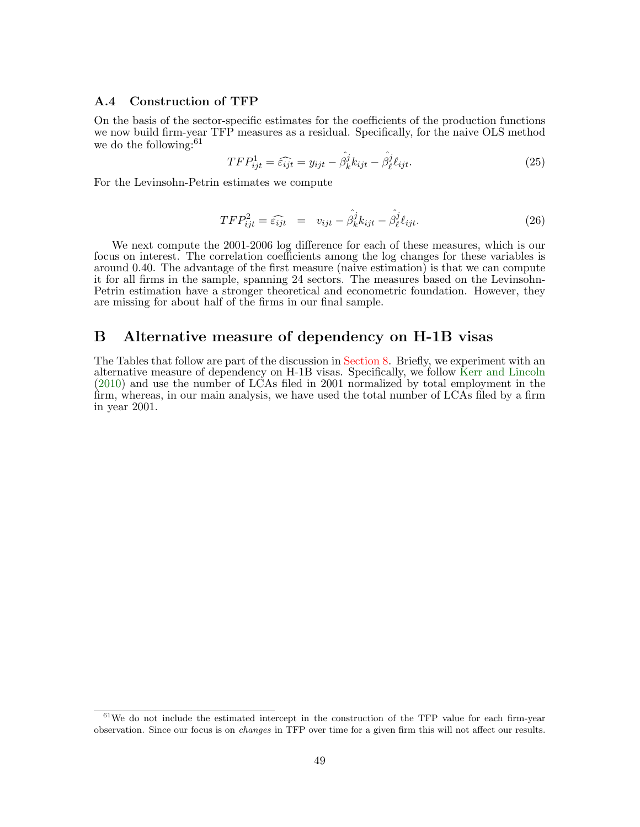#### A.4 Construction of TFP

On the basis of the sector-specific estimates for the coefficients of the production functions we now build firm-year TFP measures as a residual. Specifically, for the naive OLS method we do the following:  $61$ 

$$
TFP_{ijt}^1 = \widehat{\epsilon_{ijt}} = y_{ijt} - \widehat{\beta_k^j} k_{ijt} - \widehat{\beta_\ell^j} \ell_{ijt}.
$$
 (25)

For the Levinsohn-Petrin estimates we compute

$$
TFP_{ijt}^2 = \widehat{\epsilon_{ijt}} = v_{ijt} - \widehat{\beta_k^j} k_{ijt} - \widehat{\beta_\ell^j} \ell_{ijt}.
$$
 (26)

We next compute the 2001-2006 log difference for each of these measures, which is our focus on interest. The correlation coefficients among the log changes for these variables is around 0.40. The advantage of the first measure (naive estimation) is that we can compute it for all firms in the sample, spanning 24 sectors. The measures based on the Levinsohn-Petrin estimation have a stronger theoretical and econometric foundation. However, they are missing for about half of the firms in our final sample.

### B Alternative measure of dependency on H-1B visas

The Tables that follow are part of the discussion in [Section 8.](#page-27-0) Briefly, we experiment with an alternative measure of dependency on H-1B visas. Specifically, we follow [Kerr and Lincoln](#page-31-0) [\(2010\)](#page-31-0) and use the number of LCAs filed in 2001 normalized by total employment in the firm, whereas, in our main analysis, we have used the total number of LCAs filed by a firm in year 2001.

 $61$ We do not include the estimated intercept in the construction of the TFP value for each firm-year observation. Since our focus is on changes in TFP over time for a given firm this will not affect our results.